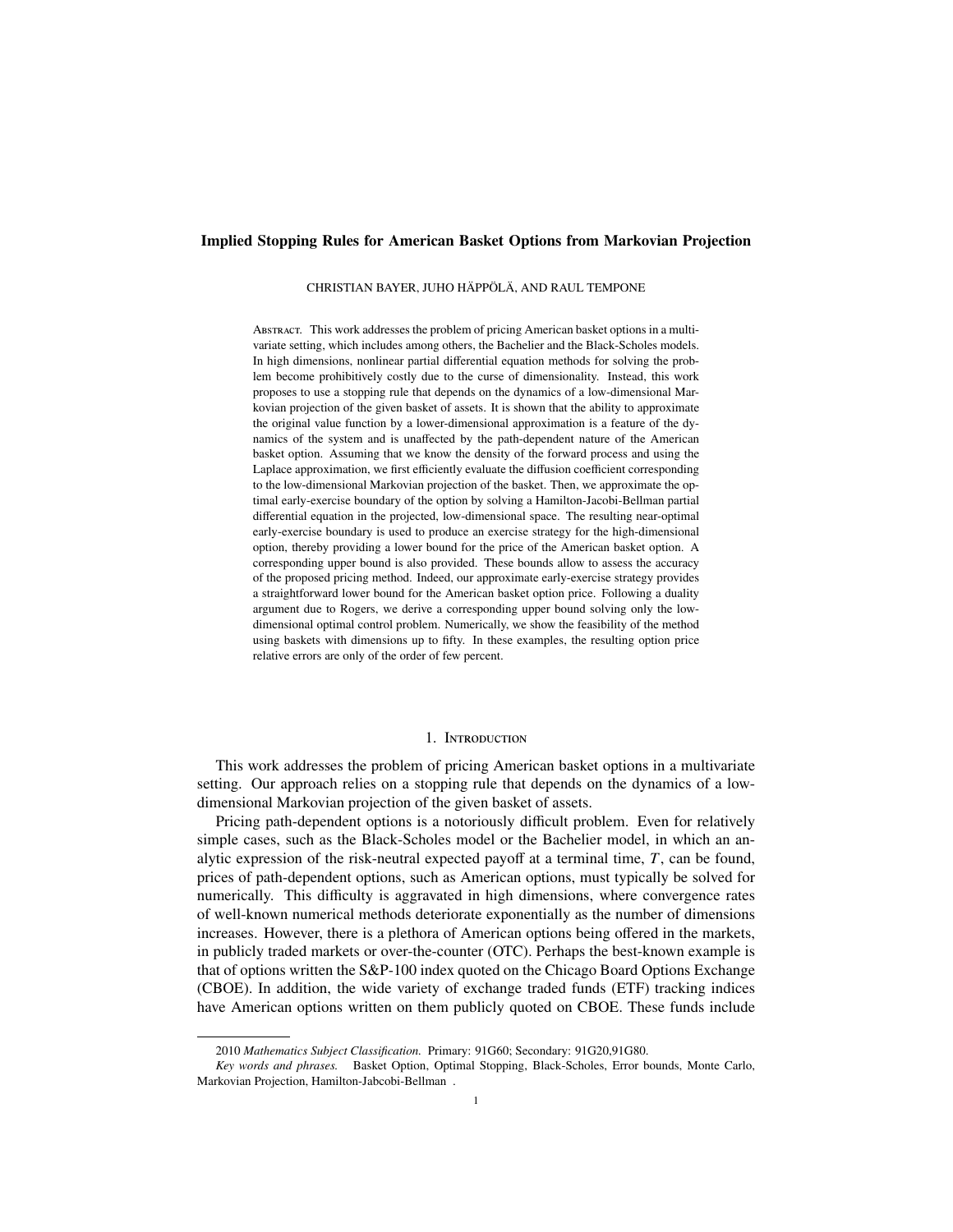## Implied Stopping Rules for American Basket Options from Markovian Projection

### CHRISTIAN BAYER, JUHO HÄPPÖLÄ, AND RAUL TEMPONE

Abstract. This work addresses the problem of pricing American basket options in a multivariate setting, which includes among others, the Bachelier and the Black-Scholes models. In high dimensions, nonlinear partial differential equation methods for solving the problem become prohibitively costly due to the curse of dimensionality. Instead, this work proposes to use a stopping rule that depends on the dynamics of a low-dimensional Markovian projection of the given basket of assets. It is shown that the ability to approximate the original value function by a lower-dimensional approximation is a feature of the dynamics of the system and is unaffected by the path-dependent nature of the American basket option. Assuming that we know the density of the forward process and using the Laplace approximation, we first efficiently evaluate the diffusion coefficient corresponding to the low-dimensional Markovian projection of the basket. Then, we approximate the optimal early-exercise boundary of the option by solving a Hamilton-Jacobi-Bellman partial differential equation in the projected, low-dimensional space. The resulting near-optimal early-exercise boundary is used to produce an exercise strategy for the high-dimensional option, thereby providing a lower bound for the price of the American basket option. A corresponding upper bound is also provided. These bounds allow to assess the accuracy of the proposed pricing method. Indeed, our approximate early-exercise strategy provides a straightforward lower bound for the American basket option price. Following a duality argument due to Rogers, we derive a corresponding upper bound solving only the lowdimensional optimal control problem. Numerically, we show the feasibility of the method using baskets with dimensions up to fifty. In these examples, the resulting option price relative errors are only of the order of few percent.

### 1. Introduction

This work addresses the problem of pricing American basket options in a multivariate setting. Our approach relies on a stopping rule that depends on the dynamics of a lowdimensional Markovian projection of the given basket of assets.

Pricing path-dependent options is a notoriously difficult problem. Even for relatively simple cases, such as the Black-Scholes model or the Bachelier model, in which an analytic expression of the risk-neutral expected payoff at a terminal time, *T*, can be found, prices of path-dependent options, such as American options, must typically be solved for numerically. This difficulty is aggravated in high dimensions, where convergence rates of well-known numerical methods deteriorate exponentially as the number of dimensions increases. However, there is a plethora of American options being offered in the markets, in publicly traded markets or over-the-counter (OTC). Perhaps the best-known example is that of options written the S&P-100 index quoted on the Chicago Board Options Exchange (CBOE). In addition, the wide variety of exchange traded funds (ETF) tracking indices have American options written on them publicly quoted on CBOE. These funds include

<sup>2010</sup> *Mathematics Subject Classification.* Primary: 91G60; Secondary: 91G20,91G80.

*Key words and phrases.* Basket Option, Optimal Stopping, Black-Scholes, Error bounds, Monte Carlo, Markovian Projection, Hamilton-Jabcobi-Bellman .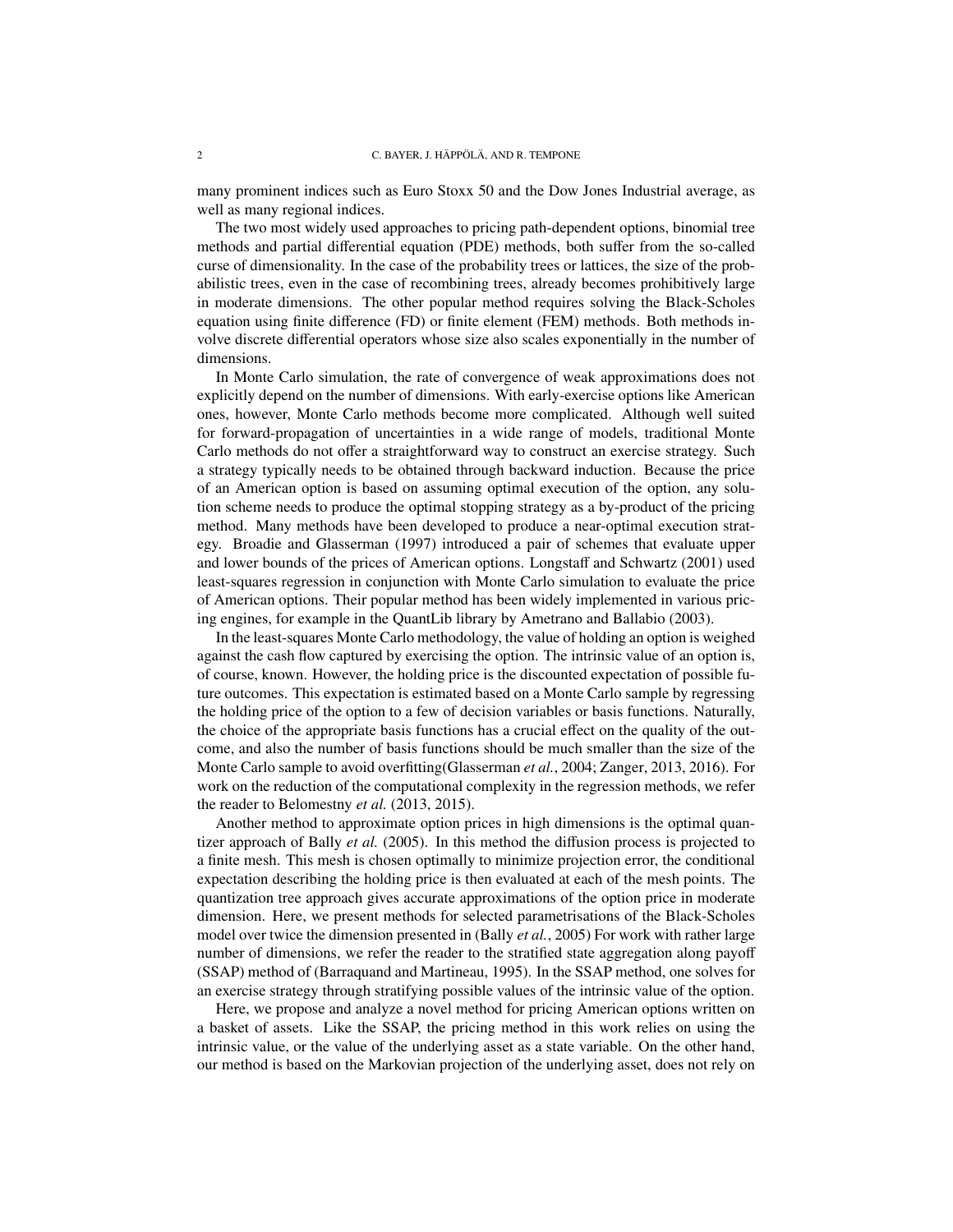many prominent indices such as Euro Stoxx 50 and the Dow Jones Industrial average, as well as many regional indices.

The two most widely used approaches to pricing path-dependent options, binomial tree methods and partial differential equation (PDE) methods, both suffer from the so-called curse of dimensionality. In the case of the probability trees or lattices, the size of the probabilistic trees, even in the case of recombining trees, already becomes prohibitively large in moderate dimensions. The other popular method requires solving the Black-Scholes equation using finite difference (FD) or finite element (FEM) methods. Both methods involve discrete differential operators whose size also scales exponentially in the number of dimensions.

In Monte Carlo simulation, the rate of convergence of weak approximations does not explicitly depend on the number of dimensions. With early-exercise options like American ones, however, Monte Carlo methods become more complicated. Although well suited for forward-propagation of uncertainties in a wide range of models, traditional Monte Carlo methods do not offer a straightforward way to construct an exercise strategy. Such a strategy typically needs to be obtained through backward induction. Because the price of an American option is based on assuming optimal execution of the option, any solution scheme needs to produce the optimal stopping strategy as a by-product of the pricing method. Many methods have been developed to produce a near-optimal execution strategy. Broadie and Glasserman (1997) introduced a pair of schemes that evaluate upper and lower bounds of the prices of American options. Longstaff and Schwartz (2001) used least-squares regression in conjunction with Monte Carlo simulation to evaluate the price of American options. Their popular method has been widely implemented in various pricing engines, for example in the QuantLib library by Ametrano and Ballabio (2003).

In the least-squares Monte Carlo methodology, the value of holding an option is weighed against the cash flow captured by exercising the option. The intrinsic value of an option is, of course, known. However, the holding price is the discounted expectation of possible future outcomes. This expectation is estimated based on a Monte Carlo sample by regressing the holding price of the option to a few of decision variables or basis functions. Naturally, the choice of the appropriate basis functions has a crucial effect on the quality of the outcome, and also the number of basis functions should be much smaller than the size of the Monte Carlo sample to avoid overfitting(Glasserman *et al.*, 2004; Zanger, 2013, 2016). For work on the reduction of the computational complexity in the regression methods, we refer the reader to Belomestny *et al.* (2013, 2015).

Another method to approximate option prices in high dimensions is the optimal quantizer approach of Bally *et al.* (2005). In this method the diffusion process is projected to a finite mesh. This mesh is chosen optimally to minimize projection error, the conditional expectation describing the holding price is then evaluated at each of the mesh points. The quantization tree approach gives accurate approximations of the option price in moderate dimension. Here, we present methods for selected parametrisations of the Black-Scholes model over twice the dimension presented in (Bally *et al.*, 2005) For work with rather large number of dimensions, we refer the reader to the stratified state aggregation along payoff (SSAP) method of (Barraquand and Martineau, 1995). In the SSAP method, one solves for an exercise strategy through stratifying possible values of the intrinsic value of the option.

Here, we propose and analyze a novel method for pricing American options written on a basket of assets. Like the SSAP, the pricing method in this work relies on using the intrinsic value, or the value of the underlying asset as a state variable. On the other hand, our method is based on the Markovian projection of the underlying asset, does not rely on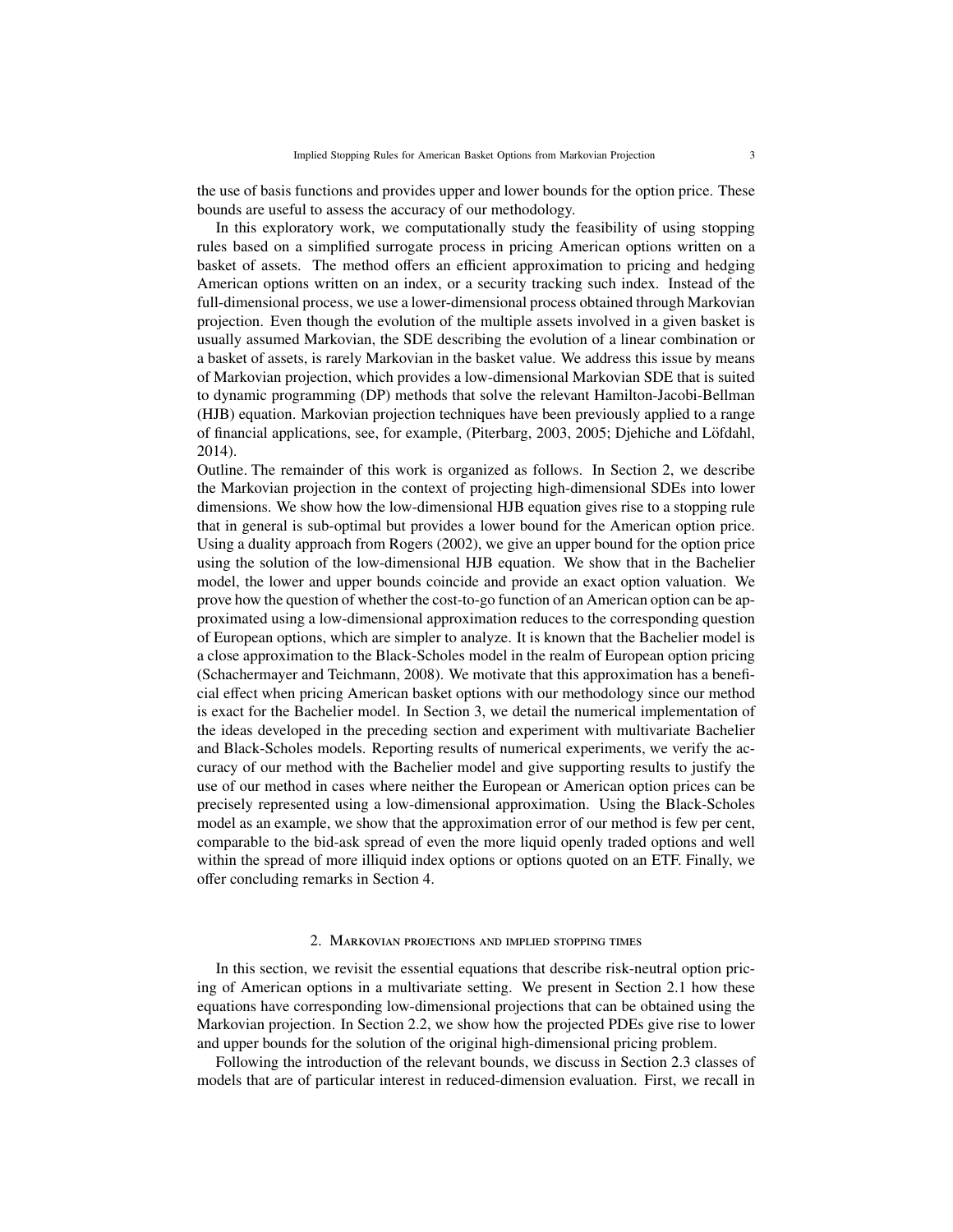the use of basis functions and provides upper and lower bounds for the option price. These bounds are useful to assess the accuracy of our methodology.

In this exploratory work, we computationally study the feasibility of using stopping rules based on a simplified surrogate process in pricing American options written on a basket of assets. The method offers an efficient approximation to pricing and hedging American options written on an index, or a security tracking such index. Instead of the full-dimensional process, we use a lower-dimensional process obtained through Markovian projection. Even though the evolution of the multiple assets involved in a given basket is usually assumed Markovian, the SDE describing the evolution of a linear combination or a basket of assets, is rarely Markovian in the basket value. We address this issue by means of Markovian projection, which provides a low-dimensional Markovian SDE that is suited to dynamic programming (DP) methods that solve the relevant Hamilton-Jacobi-Bellman (HJB) equation. Markovian projection techniques have been previously applied to a range of financial applications, see, for example, (Piterbarg, 2003, 2005; Djehiche and Lofdahl, ¨ 2014).

Outline. The remainder of this work is organized as follows. In Section 2, we describe the Markovian projection in the context of projecting high-dimensional SDEs into lower dimensions. We show how the low-dimensional HJB equation gives rise to a stopping rule that in general is sub-optimal but provides a lower bound for the American option price. Using a duality approach from Rogers (2002), we give an upper bound for the option price using the solution of the low-dimensional HJB equation. We show that in the Bachelier model, the lower and upper bounds coincide and provide an exact option valuation. We prove how the question of whether the cost-to-go function of an American option can be approximated using a low-dimensional approximation reduces to the corresponding question of European options, which are simpler to analyze. It is known that the Bachelier model is a close approximation to the Black-Scholes model in the realm of European option pricing (Schachermayer and Teichmann, 2008). We motivate that this approximation has a beneficial effect when pricing American basket options with our methodology since our method is exact for the Bachelier model. In Section 3, we detail the numerical implementation of the ideas developed in the preceding section and experiment with multivariate Bachelier and Black-Scholes models. Reporting results of numerical experiments, we verify the accuracy of our method with the Bachelier model and give supporting results to justify the use of our method in cases where neither the European or American option prices can be precisely represented using a low-dimensional approximation. Using the Black-Scholes model as an example, we show that the approximation error of our method is few per cent, comparable to the bid-ask spread of even the more liquid openly traded options and well within the spread of more illiquid index options or options quoted on an ETF. Finally, we offer concluding remarks in Section 4.

## 2. Markovian projections and implied stopping times

In this section, we revisit the essential equations that describe risk-neutral option pricing of American options in a multivariate setting. We present in Section 2.1 how these equations have corresponding low-dimensional projections that can be obtained using the Markovian projection. In Section 2.2, we show how the projected PDEs give rise to lower and upper bounds for the solution of the original high-dimensional pricing problem.

Following the introduction of the relevant bounds, we discuss in Section 2.3 classes of models that are of particular interest in reduced-dimension evaluation. First, we recall in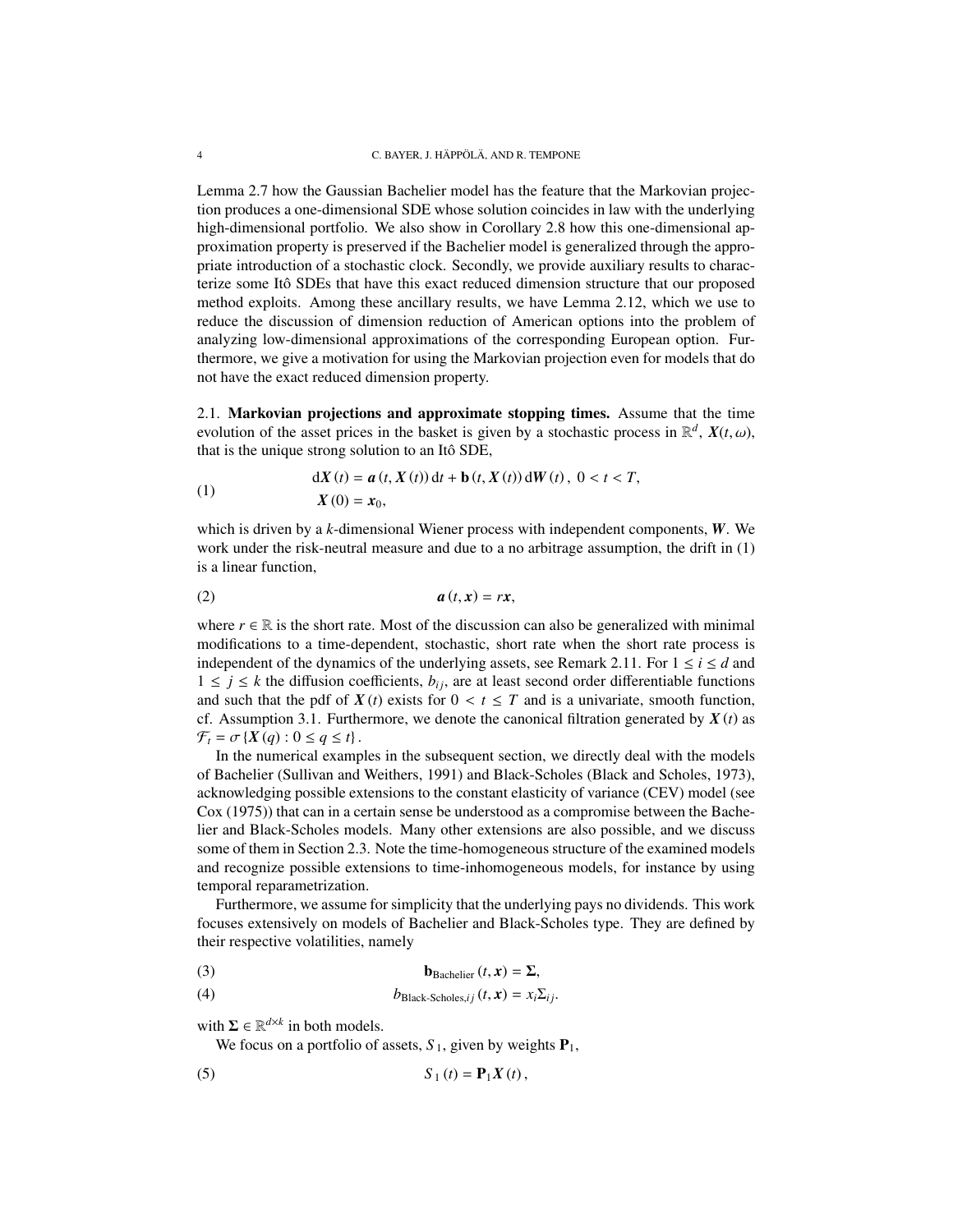Lemma 2.7 how the Gaussian Bachelier model has the feature that the Markovian projection produces a one-dimensional SDE whose solution coincides in law with the underlying high-dimensional portfolio. We also show in Corollary 2.8 how this one-dimensional approximation property is preserved if the Bachelier model is generalized through the appropriate introduction of a stochastic clock. Secondly, we provide auxiliary results to characterize some Itô SDEs that have this exact reduced dimension structure that our proposed method exploits. Among these ancillary results, we have Lemma 2.12, which we use to reduce the discussion of dimension reduction of American options into the problem of analyzing low-dimensional approximations of the corresponding European option. Furthermore, we give a motivation for using the Markovian projection even for models that do not have the exact reduced dimension property.

2.1. Markovian projections and approximate stopping times. Assume that the time evolution of the asset prices in the basket is given by a stochastic process in  $\mathbb{R}^d$ ,  $X(t, \omega)$ , that is the unique strong solution to an Itâ SDE that is the unique strong solution to an Itô SDE,

(1) 
$$
dX(t) = a(t, X(t)) dt + b(t, X(t)) dW(t), 0 < t < T,
$$

$$
X(0) = x_0,
$$

which is driven by a *k*-dimensional Wiener process with independent components, *W*. We work under the risk-neutral measure and due to a no arbitrage assumption, the drift in (1) is a linear function,

$$
a(t,x)=rx,
$$

where  $r \in \mathbb{R}$  is the short rate. Most of the discussion can also be generalized with minimal modifications to a time-dependent, stochastic, short rate when the short rate process is independent of the dynamics of the underlying assets, see Remark 2.11. For  $1 \le i \le d$  and  $1 ≤ j ≤ k$  the diffusion coefficients,  $b_{ij}$ , are at least second order differentiable functions and such that the pdf of  $X(t)$  exists for  $0 < t \leq T$  and is a univariate, smooth function, cf. Assumption 3.1. Furthermore, we denote the canonical filtration generated by  $X(t)$  as  $\mathcal{F}_t = \sigma\left\{X(q): 0 \leq q \leq t\right\}.$ 

In the numerical examples in the subsequent section, we directly deal with the models of Bachelier (Sullivan and Weithers, 1991) and Black-Scholes (Black and Scholes, 1973), acknowledging possible extensions to the constant elasticity of variance (CEV) model (see Cox (1975)) that can in a certain sense be understood as a compromise between the Bachelier and Black-Scholes models. Many other extensions are also possible, and we discuss some of them in Section 2.3. Note the time-homogeneous structure of the examined models and recognize possible extensions to time-inhomogeneous models, for instance by using temporal reparametrization.

Furthermore, we assume for simplicity that the underlying pays no dividends. This work focuses extensively on models of Bachelier and Black-Scholes type. They are defined by their respective volatilities, namely

(3) 
$$
\mathbf{b}_{\text{Bachelier}}(t, \mathbf{x}) = \Sigma,
$$

(4) 
$$
b_{\text{Black-Scholes},ij}(t,\mathbf{x}) = x_i \Sigma_{ij}.
$$

with  $\Sigma \in \mathbb{R}^{d \times k}$  in both models.

We focus on a portfolio of assets,  $S_1$ , given by weights  $P_1$ ,

(5) 
$$
S_1(t) = \mathbf{P}_1 X(t),
$$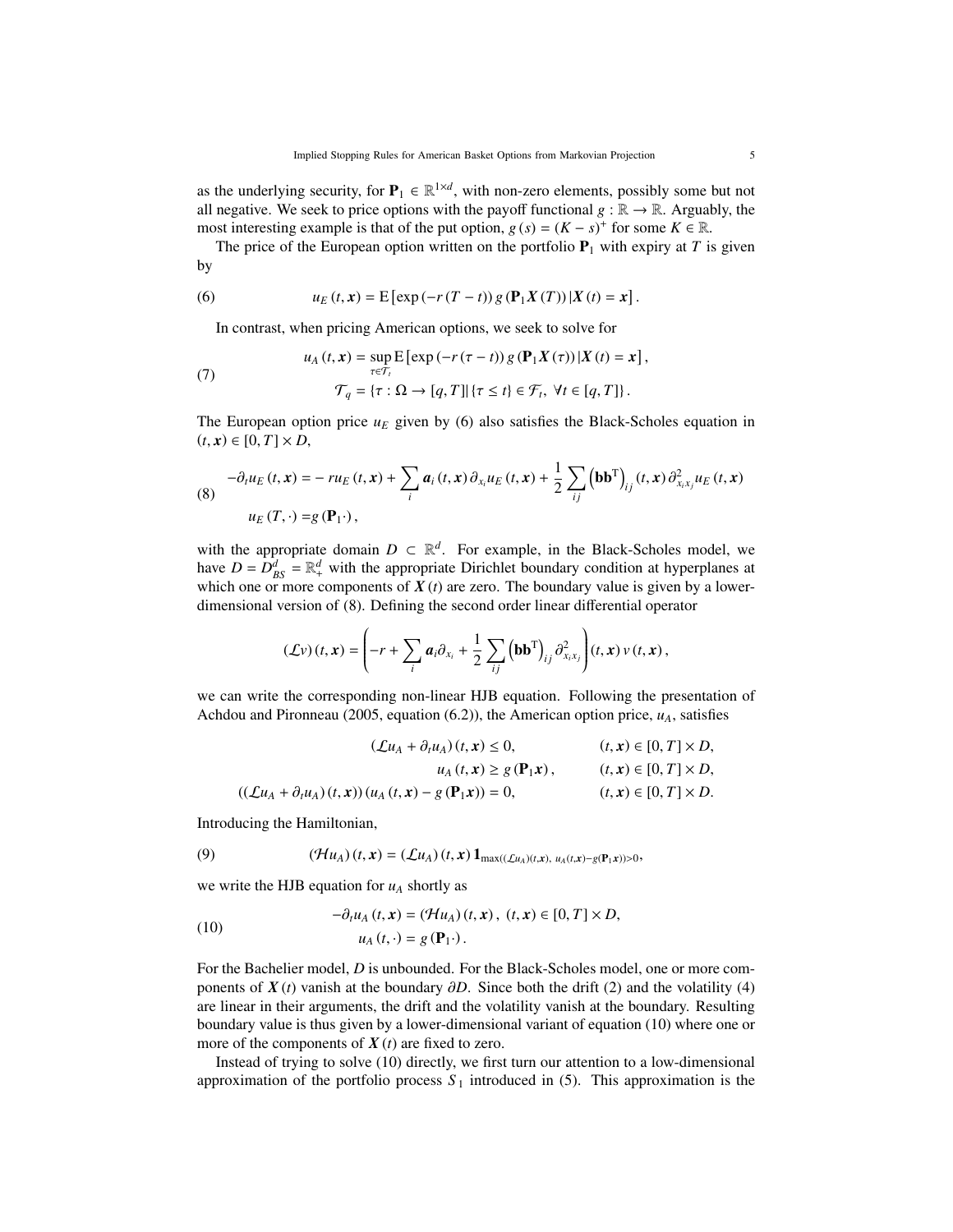as the underlying security, for  $P_1 \in \mathbb{R}^{1 \times d}$ , with non-zero elements, possibly some but not all negative. We seek to price options with the payoff functional  $g : \mathbb{R} \to \mathbb{R}$ . Arguably, the most interesting example is that of the put option,  $g(s) = (K - s)^{+}$  for some  $K \in \mathbb{R}$ .

The price of the European option written on the portfolio  $P_1$  with expiry at *T* is given by

(6) 
$$
u_E(t, x) = E \left[ exp(-r(T - t)) g(P_1 X(T)) | X(t) = x \right].
$$

In contrast, when pricing American options, we seek to solve for

(7) 
$$
u_A(t, x) = \sup_{\tau \in \mathcal{T}_t} E[\exp(-r(\tau - t)) g(P_1 X(\tau)) | X(t) = x],
$$

$$
\mathcal{T}_q = \{\tau : \Omega \to [q, T] | \{\tau \le t\} \in \mathcal{F}_t, \ \forall t \in [q, T] \}.
$$

The European option price  $u_E$  given by (6) also satisfies the Black-Scholes equation in  $(t, x) \in [0, T] \times D$ ,

(8) 
$$
-\partial_t u_E(t, \mathbf{x}) = -r u_E(t, \mathbf{x}) + \sum_i a_i(t, \mathbf{x}) \partial_{x_i} u_E(t, \mathbf{x}) + \frac{1}{2} \sum_{ij} (\mathbf{b} \mathbf{b}^T)_{ij}(t, \mathbf{x}) \partial_{x_i x_j}^2 u_E(t, \mathbf{x})
$$

$$
u_E(T, \cdot) = g(\mathbf{P}_1 \cdot),
$$

with the appropriate domain  $D \subset \mathbb{R}^d$ . For example, in the Black-Scholes model, we have  $D = D_{BS}^d = \mathbb{R}_+^d$  with the appropriate Dirichlet boundary condition at hyperplanes at which one or more components of  $X(t)$  are zero. The boundary value is given by a lowerdimensional version of (8). Defining the second order linear differential operator

$$
\left(\mathcal{L}\nu\right)(t,\mathbf{x})=\left(-r+\sum_i a_i\partial_{x_i}+\frac{1}{2}\sum_{ij}\left(\mathbf{b}\mathbf{b}^{\mathrm{T}}\right)_{ij}\partial_{x_ix_j}^2\right)(t,\mathbf{x})\,\nu\left(t,\mathbf{x}\right),\,
$$

we can write the corresponding non-linear HJB equation. Following the presentation of Achdou and Pironneau (2005, equation (6.2)), the American option price, *uA*, satisfies

$$
(\mathcal{L}u_A + \partial_t u_A)(t, \mathbf{x}) \le 0, \qquad (t, \mathbf{x}) \in [0, T] \times D,
$$
  
\n
$$
u_A(t, \mathbf{x}) \ge g(\mathbf{P}_1 \mathbf{x}), \qquad (t, \mathbf{x}) \in [0, T] \times D,
$$
  
\n
$$
((\mathcal{L}u_A + \partial_t u_A)(t, \mathbf{x})) (u_A(t, \mathbf{x}) - g(\mathbf{P}_1 \mathbf{x})) = 0, \qquad (t, \mathbf{x}) \in [0, T] \times D.
$$

Introducing the Hamiltonian,

(9)  $(\mathcal{H}u_A)(t, \mathbf{x}) = (\mathcal{L}u_A)(t, \mathbf{x}) \mathbf{1}_{\max((\mathcal{L}u_A)(t, \mathbf{x}), u_A(t, \mathbf{x}) - g(\mathbf{P}_1 \mathbf{x})) > 0},$ 

we write the HJB equation for  $u_A$  shortly as

(10) 
$$
-\partial_t u_A(t, \mathbf{x}) = (\mathcal{H} u_A)(t, \mathbf{x}), (t, \mathbf{x}) \in [0, T] \times D,
$$

$$
u_A(t, \cdot) = g(\mathbf{P}_1 \cdot).
$$

For the Bachelier model, *D* is unbounded. For the Black-Scholes model, one or more components of  $X(t)$  vanish at the boundary  $\partial D$ . Since both the drift (2) and the volatility (4) are linear in their arguments, the drift and the volatility vanish at the boundary. Resulting boundary value is thus given by a lower-dimensional variant of equation (10) where one or more of the components of  $X(t)$  are fixed to zero.

Instead of trying to solve (10) directly, we first turn our attention to a low-dimensional approximation of the portfolio process  $S_1$  introduced in (5). This approximation is the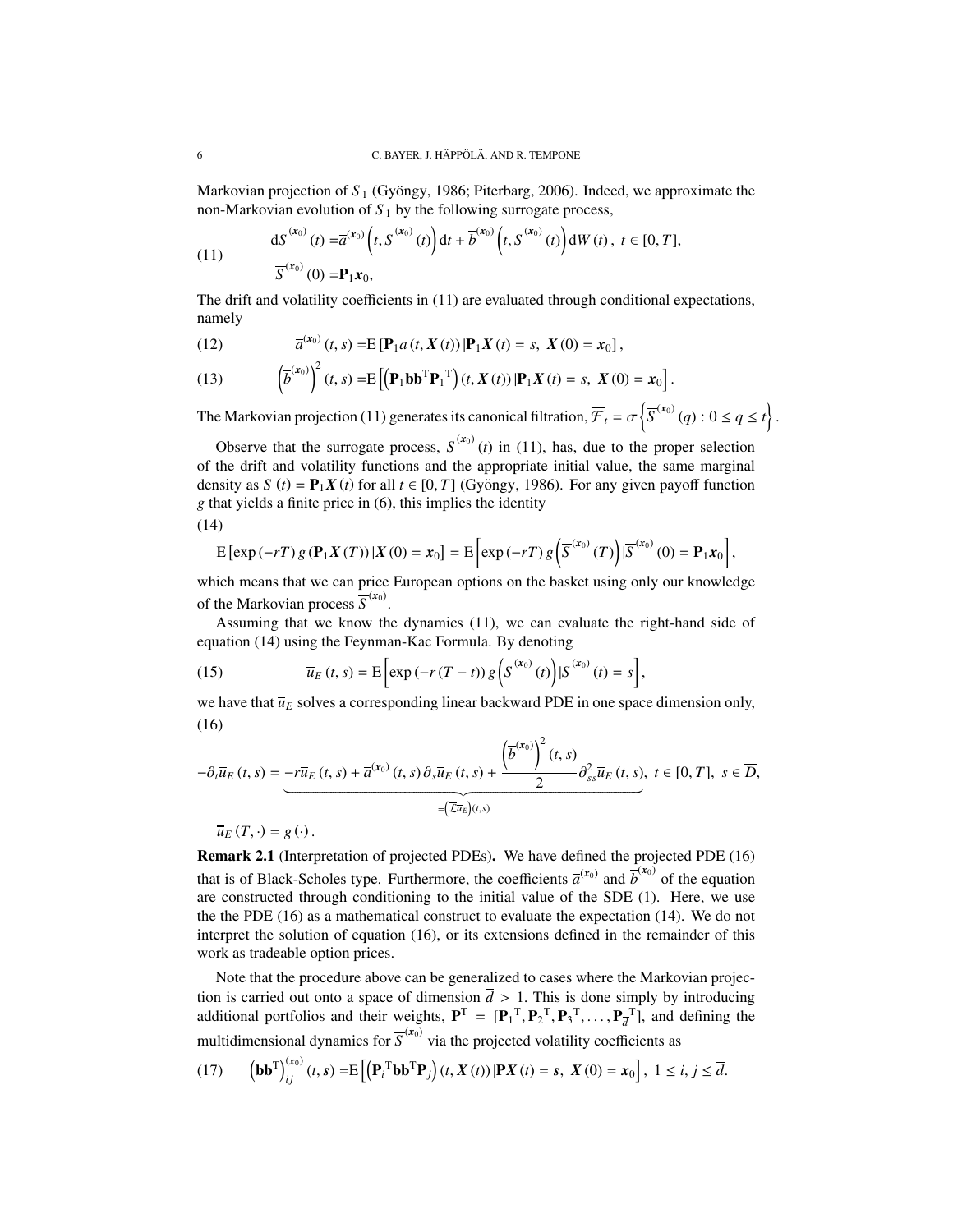Markovian projection of *S*<sub>1</sub> (Gyöngy, 1986; Piterbarg, 2006). Indeed, we approximate the non-Markovian evolution of  $S_1$  by the following surrogate process,

(11) 
$$
d\overline{S}^{(x_0)}(t) = \overline{a}^{(x_0)}(t, \overline{S}^{(x_0)}(t)) dt + \overline{b}^{(x_0)}(t, \overline{S}^{(x_0)}(t)) dW(t), t \in [0, T],
$$
  

$$
\overline{S}^{(x_0)}(0) = P_1 x_0,
$$

The drift and volatility coefficients in (11) are evaluated through conditional expectations, namely

(12) 
$$
\overline{a}^{(x_0)}(t,s) = E[\mathbf{P}_1 a(t, X(t)) | \mathbf{P}_1 X(t) = s, X(0) = x_0],
$$

(13) 
$$
\left(\overline{b}^{(x_0)}\right)^2 (t,s) = E\left[\left(\mathbf{P}_1 \mathbf{b} \mathbf{b}^T \mathbf{P}_1^T\right) (t, X(t)) | \mathbf{P}_1 X(t) = s, X(0) = x_0\right].
$$

The Markovian projection (11) generates its canonical filtration,  $\overline{\mathcal{F}}_t = \sigma \left\{ \overline{S}^{(x_0)}(q) : 0 \le q \le t \right\}$ 

Observe that the surrogate process,  $\overline{S}^{(x_0)}(t)$  in (11), has, due to the proper selection of the drift and volatility functions and the appropriate initial value, the same marginal density as *S* (*t*) =  $P_1X(t)$  for all  $t \in [0, T]$  (Gyöngy, 1986). For any given payoff function *g* that yields a finite price in (6), this implies the identity

$$
(14)
$$

$$
E\left[\exp\left(-rT\right)g\left(\mathbf{P}_1X\left(T\right)\right)|X\left(0\right)=\mathbf{x}_0\right]=E\left[\exp\left(-rT\right)g\left(\overline{S}^{(x_0)}\left(T\right)\right)|\overline{S}^{(x_0)}\left(0\right)=\mathbf{P}_1\mathbf{x}_0\right],
$$

which means that we can price European options on the basket using only our knowledge of the Markovian process  $\overline{S}^{(x_0)}$ .

Assuming that we know the dynamics (11), we can evaluate the right-hand side of equation (14) using the Feynman-Kac Formula. By denoting

(15) 
$$
\overline{u}_E(t,s) = \mathbb{E}\left[\exp\left(-r(T-t)\right)g\left(\overline{S}^{(x_0)}(t)\right)\left|\overline{S}^{(x_0)}(t)\right| = s\right],
$$

we have that  $\overline{u}_E$  solves a corresponding linear backward PDE in one space dimension only, (16)

$$
-\partial_t \overline{u}_E(t,s) = -r\overline{u}_E(t,s) + \overline{a}^{(x_0)}(t,s)\partial_s \overline{u}_E(t,s) + \frac{\left(\overline{b}^{(x_0)}\right)^2(t,s)}{2}\partial_{ss}^2 \overline{u}_E(t,s), \ t \in [0,T], \ s \in \overline{D},
$$
  

$$
\equiv (\overline{\mathcal{L}u}_E)(t,s)
$$

 $\overline{u}_E(T, \cdot) = g(\cdot).$ 

Remark 2.1 (Interpretation of projected PDEs). We have defined the projected PDE (16) that is of Black-Scholes type. Furthermore, the coefficients  $\overline{a}^{(x_0)}$  and  $\overline{b}^{(x_0)}$  of the equation are constructed through conditioning to the initial value of the SDE (1). Here, we use the the PDE (16) as a mathematical construct to evaluate the expectation (14). We do not interpret the solution of equation (16), or its extensions defined in the remainder of this work as tradeable option prices.

Note that the procedure above can be generalized to cases where the Markovian projection is carried out onto a space of dimension  $d > 1$ . This is done simply by introducing<br>additional portfolios and their weights,  $\mathbf{P}^T = [\mathbf{P}_1^T, \mathbf{P}_2^T, \mathbf{P}_3^T, \dots, \mathbf{P}_d^T]$ , and defining the multidimensional dynamics for  $\overline{S}^{(x_0)}$  via the projected volatility coefficients as

$$
(17) \qquad \left(\mathbf{b}\mathbf{b}^{\mathrm{T}}\right)_{ij}^{(x_0)}(t,s) = \mathbf{E}\left[\left(\mathbf{P}_i^{\mathrm{T}}\mathbf{b}\mathbf{b}^{\mathrm{T}}\mathbf{P}_j\right)(t,X\left(t\right))|\mathbf{P}X\left(t\right) = s,\ X\left(0\right) = x_0\right],\ 1 \le i,j \le \overline{d}.
$$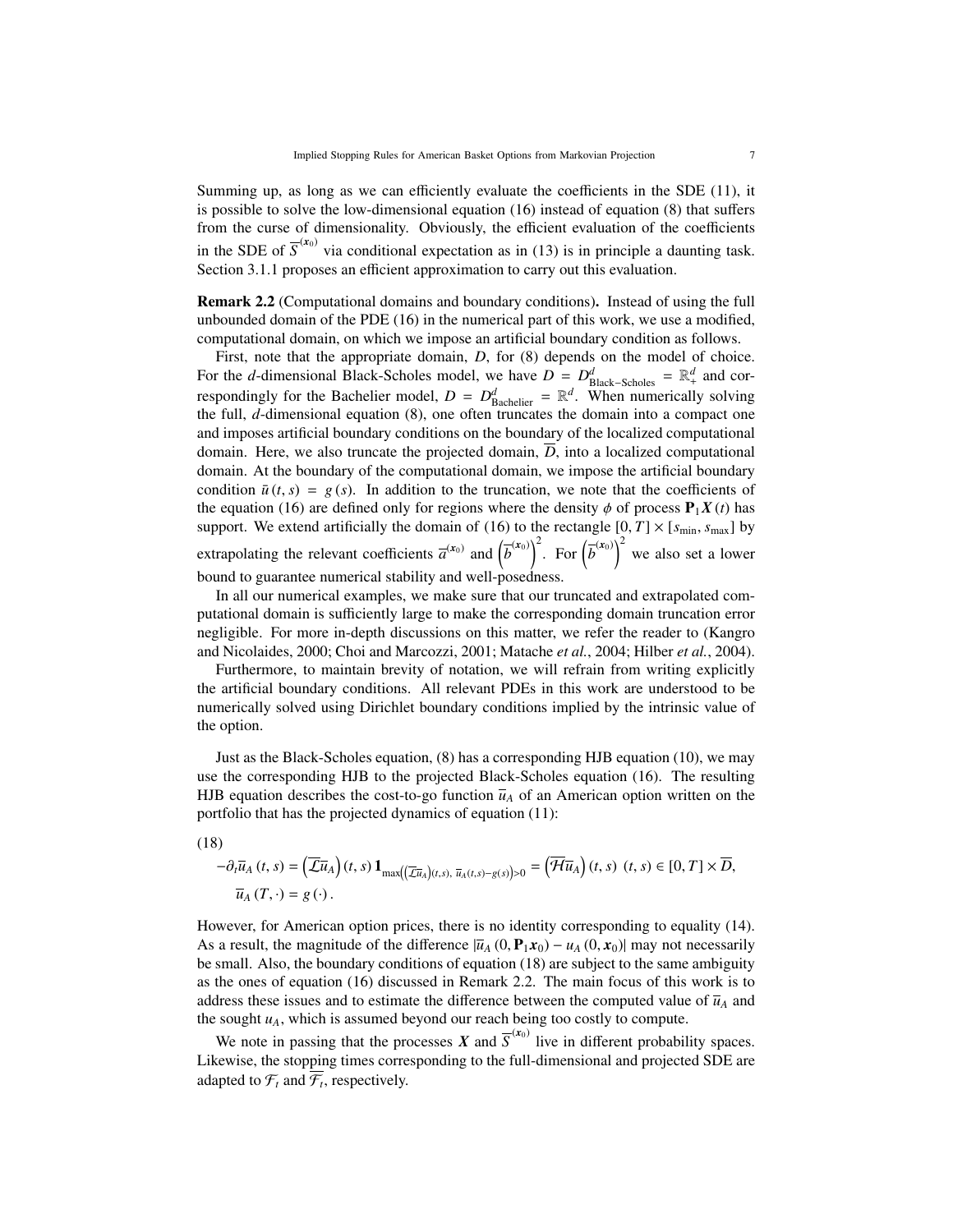Summing up, as long as we can efficiently evaluate the coefficients in the SDE (11), it is possible to solve the low-dimensional equation (16) instead of equation (8) that suffers from the curse of dimensionality. Obviously, the efficient evaluation of the coefficients in the SDE of  $\overline{S}^{(x_0)}$  via conditional expectation as in (13) is in principle a daunting task. Section 3.1.1 proposes an efficient approximation to carry out this evaluation.

Remark 2.2 (Computational domains and boundary conditions). Instead of using the full unbounded domain of the PDE (16) in the numerical part of this work, we use a modified, computational domain, on which we impose an artificial boundary condition as follows.

First, note that the appropriate domain, *D*, for (8) depends on the model of choice. For the *d*-dimensional Black-Scholes model, we have  $D = D_{Black-Scholes}^d = \mathbb{R}^d_+$  and correspondingly for the Bachelier model,  $D = D_{\text{Bachelier}}^d = \mathbb{R}^d$ . When numerically solving the full, *d*-dimensional equation (8), one often truncates the domain into a compact one and imposes artificial boundary conditions on the boundary of the localized computational domain. Here, we also truncate the projected domain,  $\overline{D}$ , into a localized computational domain. At the boundary of the computational domain, we impose the artificial boundary condition  $\bar{u}(t, s) = g(s)$ . In addition to the truncation, we note that the coefficients of the equation (16) are defined only for regions where the density  $\phi$  of process  $P_1X(t)$  has support. We extend artificially the domain of (16) to the rectangle [0, *T*]  $\times$  [*s*<sub>min</sub>, *s*<sub>max</sub>] by support. We extend artificially the domain of (16) to the rectangle  $[0, T] \times [s_{\min}, s_{\max}]$  by extrapolating the relevant coefficients  $\overline{a}^{(x_0)}$  and  $(\overline{b}^{(x_0)})^2$ . For  $(\overline{b}^{(x_0)})^2$  we also set a lower bound to guarantee numerical stability and well-posedness.

In all our numerical examples, we make sure that our truncated and extrapolated computational domain is sufficiently large to make the corresponding domain truncation error negligible. For more in-depth discussions on this matter, we refer the reader to (Kangro and Nicolaides, 2000; Choi and Marcozzi, 2001; Matache *et al.*, 2004; Hilber *et al.*, 2004).

Furthermore, to maintain brevity of notation, we will refrain from writing explicitly the artificial boundary conditions. All relevant PDEs in this work are understood to be numerically solved using Dirichlet boundary conditions implied by the intrinsic value of the option.

Just as the Black-Scholes equation, (8) has a corresponding HJB equation (10), we may use the corresponding HJB to the projected Black-Scholes equation (16). The resulting HJB equation describes the cost-to-go function  $\bar{u}_A$  of an American option written on the portfolio that has the projected dynamics of equation (11):

$$
(18)
$$

$$
-\partial_t \overline{u}_A(t,s) = \left(\overline{\mathcal{L}u}_A\right)(t,s) \mathbf{1}_{\max\left(\left(\overline{\mathcal{L}u}_A\right)(t,s),\ \overline{u}_A(t,s)-g(s)\right)>0} = \left(\overline{\mathcal{H}u}_A\right)(t,s) \ (t,s) \in [0,T] \times \overline{D},
$$

$$
\overline{u}_A(T,\cdot) = g(\cdot).
$$

However, for American option prices, there is no identity corresponding to equality (14). As a result, the magnitude of the difference  $|\overline{u}_A(0, P_1x_0) - u_A(0, x_0)|$  may not necessarily be small. Also, the boundary conditions of equation (18) are subject to the same ambiguity as the ones of equation (16) discussed in Remark 2.2. The main focus of this work is to address these issues and to estimate the difference between the computed value of  $\bar{u}_A$  and the sought *uA*, which is assumed beyond our reach being too costly to compute.

We note in passing that the processes *X* and  $\overline{S}^{(x_0)}$  live in different probability spaces. Likewise, the stopping times corresponding to the full-dimensional and projected SDE are adapted to  $\mathcal{F}_t$  and  $\mathcal{F}_t$ , respectively.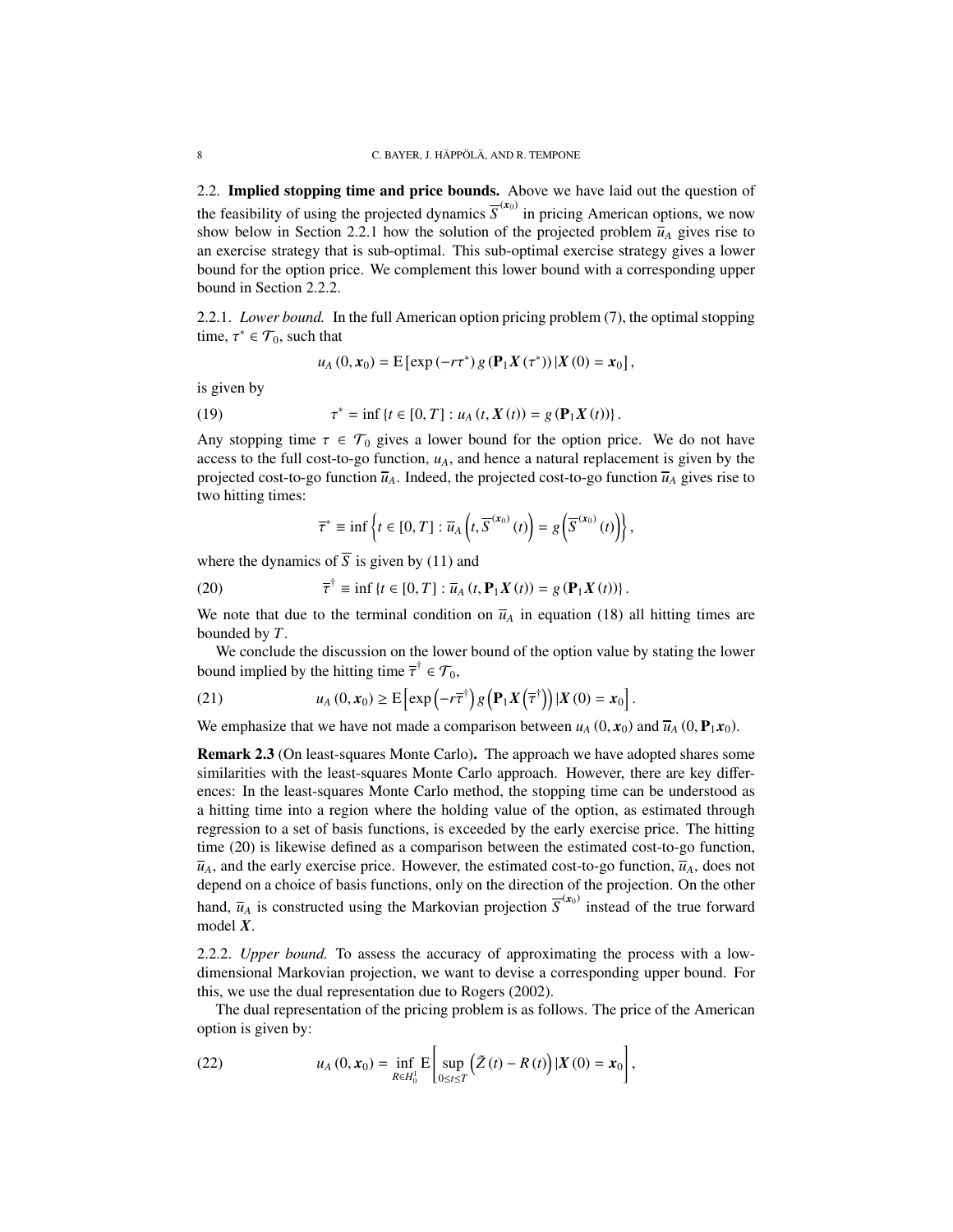2.2. Implied stopping time and price bounds. Above we have laid out the question of the feasibility of using the projected dynamics  $\overline{S}^{(x_0)}$  in pricing American options, we now show below in Section 2.2.1 how the solution of the projected problem  $\overline{u}_A$  gives rise to an exercise strategy that is sub-optimal. This sub-optimal exercise strategy gives a lower bound for the option price. We complement this lower bound with a corresponding upper bound in Section 2.2.2.

2.2.1. *Lower bound.* In the full American option pricing problem (7), the optimal stopping time,  $\tau^* \in \mathcal{T}_0$ , such that

$$
u_A(0, x_0) = \mathbb{E} [\exp(-r\tau^*) g(\mathbf{P}_1 X(\tau^*)) | X(0) = x_0],
$$

is given by

(19) 
$$
\tau^* = \inf \{ t \in [0, T] : u_A(t, X(t)) = g(\mathbf{P}_1 X(t)) \}.
$$

Any stopping time  $\tau \in \mathcal{T}_0$  gives a lower bound for the option price. We do not have access to the full cost-to-go function  $\mu_k$ , and hence a natural replacement is given by the access to the full cost-to-go function,  $u_A$ , and hence a natural replacement is given by the projected cost-to-go function  $\bar{u}_A$ . Indeed, the projected cost-to-go function  $\bar{u}_A$  gives rise to two hitting times:

$$
\overline{\tau}^* \equiv \inf \left\{ t \in [0,T] : \overline{u}_A \left( t , \overline{S}^{(x_0)} \left( t \right) \right) = g \left( \overline{S}^{(x_0)} \left( t \right) \right) \right\},\,
$$

where the dynamics of  $\overline{S}$  is given by (11) and

(20) 
$$
\overline{\tau}^{\dagger} \equiv \inf \left\{ t \in [0, T] : \overline{u}_A \left( t, \mathbf{P}_1 X \left( t \right) \right) = g \left( \mathbf{P}_1 X \left( t \right) \right) \right\}.
$$

We note that due to the terminal condition on  $\bar{u}_A$  in equation (18) all hitting times are bounded by *T*.

We conclude the discussion on the lower bound of the option value by stating the lower bound implied by the hitting time  $\overline{\tau}^{\dagger} \in \mathcal{T}_0$ ,

(21) 
$$
u_A(0, x_0) \geq E\left[\exp\left(-r\overline{\tau}^{\dagger}\right)g\left(\mathbf{P}_1X\left(\overline{\tau}^{\dagger}\right)\right)|X(0) = x_0\right].
$$

We emphasize that we have not made a comparison between  $u_A(0, x_0)$  and  $\overline{u}_A(0, P_1x_0)$ .

Remark 2.3 (On least-squares Monte Carlo). The approach we have adopted shares some similarities with the least-squares Monte Carlo approach. However, there are key differences: In the least-squares Monte Carlo method, the stopping time can be understood as a hitting time into a region where the holding value of the option, as estimated through regression to a set of basis functions, is exceeded by the early exercise price. The hitting time (20) is likewise defined as a comparison between the estimated cost-to-go function,  $\bar{u}_A$ , and the early exercise price. However, the estimated cost-to-go function,  $\bar{u}_A$ , does not depend on a choice of basis functions, only on the direction of the projection. On the other hand,  $\bar{u}_A$  is constructed using the Markovian projection  $\bar{S}^{(x_0)}$  instead of the true forward model *X*.

2.2.2. *Upper bound.* To assess the accuracy of approximating the process with a lowdimensional Markovian projection, we want to devise a corresponding upper bound. For this, we use the dual representation due to Rogers (2002).

The dual representation of the pricing problem is as follows. The price of the American option is given by:

(22) 
$$
u_A(0, x_0) = \inf_{R \in H_0^1} E\left[\sup_{0 \le t \le T} (\tilde{Z}(t) - R(t)) | X(0) = x_0\right],
$$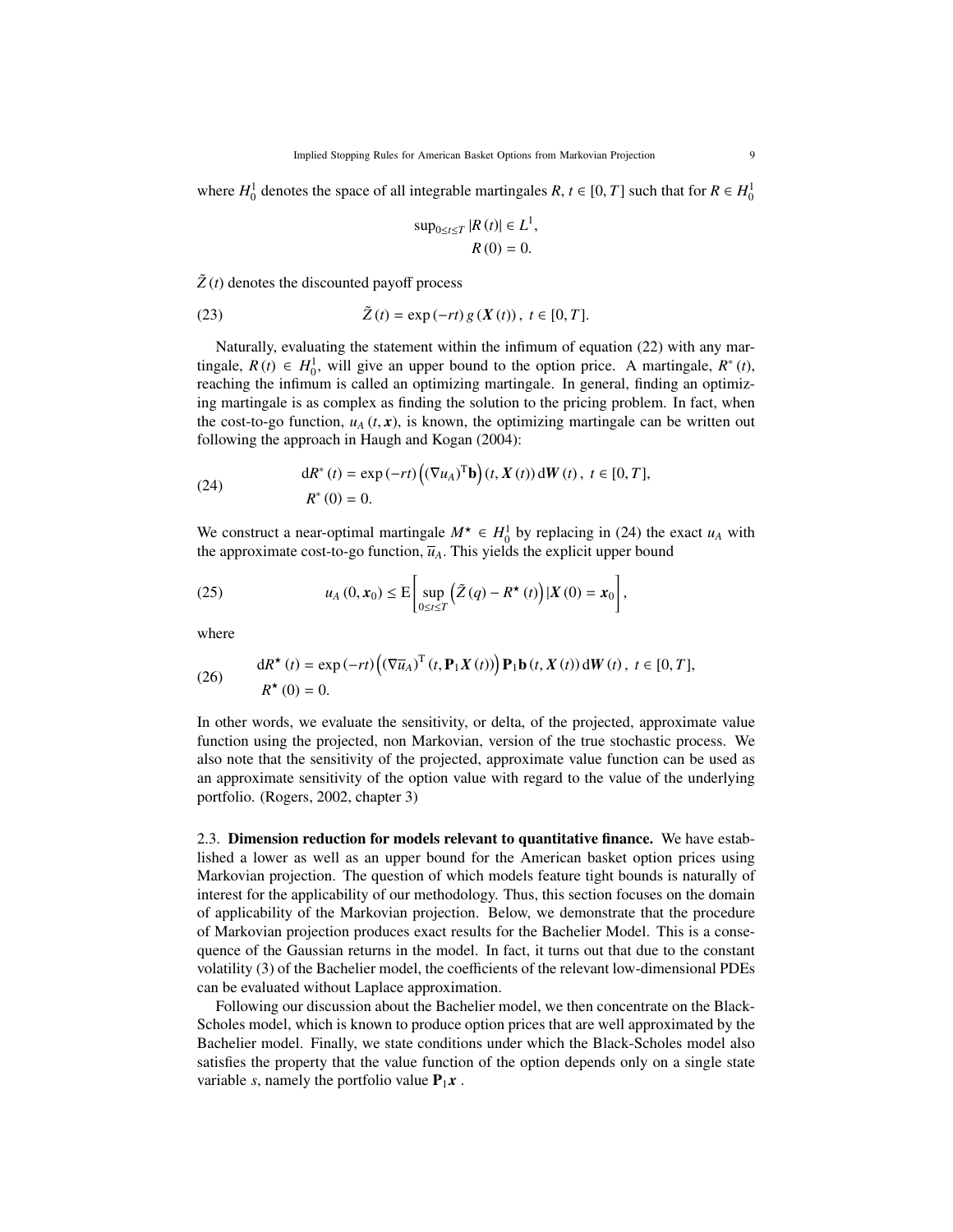where  $H_0^1$  denotes the space of all integrable martingales *R*, *t* ∈ [0, *T*] such that for *R* ∈  $H_0^1$ 

$$
\sup_{0 \le t \le T} |R(t)| \in L^1,
$$
  

$$
R(0) = 0.
$$

 $\tilde{Z}(t)$  denotes the discounted payoff process

(23) 
$$
\tilde{Z}(t) = \exp(-rt) g(X(t)), \ t \in [0, T].
$$

Naturally, evaluating the statement within the infimum of equation (22) with any martingale,  $R(t) \in H_0^1$ , will give an upper bound to the option price. A martingale,  $R^*(t)$ , reaching the infimum is called an optimizing martingale. In general, finding an optimizing martingale is as complex as finding the solution to the pricing problem. In fact, when the cost-to-go function,  $u_A(t, x)$ , is known, the optimizing martingale can be written out following the approach in Haugh and Kogan (2004):

(24) 
$$
dR^*(t) = \exp(-rt) \left( (\nabla u_A)^T \mathbf{b} \right) (t, X(t)) dW(t), t \in [0, T],
$$

$$
R^*(0) = 0.
$$

We construct a near-optimal martingale  $M^* \in H_0^1$  by replacing in (24) the exact *u<sub>A</sub>* with the approximate cost-to-go function,  $\overline{u}_A$ . This yields the explicit upper bound

(25) 
$$
u_A(0, x_0) \leq E \left[ \sup_{0 \leq t \leq T} (\tilde{Z}(q) - R^{\star}(t)) | X(0) = x_0 \right],
$$

where

(26) 
$$
dR^{\star}(t) = \exp(-rt) \left( (\nabla \overline{u}_A)^T (t, \mathbf{P}_1 X(t)) \right) \mathbf{P}_1 \mathbf{b}(t, X(t)) dW(t), t \in [0, T],
$$

$$
R^{\star}(0) = 0.
$$

In other words, we evaluate the sensitivity, or delta, of the projected, approximate value function using the projected, non Markovian, version of the true stochastic process. We also note that the sensitivity of the projected, approximate value function can be used as an approximate sensitivity of the option value with regard to the value of the underlying portfolio. (Rogers, 2002, chapter 3)

2.3. Dimension reduction for models relevant to quantitative finance. We have established a lower as well as an upper bound for the American basket option prices using Markovian projection. The question of which models feature tight bounds is naturally of interest for the applicability of our methodology. Thus, this section focuses on the domain of applicability of the Markovian projection. Below, we demonstrate that the procedure of Markovian projection produces exact results for the Bachelier Model. This is a consequence of the Gaussian returns in the model. In fact, it turns out that due to the constant volatility (3) of the Bachelier model, the coefficients of the relevant low-dimensional PDEs can be evaluated without Laplace approximation.

Following our discussion about the Bachelier model, we then concentrate on the Black-Scholes model, which is known to produce option prices that are well approximated by the Bachelier model. Finally, we state conditions under which the Black-Scholes model also satisfies the property that the value function of the option depends only on a single state variable *s*, namely the portfolio value  $P_1 x$ .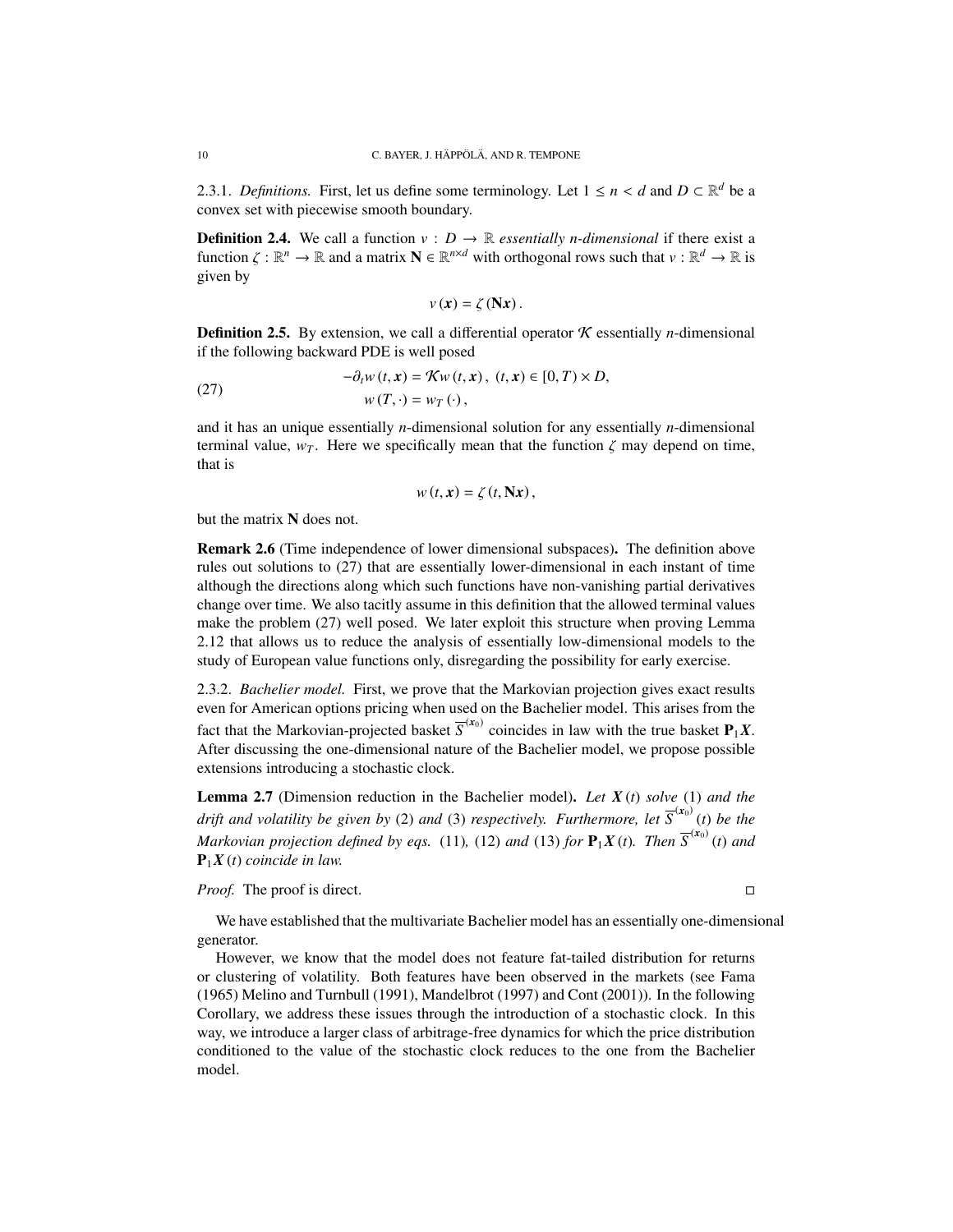2.3.1. *Definitions.* First, let us define some terminology. Let  $1 \le n < d$  and  $D \subset \mathbb{R}^d$  be a convex set with piecewise smooth boundary. convex set with piecewise smooth boundary.

**Definition 2.4.** We call a function  $v : D \to \mathbb{R}$  *essentially n-dimensional* if there exist a function  $\zeta : \mathbb{R}^n \to \mathbb{R}$  and a matrix  $\mathbf{N} \in \mathbb{R}^{n \times d}$  with orthogonal rows such that  $v : \mathbb{R}^d \to \mathbb{R}$  is given by given by

$$
v(x)=\zeta(\mathbf{N}x).
$$

**Definition 2.5.** By extension, we call a differential operator  $K$  essentially *n*-dimensional if the following backward PDE is well posed

(27) 
$$
-\partial_t w(t, x) = \mathcal{K}w(t, x), (t, x) \in [0, T) \times D,
$$

$$
w(T, \cdot) = w_T(\cdot),
$$

and it has an unique essentially *n*-dimensional solution for any essentially *n*-dimensional terminal value,  $w_T$ . Here we specifically mean that the function  $\zeta$  may depend on time, that is

$$
w(t, x) = \zeta(t, \mathbf{N}x),
$$

but the matrix N does not.

Remark 2.6 (Time independence of lower dimensional subspaces). The definition above rules out solutions to (27) that are essentially lower-dimensional in each instant of time although the directions along which such functions have non-vanishing partial derivatives change over time. We also tacitly assume in this definition that the allowed terminal values make the problem (27) well posed. We later exploit this structure when proving Lemma 2.12 that allows us to reduce the analysis of essentially low-dimensional models to the study of European value functions only, disregarding the possibility for early exercise.

2.3.2. *Bachelier model.* First, we prove that the Markovian projection gives exact results even for American options pricing when used on the Bachelier model. This arises from the fact that the Markovian-projected basket  $\overline{S}^{(x_0)}$  coincides in law with the true basket  $P_1X$ . After discussing the one-dimensional nature of the Bachelier model, we propose possible extensions introducing a stochastic clock.

Lemma 2.7 (Dimension reduction in the Bachelier model). *Let X* (*t*) *solve* (1) *and the drift and volatility be given by* (2) *and* (3) *respectively. Furthermore, let*  $\overline{S}^{(x_0)}$  (*t*) *be the Markovian projection defined by eqs.* (11), (12) *and* (13) *for*  $P_1X$  (*t*)*. Then*  $\overline{S}^{(x_0)}$  (*t*) *and*  $P_1X(t)$  *coincide in law.* 

*Proof.* The proof is direct.

We have established that the multivariate Bachelier model has an essentially one-dimensional generator.

However, we know that the model does not feature fat-tailed distribution for returns or clustering of volatility. Both features have been observed in the markets (see Fama (1965) Melino and Turnbull (1991), Mandelbrot (1997) and Cont (2001)). In the following Corollary, we address these issues through the introduction of a stochastic clock. In this way, we introduce a larger class of arbitrage-free dynamics for which the price distribution conditioned to the value of the stochastic clock reduces to the one from the Bachelier model.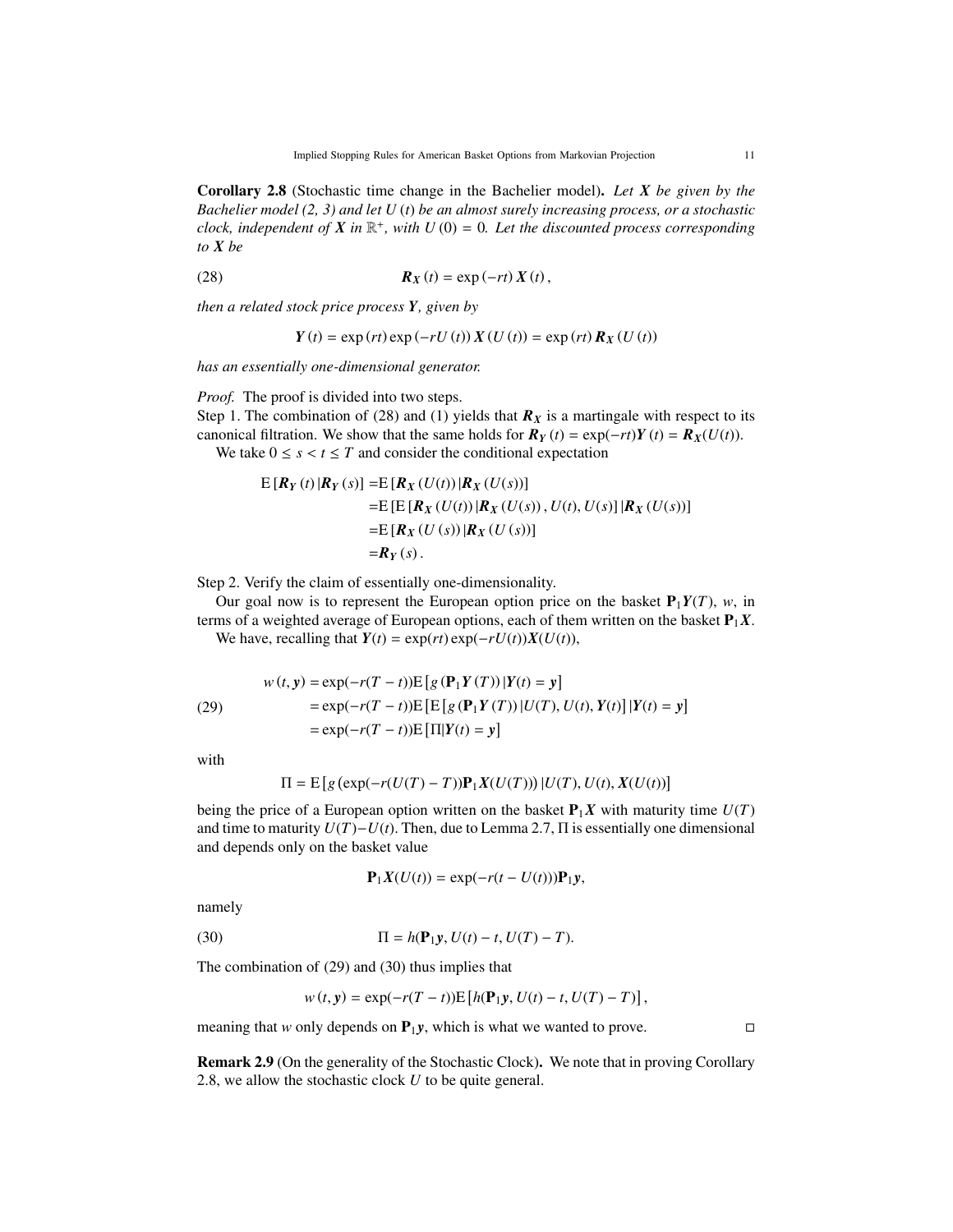Corollary 2.8 (Stochastic time change in the Bachelier model). *Let X be given by the Bachelier model (2, 3) and let U* (*t*) *be an almost surely increasing process, or a stochastic clock, independent of*  $X$  *in*  $\mathbb{R}^+$ *, with*  $U(0) = 0$ *. Let the discounted process corresponding to X be*

(28) 
$$
\boldsymbol{R}_X(t) = \exp(-rt) X(t),
$$

*then a related stock price process Y, given by*

$$
Y(t) = \exp(rt) \exp(-rU(t)) X(U(t)) = \exp(rt) R_X(U(t))
$$

*has an essentially one-dimensional generator.*

*Proof.* The proof is divided into two steps.

Step 1. The combination of (28) and (1) yields that  $\mathbf{R}_X$  is a martingale with respect to its canonical filtration. We show that the same holds for  $R_Y(t) = \exp(-rt)Y(t) = R_X(U(t))$ . We take  $0 \le s < t \le T$  and consider the conditional expectation

$$
E\left[\boldsymbol{R}_{Y}(t)|\boldsymbol{R}_{Y}(s)\right] = E\left[\boldsymbol{R}_{X}\left(U(t)\right)|\boldsymbol{R}_{X}\left(U(s)\right)\right]
$$
  
\n
$$
= E\left[E\left[\boldsymbol{R}_{X}\left(U(t)\right)|\boldsymbol{R}_{X}\left(U(s)\right), U(t), U(s)\right]| \boldsymbol{R}_{X}\left(U(s)\right)\right]
$$
  
\n
$$
= E\left[\boldsymbol{R}_{X}\left(U\left(s\right)\right)|\boldsymbol{R}_{X}\left(U\left(s\right)\right)\right]
$$
  
\n
$$
= \boldsymbol{R}_{Y}\left(s\right).
$$

Step 2. Verify the claim of essentially one-dimensionality.

Our goal now is to represent the European option price on the basket  $P_1Y(T)$ , *w*, in terms of a weighted average of European options, each of them written on the basket  $P_1X$ .

We have, recalling that  $Y(t) = \exp(rt) \exp(-rU(t))X(U(t)),$ 

(29)  
\n
$$
w(t, y) = \exp(-r(T - t))E[g(P_1Y(T))|Y(t) = y]
$$
\n
$$
= \exp(-r(T - t))E[E[g(P_1Y(T))|U(T), U(t), Y(t)]|Y(t) = y]
$$
\n
$$
= \exp(-r(T - t))E[T|Y(t) = y]
$$

with

$$
\Pi = \mathbb{E}\left[g\left(\exp(-r(U(T)-T))\mathbf{P}_1X(U(T))\right)|U(T), U(t), X(U(t))\right]
$$

being the price of a European option written on the basket  $P_1X$  with maturity time  $U(T)$ and time to maturity  $U(T) - U(t)$ . Then, due to Lemma 2.7,  $\Pi$  is essentially one dimensional and depends only on the basket value

$$
\mathbf{P}_1 X(U(t)) = \exp(-r(t-U(t))) \mathbf{P}_1 \mathbf{y},
$$

namely

(30) 
$$
\Pi = h(\mathbf{P}_1 \mathbf{y}, U(t) - t, U(T) - T).
$$

The combination of (29) and (30) thus implies that

$$
w(t, y) = \exp(-r(T - t))E[h(P_1y, U(t) - t, U(T) - T)],
$$

meaning that *w* only depends on  $P_1 y$ , which is what we wanted to prove.

Remark 2.9 (On the generality of the Stochastic Clock). We note that in proving Corollary 2.8, we allow the stochastic clock *U* to be quite general.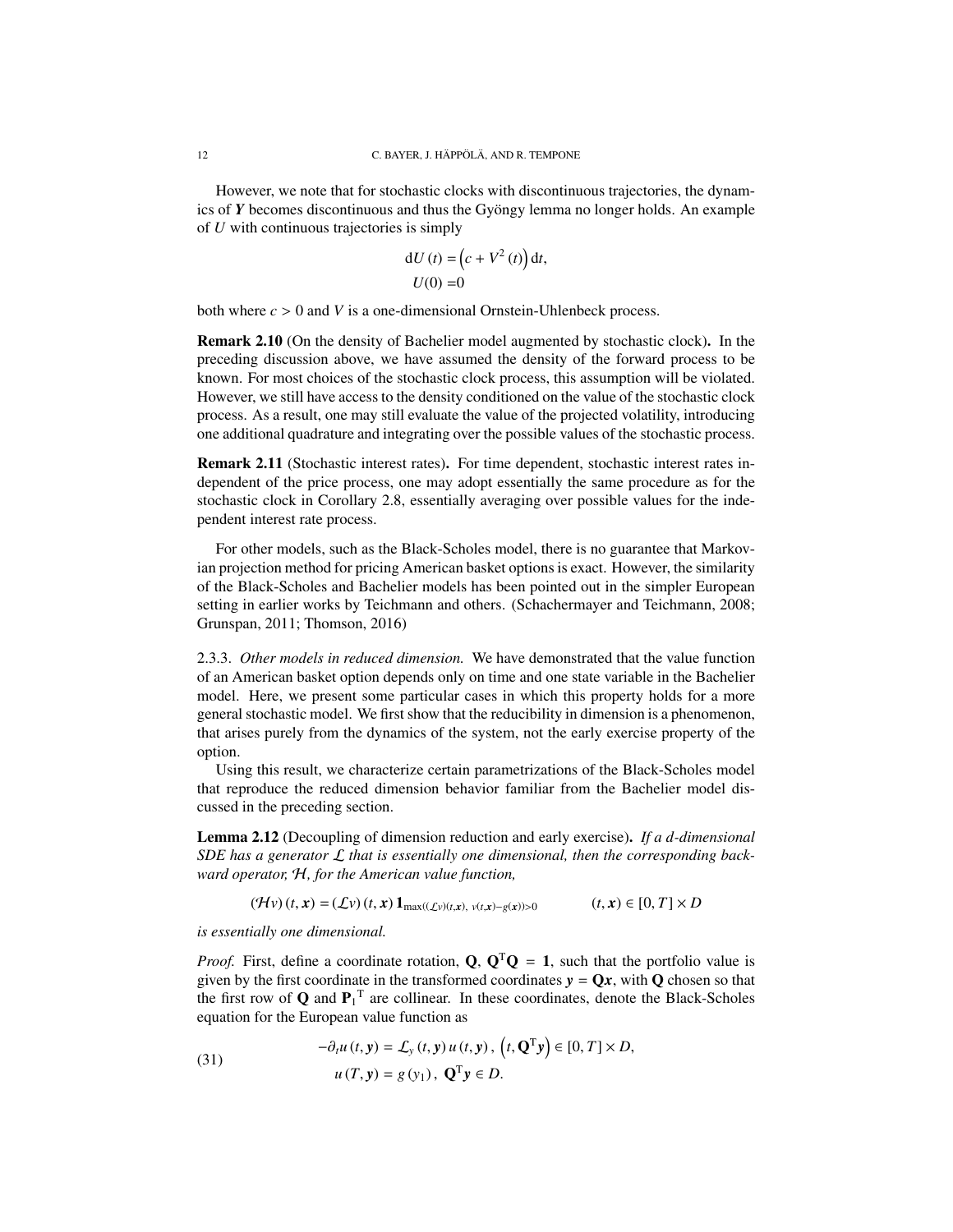However, we note that for stochastic clocks with discontinuous trajectories, the dynamics of *Y* becomes discontinuous and thus the Gyöngy lemma no longer holds. An example of *U* with continuous trajectories is simply

$$
dU(t) = (c + V^2(t)) dt,
$$
  

$$
U(0) = 0
$$

both where *<sup>c</sup>* > 0 and *<sup>V</sup>* is a one-dimensional Ornstein-Uhlenbeck process.

Remark 2.10 (On the density of Bachelier model augmented by stochastic clock). In the preceding discussion above, we have assumed the density of the forward process to be known. For most choices of the stochastic clock process, this assumption will be violated. However, we still have access to the density conditioned on the value of the stochastic clock process. As a result, one may still evaluate the value of the projected volatility, introducing one additional quadrature and integrating over the possible values of the stochastic process.

Remark 2.11 (Stochastic interest rates). For time dependent, stochastic interest rates independent of the price process, one may adopt essentially the same procedure as for the stochastic clock in Corollary 2.8, essentially averaging over possible values for the independent interest rate process.

For other models, such as the Black-Scholes model, there is no guarantee that Markovian projection method for pricing American basket options is exact. However, the similarity of the Black-Scholes and Bachelier models has been pointed out in the simpler European setting in earlier works by Teichmann and others. (Schachermayer and Teichmann, 2008; Grunspan, 2011; Thomson, 2016)

2.3.3. *Other models in reduced dimension.* We have demonstrated that the value function of an American basket option depends only on time and one state variable in the Bachelier model. Here, we present some particular cases in which this property holds for a more general stochastic model. We first show that the reducibility in dimension is a phenomenon, that arises purely from the dynamics of the system, not the early exercise property of the option.

Using this result, we characterize certain parametrizations of the Black-Scholes model that reproduce the reduced dimension behavior familiar from the Bachelier model discussed in the preceding section.

Lemma 2.12 (Decoupling of dimension reduction and early exercise). *If a d-dimensional SDE has a generator* L *that is essentially one dimensional, then the corresponding backward operator,* H*, for the American value function,*

$$
(\mathcal{H}v)(t,\mathbf{x}) = (\mathcal{L}v)(t,\mathbf{x})\mathbf{1}_{\max((\mathcal{L}v)(t,\mathbf{x}),\ v(t,\mathbf{x})-\mathbf{g}(\mathbf{x}))>0} \qquad (t,\mathbf{x}) \in [0,T] \times D
$$

*is essentially one dimensional.*

*Proof.* First, define a coordinate rotation,  $Q$ ,  $Q^TQ = 1$ , such that the portfolio value is given by the first coordinate in the transformed coordinates  $y = Qx$ , with Q chosen so that the first row of **Q** and  $P_1^T$  are collinear. In these coordinates, denote the Black-Scholes equation for the European value function as

(31) 
$$
-\partial_t u(t, y) = \mathcal{L}_y(t, y) u(t, y), (t, \mathbf{Q}^T y) \in [0, T] \times D,
$$

$$
u(T, y) = g(y_1), \mathbf{Q}^T y \in D.
$$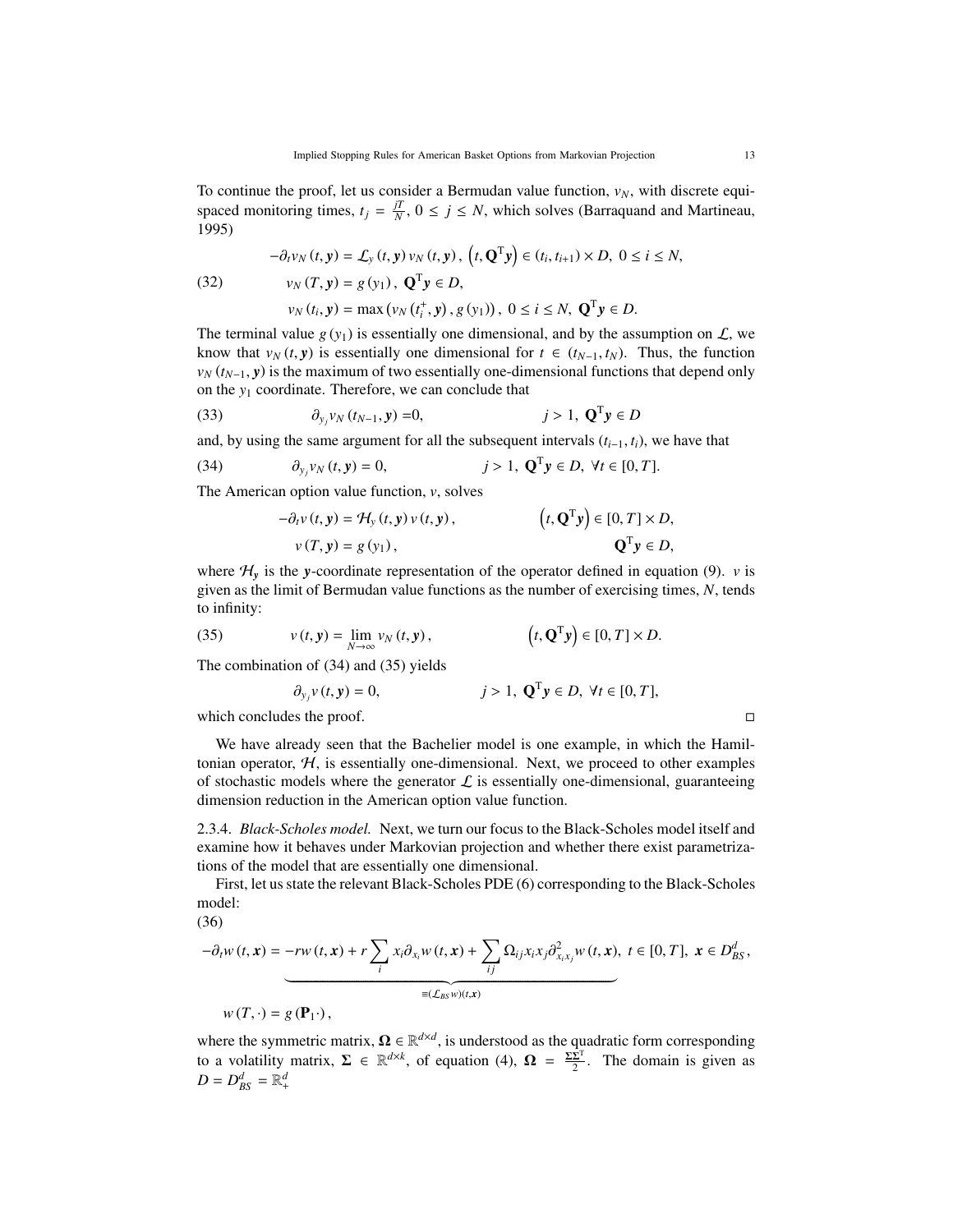To continue the proof, let us consider a Bermudan value function,  $v_N$ , with discrete equispaced monitoring times,  $t_j = \frac{jT}{N}$  $\frac{M}{N}$ ,  $0 \le j \le N$ , which solves (Barraquand and Martineau, 1995)

$$
-\partial_t v_N(t, \mathbf{y}) = \mathcal{L}_y(t, \mathbf{y}) v_N(t, \mathbf{y}), (t, \mathbf{Q}^T \mathbf{y}) \in (t_i, t_{i+1}) \times D, 0 \le i \le N,
$$

(32) 
$$
v_N(T, y) = g(y_1), Q^T y \in D
$$
,

$$
v_N(t_i, y) = \max (v_N(t_i^+, y), g(y_1)), 0 \le i \le N, Q^T y \in D.
$$

The terminal value  $g(y_1)$  is essentially one dimensional, and by the assumption on  $\mathcal{L}$ , we know that  $v_N(t, y)$  is essentially one dimensional for  $t \in (t_{N-1}, t_N)$ . Thus, the function  $v_N(t_{N-1}, y)$  is the maximum of two essentially one-dimensional functions that depend only on the *y*<sup>1</sup> coordinate. Therefore, we can conclude that

(33) 
$$
\partial_{y_j} v_N(t_{N-1}, y) = 0,
$$
  $j > 1, Q^T y \in D$ 

and, by using the same argument for all the subsequent intervals  $(t_{i-1}, t_i)$ , we have that

(34) 
$$
\partial_{y_j} v_N(t, \mathbf{y}) = 0, \qquad j > 1, \ \mathbf{Q}^{\mathrm{T}} \mathbf{y} \in D, \ \forall t \in [0, T].
$$

The American option value function, *v*, solves

$$
-\partial_t v(t, y) = \mathcal{H}_y(t, y) v(t, y), \qquad (t, \mathbf{Q}^T y) \in [0, T] \times D, \n v(T, y) = g(y_1), \qquad \mathbf{Q}^T y \in D,
$$

where  $H_y$  is the *y*-coordinate representation of the operator defined in equation (9). *v* is given as the limit of Bermudan value functions as the number of exercising times, *N*, tends to infinity:

(35) 
$$
v(t, y) = \lim_{N \to \infty} v_N(t, y), \qquad \qquad \left(t, \mathbf{Q}^{\mathrm{T}} y\right) \in [0, T] \times D.
$$

The combination of (34) and (35) yields

$$
\partial_{y_j} v(t, \mathbf{y}) = 0, \qquad j > 1, \ \mathbf{Q}^{\mathrm{T}} \mathbf{y} \in D, \ \forall t \in [0, T],
$$

which concludes the proof.

We have already seen that the Bachelier model is one example, in which the Hamiltonian operator,  $H$ , is essentially one-dimensional. Next, we proceed to other examples of stochastic models where the generator  $\mathcal L$  is essentially one-dimensional, guaranteeing dimension reduction in the American option value function.

2.3.4. *Black-Scholes model.* Next, we turn our focus to the Black-Scholes model itself and examine how it behaves under Markovian projection and whether there exist parametrizations of the model that are essentially one dimensional.

First, let us state the relevant Black-Scholes PDE (6) corresponding to the Black-Scholes model:

(36)

$$
-\partial_t w(t, x) = -rw(t, x) + r \sum_i x_i \partial_{x_i} w(t, x) + \sum_{ij} \Omega_{ij} x_i x_j \partial_{x_i x_j}^2 w(t, x), t \in [0, T], x \in D_{BS}^d,
$$
  

$$
= (\mathcal{L}_{BS} w)(t, x)
$$

 $w(T, \cdot) = g(P_1 \cdot),$ 

where the symmetric matrix,  $\Omega \in \mathbb{R}^{d \times d}$ , is understood as the quadratic form corresponding to a volatility matrix,  $\Sigma \in \mathbb{R}^{d \times k}$ , of equation (4),  $\Omega = \frac{\Sigma \Sigma^{T}}{2}$ . The domain is given as  $D = D_{BS}^d = \mathbb{R}^d_+$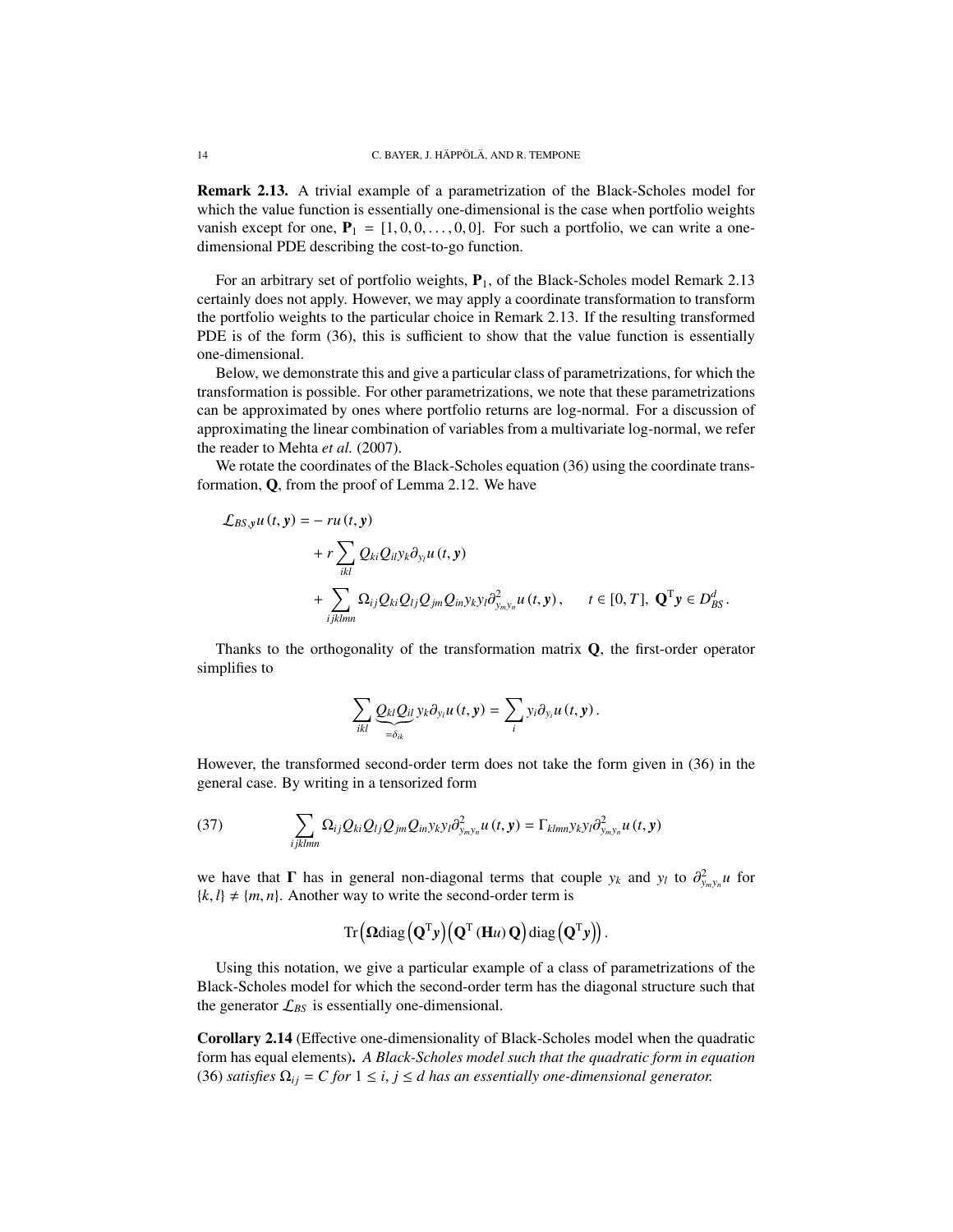Remark 2.13. A trivial example of a parametrization of the Black-Scholes model for which the value function is essentially one-dimensional is the case when portfolio weights vanish except for one,  $P_1 = [1, 0, 0, \dots, 0, 0]$ . For such a portfolio, we can write a onedimensional PDE describing the cost-to-go function.

For an arbitrary set of portfolio weights,  $P_1$ , of the Black-Scholes model Remark 2.13 certainly does not apply. However, we may apply a coordinate transformation to transform the portfolio weights to the particular choice in Remark 2.13. If the resulting transformed PDE is of the form (36), this is sufficient to show that the value function is essentially one-dimensional.

Below, we demonstrate this and give a particular class of parametrizations, for which the transformation is possible. For other parametrizations, we note that these parametrizations can be approximated by ones where portfolio returns are log-normal. For a discussion of approximating the linear combination of variables from a multivariate log-normal, we refer the reader to Mehta *et al.* (2007).

We rotate the coordinates of the Black-Scholes equation (36) using the coordinate transformation, Q, from the proof of Lemma 2.12. We have

$$
\mathcal{L}_{BS,y}u(t,y) = -ru(t,y)
$$
  
+  $r \sum_{ikl} Q_{ki}Q_{il}y_k \partial_{y_l}u(t,y)$   
+  $\sum_{ijklmn} \Omega_{ij}Q_{ki}Q_{lj}Q_{jm}Q_{in}y_k y_l \partial_{y_m y_n}^2 u(t,y), \qquad t \in [0,T], \mathbf{Q}^T \mathbf{y} \in D_{BS}^d.$ 

Thanks to the orthogonality of the transformation matrix  $Q$ , the first-order operator simplifies to

$$
\sum_{ikl}\underbrace{Q_{kl}Q_{il}}_{=\delta_{ik}}y_k\partial_{y_l}u(t,\mathbf{y})=\sum_i y_i\partial_{y_i}u(t,\mathbf{y}).
$$

However, the transformed second-order term does not take the form given in (36) in the general case. By writing in a tensorized form

(37) 
$$
\sum_{ijklmn} \Omega_{ij} Q_{ki} Q_{lj} Q_{jm} Q_{in} y_k y_l \partial_{y_m y_n}^2 u(t, y) = \Gamma_{klmn} y_k y_l \partial_{y_m y_n}^2 u(t, y)
$$

we have that **Γ** has in general non-diagonal terms that couple  $y_k$  and  $y_l$  to  $\frac{\partial^2}{\partial y_m y_n} u$  for  $\frac{1}{k} h + \frac{1}{k} m$   $n!$  Another way to write the second-order term is  ${k, l} \neq {m, n}$ . Another way to write the second-order term is

$$
\text{Tr}\left(\mathbf{\Omega}\text{diag}\left(\mathbf{Q}^{\text{T}}\mathbf{y}\right)\left(\mathbf{Q}^{\text{T}}\left(\mathbf{H}u\right)\mathbf{Q}\right)\text{diag}\left(\mathbf{Q}^{\text{T}}\mathbf{y}\right)\right).
$$

Using this notation, we give a particular example of a class of parametrizations of the Black-Scholes model for which the second-order term has the diagonal structure such that the generator  $\mathcal{L}_{BS}$  is essentially one-dimensional.

Corollary 2.14 (Effective one-dimensionality of Black-Scholes model when the quadratic form has equal elements). *A Black-Scholes model such that the quadratic form in equation* (36) *satisfies*  $\Omega_{ij} = C$  *for*  $1 \le i, j \le d$  *has an essentially one-dimensional generator.*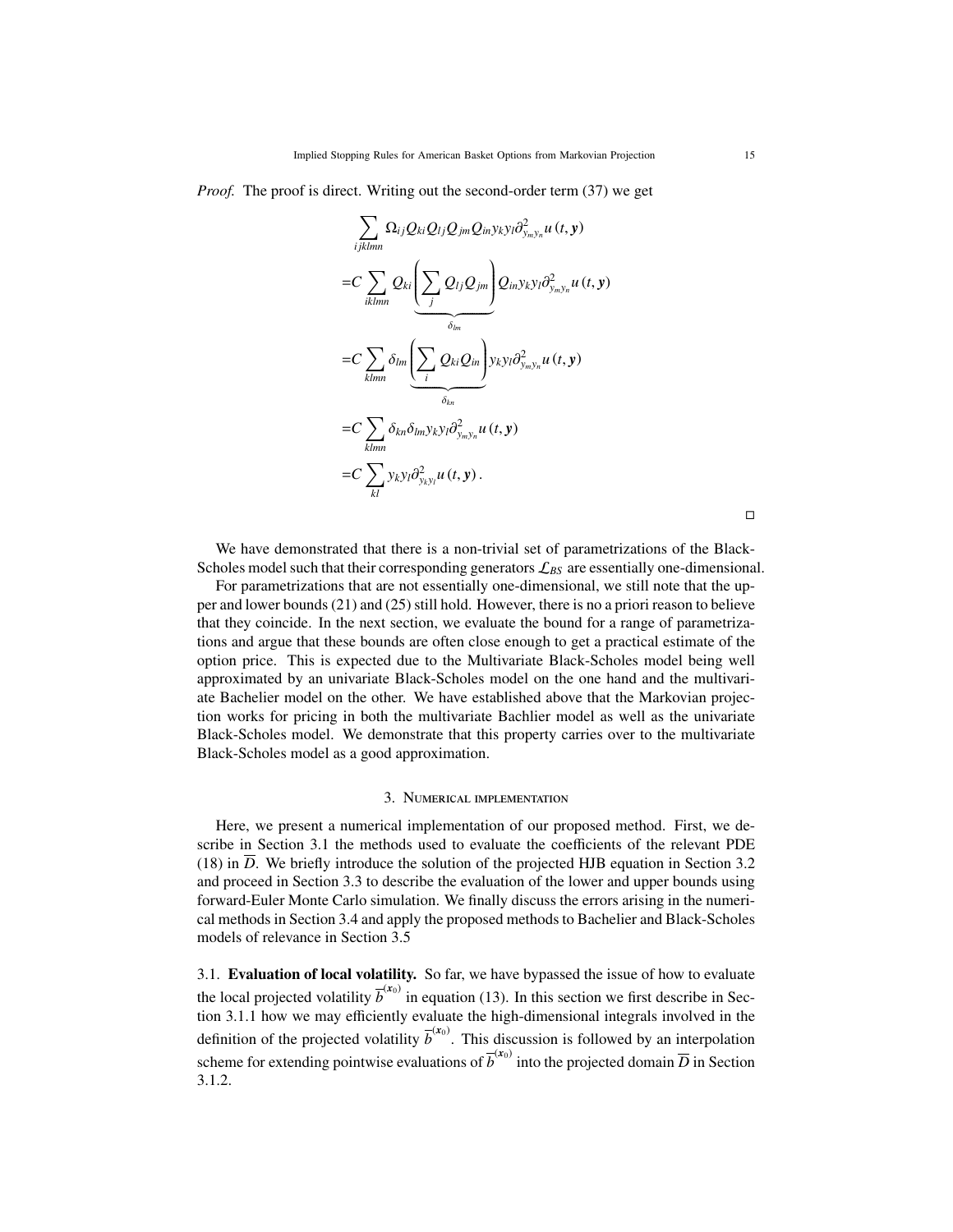*Proof.* The proof is direct. Writing out the second-order term (37) we get

$$
\sum_{ijklmn} \Omega_{ij} Q_{ki} Q_{lj} Q_{jm} Q_{in} y_k y_l \partial_{y_m y_n}^2 u(t, y)
$$
\n
$$
= C \sum_{iklmn} Q_{ki} \underbrace{\left(\sum_j Q_{lj} Q_{jm}\right)}_{\delta_{lm}} Q_{in} y_k y_l \partial_{y_m y_n}^2 u(t, y)
$$
\n
$$
= C \sum_{klmn} \delta_{lm} \underbrace{\left(\sum_i Q_{ki} Q_{in}\right)}_{\delta_{kn}} y_k y_l \partial_{y_m y_n}^2 u(t, y)
$$
\n
$$
= C \sum_{klmn} \delta_{kn} \delta_{lm} y_k y_l \partial_{y_m y_n}^2 u(t, y)
$$
\n
$$
= C \sum_{kl} y_k y_l \partial_{y_k y_l}^2 u(t, y).
$$

We have demonstrated that there is a non-trivial set of parametrizations of the Black-Scholes model such that their corresponding generators  $\mathcal{L}_{BS}$  are essentially one-dimensional.

For parametrizations that are not essentially one-dimensional, we still note that the upper and lower bounds (21) and (25) still hold. However, there is no a priori reason to believe that they coincide. In the next section, we evaluate the bound for a range of parametrizations and argue that these bounds are often close enough to get a practical estimate of the option price. This is expected due to the Multivariate Black-Scholes model being well approximated by an univariate Black-Scholes model on the one hand and the multivariate Bachelier model on the other. We have established above that the Markovian projection works for pricing in both the multivariate Bachlier model as well as the univariate Black-Scholes model. We demonstrate that this property carries over to the multivariate Black-Scholes model as a good approximation.

## 3. Numerical implementation

Here, we present a numerical implementation of our proposed method. First, we describe in Section 3.1 the methods used to evaluate the coefficients of the relevant PDE (18) in  $\overline{D}$ . We briefly introduce the solution of the projected HJB equation in Section 3.2 and proceed in Section 3.3 to describe the evaluation of the lower and upper bounds using forward-Euler Monte Carlo simulation. We finally discuss the errors arising in the numerical methods in Section 3.4 and apply the proposed methods to Bachelier and Black-Scholes models of relevance in Section 3.5

3.1. Evaluation of local volatility. So far, we have bypassed the issue of how to evaluate the local projected volatility  $\overline{b}^{(x_0)}$  in equation (13). In this section we first describe in Section 3.1.1 how we may efficiently evaluate the high-dimensional integrals involved in the definition of the projected volatility  $\overline{b}^{(x_0)}$ . This discussion is followed by an interpolation scheme for extending pointwise evaluations of  $\overline{b}^{(x_0)}$  into the projected domain  $\overline{D}$  in Section 3.1.2.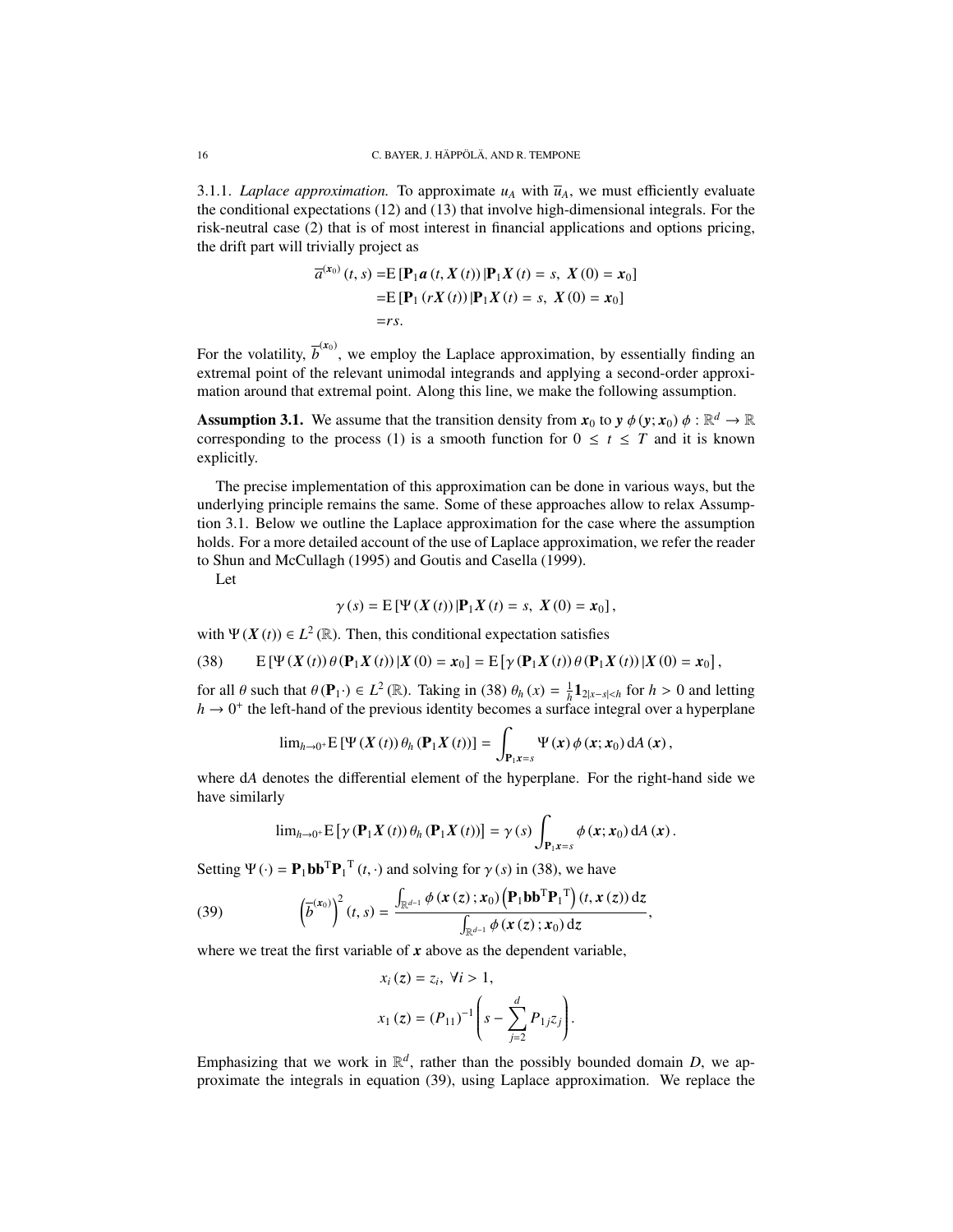3.1.1. *Laplace approximation*. To approximate  $u_A$  with  $\overline{u}_A$ , we must efficiently evaluate the conditional expectations (12) and (13) that involve high-dimensional integrals. For the risk-neutral case (2) that is of most interest in financial applications and options pricing, the drift part will trivially project as

$$
\overline{a}^{(x_0)}(t,s) = E[\mathbf{P}_1 a(t, X(t)) | \mathbf{P}_1 X(t) = s, X(0) = x_0]
$$
  
= E[\mathbf{P}\_1 (rX(t)) | \mathbf{P}\_1 X(t) = s, X(0) = x\_0]  
= rs.

For the volatility,  $\overline{b}^{(x_0)}$ , we employ the Laplace approximation, by essentially finding an extremal point of the relevant unimodal integrands and applying a second-order approximation around that extremal point. Along this line, we make the following assumption.

**Assumption 3.1.** We assume that the transition density from  $x_0$  to  $y \phi(y; x_0) \phi : \mathbb{R}^d \to \mathbb{R}$ <br>corresponding to the process (1) is a smooth function for  $0 \le t \le T$  and it is known corresponding to the process (1) is a smooth function for  $0 \le t \le T$  and it is known explicitly.

The precise implementation of this approximation can be done in various ways, but the underlying principle remains the same. Some of these approaches allow to relax Assumption 3.1. Below we outline the Laplace approximation for the case where the assumption holds. For a more detailed account of the use of Laplace approximation, we refer the reader to Shun and McCullagh (1995) and Goutis and Casella (1999).

Let

$$
\gamma(s) = E[\Psi(X(t)) | \mathbf{P}_1 X(t) = s, X(0) = x_0],
$$

with  $\Psi(X(t)) \in L^2(\mathbb{R})$ . Then, this conditional expectation satisfies

(*x*0)

(38) 
$$
E[\Psi(X(t))\theta(\mathbf{P}_1 X(t))|X(0) = x_0] = E[\gamma(\mathbf{P}_1 X(t))\theta(\mathbf{P}_1 X(t))|X(0) = x_0],
$$

for all  $\theta$  such that  $\theta(\mathbf{P}_1 \cdot) \in L^2(\mathbb{R})$ . Taking in (38)  $\theta_h(x) = \frac{1}{h} \mathbf{1}_{2|x-s| for  $h > 0$  and letting  $h \to 0^+$  the left-hand of the previous identity becomes a surface integral over a hyperplane$  $h \to 0^+$  the left-hand of the previous identity becomes a surface integral over a hyperplane

$$
\lim_{h\to 0^+}E[\Psi(X(t))\theta_h(\mathbf{P}_1X(t))] = \int_{\mathbf{P}_1x=s}\Psi(x)\phi(x;x_0) dA(x),
$$

where d*A* denotes the differential element of the hyperplane. For the right-hand side we have similarly

$$
\lim_{h\to 0^+} \mathbb{E}\left[\gamma\left(\mathbf{P}_1 X\left(t\right)\right) \theta_h\left(\mathbf{P}_1 X\left(t\right)\right)\right] = \gamma(s) \int_{\mathbf{P}_1 x=s} \phi\left(x; x_0\right) dA\left(x\right).
$$

Setting  $\Psi(\cdot) = \mathbf{P}_1 \mathbf{b} \mathbf{b}^T \mathbf{P}_1^T(t, \cdot)$  and solving for  $\gamma(s)$  in (38), we have

(39) 
$$
\left(\overline{b}^{(x_0)}\right)^2(t,s)=\frac{\int_{\mathbb{R}^{d-1}}\phi\left(\mathbf{x}\left(z\right);x_0\right)\left(\mathbf{P}_1\mathbf{b}\mathbf{b}^{\mathrm{T}}\mathbf{P}_1^{\mathrm{T}}\right)(t,\mathbf{x}\left(z\right))\,\mathrm{d}z}{\int_{\mathbb{R}^{d-1}}\phi\left(\mathbf{x}\left(z\right);x_0\right)\mathrm{d}z},
$$

where we treat the first variable of x above as the dependent variable,

$$
x_i(z) = z_i, \forall i > 1,
$$
  

$$
x_1(z) = (P_{11})^{-1} \left( s - \sum_{j=2}^d P_{1j} z_j \right)
$$

Emphasizing that we work in  $\mathbb{R}^d$ , rather than the possibly bounded domain *D*, we approximate the integrals in equation (39), using Laplace approximation. We replace the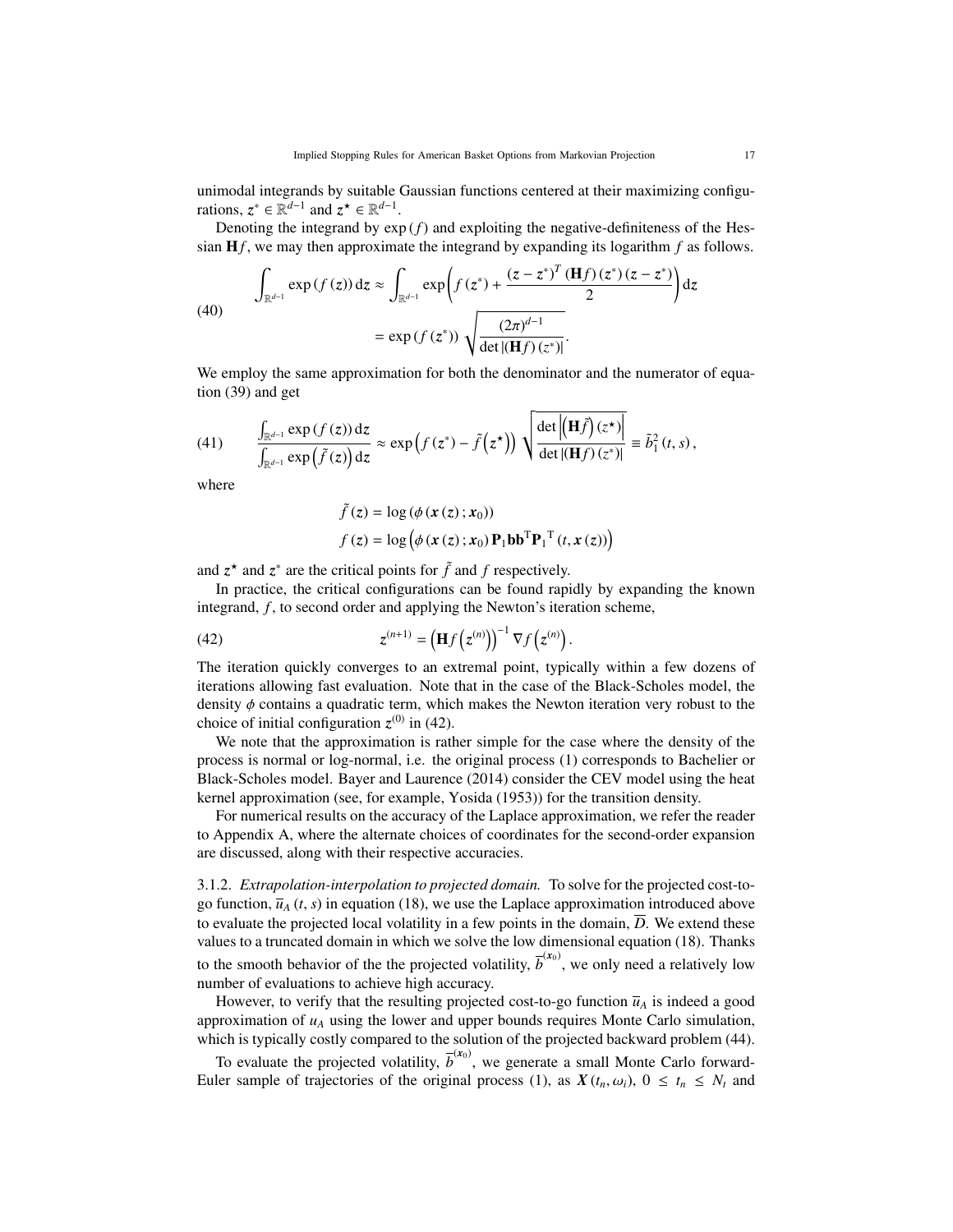unimodal integrands by suitable Gaussian functions centered at their maximizing configurations,  $z^* \in \mathbb{R}^{d-1}$  and  $z^* \in \mathbb{R}^{d-1}$ .

Denoting the integrand by  $exp(f)$  and exploiting the negative-definiteness of the Hessian  $Hf$ , we may then approximate the integrand by expanding its logarithm  $f$  as follows.

(40) 
$$
\int_{\mathbb{R}^{d-1}} \exp(f(z)) dz \approx \int_{\mathbb{R}^{d-1}} \exp\left(f(z^*) + \frac{(z - z^*)^T (\mathbf{H}f)(z^*)(z - z^*)}{2}\right) dz
$$

$$
= \exp(f(z^*)) \sqrt{\frac{(2\pi)^{d-1}}{\det[(\mathbf{H}f)(z^*)]}}.
$$

We employ the same approximation for both the denominator and the numerator of equation (39) and get

(41) 
$$
\frac{\int_{\mathbb{R}^{d-1}} \exp(f(z)) dz}{\int_{\mathbb{R}^{d-1}} \exp(\tilde{f}(z)) dz} \approx \exp(f(z^*) - \tilde{f}(z^*)) \sqrt{\frac{\det[(\mathbf{H}\tilde{f})(z^*)]}{\det[(\mathbf{H}f)(z^*)]}} \equiv \tilde{b}_1^2(t,s),
$$

where

$$
\tilde{f}(z) = \log (\phi(x(z); x_0))
$$

$$
f(z) = \log (\phi(x(z); x_0) \mathbf{P}_1 \mathbf{b} \mathbf{b}^{\mathrm{T}} \mathbf{P}_1^{\mathrm{T}} (t, x(z)) )
$$

and  $z^*$  and  $z^*$  are the critical points for  $\tilde{f}$  and  $f$  respectively.

In practice, the critical configurations can be found rapidly by expanding the known integrand, *f*, to second order and applying the Newton's iteration scheme,

(42) 
$$
z^{(n+1)} = \left(\mathbf{H}f\left(z^{(n)}\right)\right)^{-1} \nabla f\left(z^{(n)}\right).
$$

The iteration quickly converges to an extremal point, typically within a few dozens of iterations allowing fast evaluation. Note that in the case of the Black-Scholes model, the density  $\phi$  contains a quadratic term, which makes the Newton iteration very robust to the choice of initial configuration  $z^{(0)}$  in (42).

We note that the approximation is rather simple for the case where the density of the process is normal or log-normal, i.e. the original process (1) corresponds to Bachelier or Black-Scholes model. Bayer and Laurence (2014) consider the CEV model using the heat kernel approximation (see, for example, Yosida (1953)) for the transition density.

For numerical results on the accuracy of the Laplace approximation, we refer the reader to Appendix A, where the alternate choices of coordinates for the second-order expansion are discussed, along with their respective accuracies.

3.1.2. *Extrapolation-interpolation to projected domain.* To solve for the projected cost-togo function,  $\overline{u}_A(t, s)$  in equation (18), we use the Laplace approximation introduced above to evaluate the projected local volatility in a few points in the domain, *D*. We extend these values to a truncated domain in which we solve the low dimensional equation (18). Thanks to the smooth behavior of the the projected volatility,  $\overline{b}^{(x_0)}$ , we only need a relatively low number of evaluations to achieve high accuracy.

However, to verify that the resulting projected cost-to-go function  $\bar{u}_A$  is indeed a good approximation of *u<sup>A</sup>* using the lower and upper bounds requires Monte Carlo simulation, which is typically costly compared to the solution of the projected backward problem (44).

To evaluate the projected volatility,  $\overline{b}^{(x_0)}$ , we generate a small Monte Carlo forward-Euler sample of trajectories of the original process (1), as  $X(t_n, \omega_i)$ ,  $0 \le t_n \le N_t$  and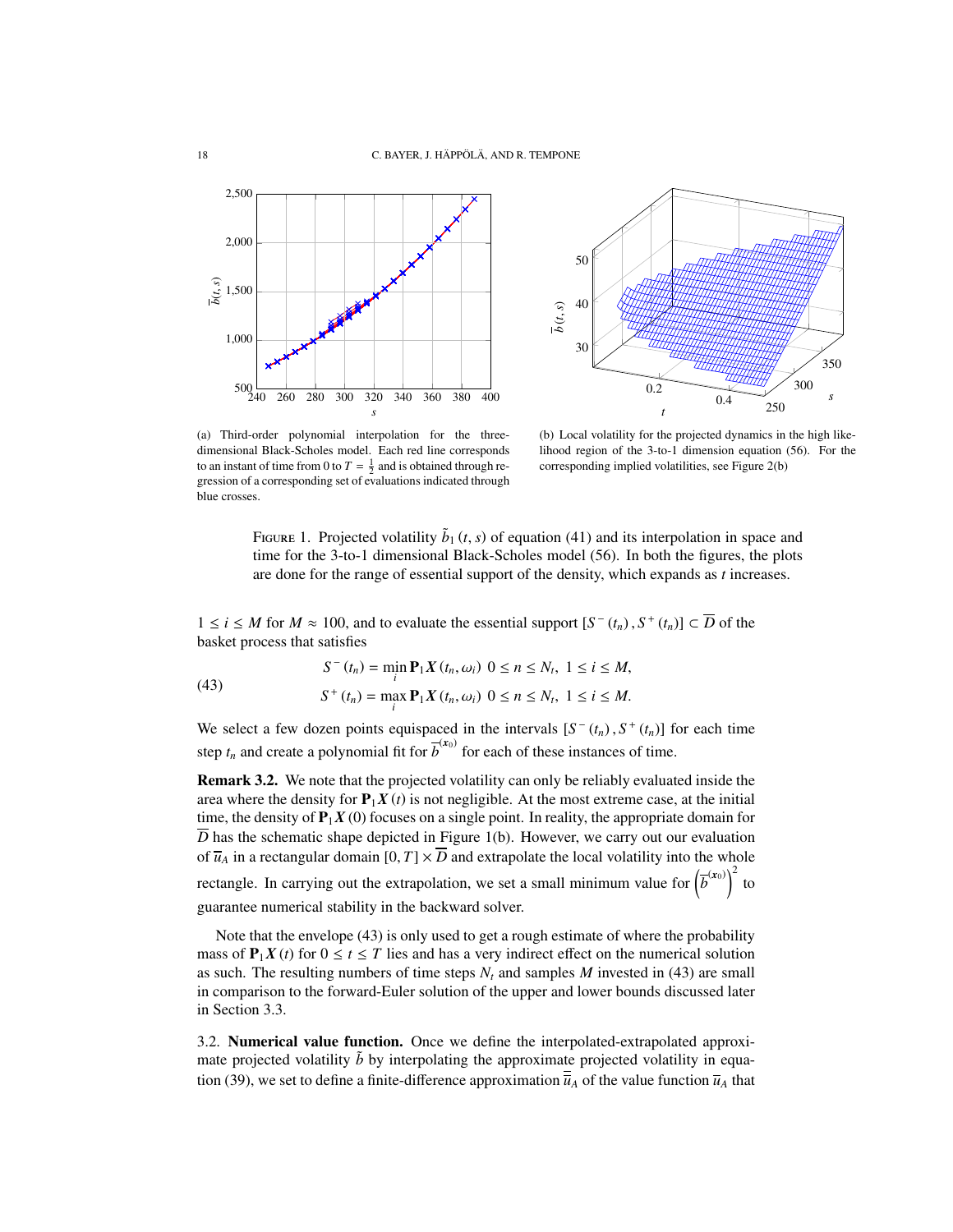



(a) Third-order polynomial interpolation for the threedimensional Black-Scholes model. Each red line corresponds to an instant of time from 0 to  $T = \frac{1}{2}$  and is obtained through regression of a corresponding set of evaluations indicated through blue crosses.

(b) Local volatility for the projected dynamics in the high likelihood region of the 3-to-1 dimension equation (56). For the corresponding implied volatilities, see Figure 2(b)

FIGURE 1. Projected volatility  $\tilde{b}_1(t, s)$  of equation (41) and its interpolation in space and time for the 3-to-1 dimensional Black-Scholes model (56). In both the figures, the plots time for the 3-to-1 dimensional Black-Scholes model (56). In both the figures, the plots are done for the range of essential support of the density, which expands as *t* increases.

 $1 \le i \le M$  for  $M \approx 100$ , and to evaluate the essential support  $[S^-(t_n), S^+(t_n)] \subset \overline{D}$  of the basket process that satisfies basket process that satisfies

(43) 
$$
S^{-}(t_{n}) = \min_{i} \mathbf{P}_{1} X(t_{n}, \omega_{i}) \quad 0 \leq n \leq N_{t}, \ 1 \leq i \leq M,
$$

$$
S^{+}(t_{n}) = \max_{i} \mathbf{P}_{1} X(t_{n}, \omega_{i}) \quad 0 \leq n \leq N_{t}, \ 1 \leq i \leq M.
$$

We select a few dozen points equispaced in the intervals  $[S^-(t_n), S^+(t_n)]$  for each time We select a few dozen points equispaced in the intervals  $[S^-(t_n), S^+(t_n)]$  for the *p*<sup>t</sup><sub>n</sub> and create a polynomial fit for  $\overline{b}^{(x_0)}$  for each of these instances of time.

Remark 3.2. We note that the projected volatility can only be reliably evaluated inside the area where the density for  $P_1X(t)$  is not negligible. At the most extreme case, at the initial time, the density of  $P_1X$  (0) focuses on a single point. In reality, the appropriate domain for  $\overline{D}$  has the schematic shape depicted in Figure 1(b). However, we carry out our evaluation of  $\overline{u}_A$  in a rectangular domain  $[0, T] \times \overline{D}$  and extrapolate the local volatility into the whole rectangle. In carrying out the extrapolation, we set a small minimum value for  $\left(\overline{b}^{(x_0)}\right)^2$  to guarantee numerical stability in the backward solver.

Note that the envelope (43) is only used to get a rough estimate of where the probability mass of  $P_1X(t)$  for  $0 \le t \le T$  lies and has a very indirect effect on the numerical solution as such. The resulting numbers of time steps *N<sup>t</sup>* and samples *M* invested in (43) are small in comparison to the forward-Euler solution of the upper and lower bounds discussed later in Section 3.3.

3.2. Numerical value function. Once we define the interpolated-extrapolated approximate projected volatility  $\tilde{b}$  by interpolating the approximate projected volatility in equation (39), we set to define a finite-difference approximation  $\overline{u}_A$  of the value function  $\overline{u}_A$  that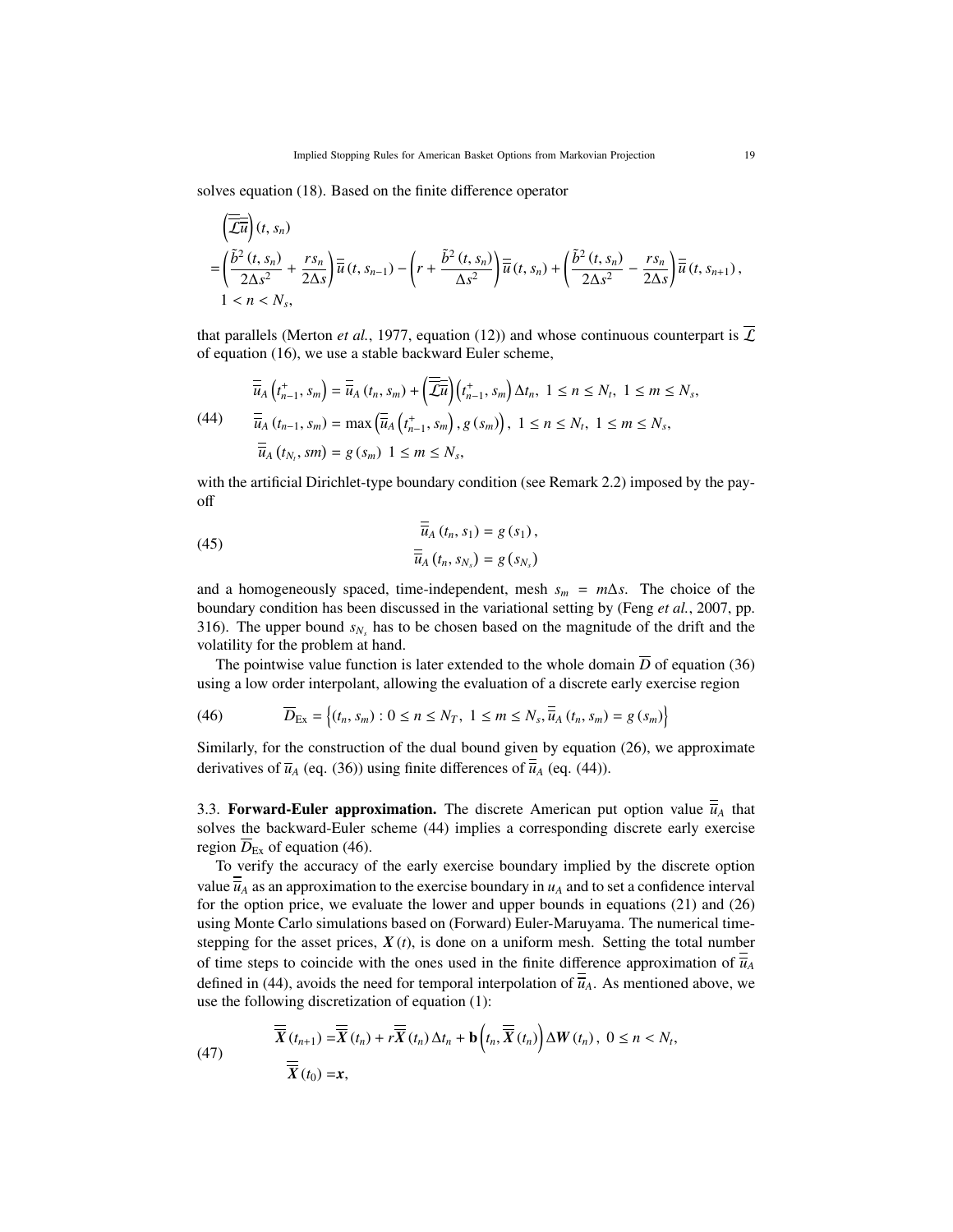solves equation (18). Based on the finite difference operator

$$
\begin{aligned}\n& \left( \overline{\overline{\mathcal{L}}\overline{u}} \right)(t, s_n) \\
& = \left( \frac{\tilde{b}^2(t, s_n)}{2\Delta s^2} + \frac{r s_n}{2\Delta s} \right) \overline{\overline{u}}(t, s_{n-1}) - \left( r + \frac{\tilde{b}^2(t, s_n)}{\Delta s^2} \right) \overline{\overline{u}}(t, s_n) + \left( \frac{\tilde{b}^2(t, s_n)}{2\Delta s^2} - \frac{r s_n}{2\Delta s} \right) \overline{\overline{u}}(t, s_{n+1}), \\
& 1 < n < N_s,\n\end{aligned}
$$

that parallels (Merton *et al.*, 1977, equation (12)) and whose continuous counterpart is  $\overline{\mathcal{L}}$ of equation (16), we use a stable backward Euler scheme,

$$
\overline{\overline{u}}_{A}\left(t_{n-1}^{+}, s_{m}\right) = \overline{\overline{u}}_{A}\left(t_{n}, s_{m}\right) + \left(\overline{\overline{\overline{L}}\overline{u}}\right)\left(t_{n-1}^{+}, s_{m}\right)\Delta t_{n}, \ 1 \leq n \leq N_{t}, \ 1 \leq m \leq N_{s},
$$
\n
$$
\overline{\overline{u}}_{A}\left(t_{n-1}, s_{m}\right) = \max\left(\overline{\overline{u}}_{A}\left(t_{n-1}^{+}, s_{m}\right), g\left(s_{m}\right)\right), \ 1 \leq n \leq N_{t}, \ 1 \leq m \leq N_{s},
$$
\n
$$
\overline{\overline{u}}_{A}\left(t_{N_{t}}, s_{m}\right) = g\left(s_{m}\right) \ 1 \leq m \leq N_{s},
$$

with the artificial Dirichlet-type boundary condition (see Remark 2.2) imposed by the payoff

(45) 
$$
\overline{u}_A(t_n, s_1) = g(s_1),
$$

$$
\overline{u}_A(t_n, s_{N_s}) = g(s_{N_s})
$$

and a homogeneously spaced, time-independent, mesh  $s_m = m\Delta s$ . The choice of the boundary condition has been discussed in the variational setting by (Feng *et al.*, 2007, pp. 316). The upper bound  $s_{N_s}$  has to be chosen based on the magnitude of the drift and the volatility for the problem at hand.

The pointwise value function is later extended to the whole domain  $\overline{D}$  of equation (36) using a low order interpolant, allowing the evaluation of a discrete early exercise region

(46) 
$$
\overline{D}_{\text{Ex}} = \left\{ (t_n, s_m) : 0 \le n \le N_T, 1 \le m \le N_s, \overline{\overline{u}}_A(t_n, s_m) = g(s_m) \right\}
$$

Similarly, for the construction of the dual bound given by equation (26), we approximate derivatives of  $\overline{u}_A$  (eq. (36)) using finite differences of  $\overline{u}_A$  (eq. (44)).

3.3. Forward-Euler approximation. The discrete American put option value  $\overline{u}_A$  that solves the backward-Euler scheme (44) implies a corresponding discrete early exercise region  $\overline{D}_{Ex}$  of equation (46).

To verify the accuracy of the early exercise boundary implied by the discrete option value  $\overline{u}_A$  as an approximation to the exercise boundary in  $u_A$  and to set a confidence interval for the option price, we evaluate the lower and upper bounds in equations (21) and (26) using Monte Carlo simulations based on (Forward) Euler-Maruyama. The numerical timestepping for the asset prices,  $X(t)$ , is done on a uniform mesh. Setting the total number of time steps to coincide with the ones used in the finite difference approximation of  $\bar{u}_A$ defined in (44), avoids the need for temporal interpolation of  $\overline{u}_A$ . As mentioned above, we use the following discretization of equation (1):

(47) 
$$
\overline{\overline{X}}(t_{n+1}) = \overline{\overline{X}}(t_n) + r\overline{\overline{X}}(t_n) \Delta t_n + \mathbf{b}\left(t_n, \overline{\overline{X}}(t_n)\right) \Delta W(t_n), \quad 0 \le n < N_t,
$$
\n
$$
\overline{\overline{X}}(t_0) = \mathbf{x},
$$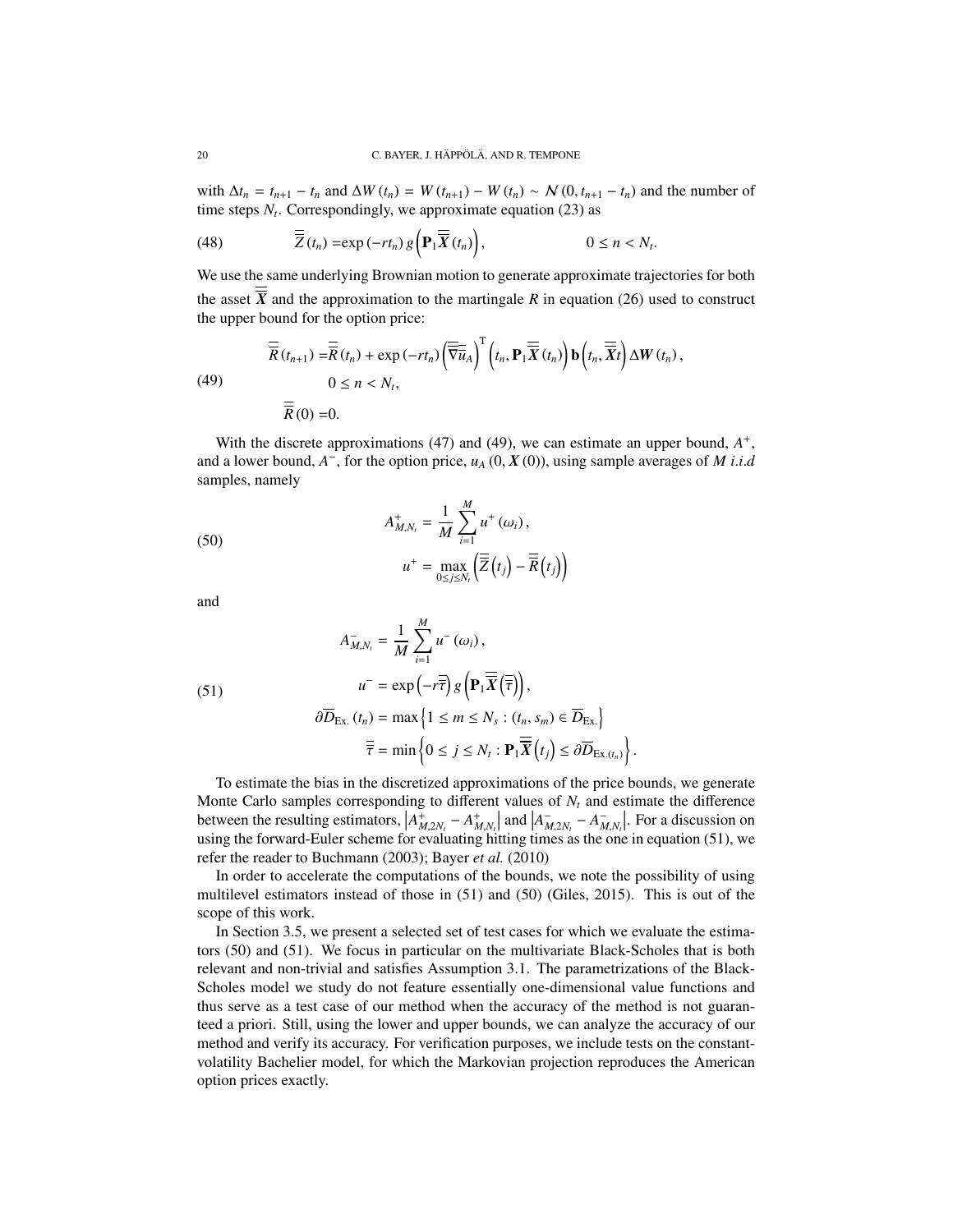*with*  $\Delta t_n = t_{n+1} - t_n$  and  $\Delta W(t_n) = W(t_{n+1}) - W(t_n) \sim N(0, t_{n+1} - t_n)$  and the number of time steps  $N_t$ . Correspondingly, we approximate equation (23) as

(48) 
$$
\overline{\overline{Z}}(t_n) = \exp(-rt_n) g\left(\mathbf{P}_1 \overline{\overline{X}}(t_n)\right), \qquad 0 \leq n < N_t.
$$

We use the same underlying Brownian motion to generate approximate trajectories for both the asset  $\overline{X}$  and the approximation to the martingale *R* in equation (26) used to construct the upper bound for the option price:

(49) 
$$
\overline{\overline{R}}(t_{n+1}) = \overline{\overline{R}}(t_n) + \exp(-rt_n) \left(\overline{\overline{\nabla} \overline{u}_A}\right)^T \left(t_n, \mathbf{P}_1 \overline{\overline{X}}(t_n)\right) \mathbf{b}\left(t_n, \overline{\overline{X}}t\right) \Delta W(t_n),
$$
  
\n
$$
\overline{\overline{R}}(0) = 0.
$$

With the discrete approximations (47) and (49), we can estimate an upper bound,  $A^+$ , and a lower bound,  $A^-$ , for the option price,  $u_A(0, X(0))$ , using sample averages of *M i.i.d* samples, pamely samples, namely

(50)  

$$
A_{M,N_t}^+ = \frac{1}{M} \sum_{i=1}^M u^+ (\omega_i),
$$

$$
u^+ = \max_{0 \le j \le N_t} \left( \overline{Z}(t_j) - \overline{R}(t_j) \right)
$$

and

(51)  
\n
$$
A_{M,N_t}^- = \frac{1}{M} \sum_{i=1}^M u^-(\omega_i),
$$
\n
$$
u^- = \exp(-r\overline{\overline{\tau}}) g\left(\mathbf{P}_1 \overline{\overline{X}}(\overline{\overline{\tau}})\right),
$$
\n
$$
\partial \overline{D}_{\text{Ex.}}(t_n) = \max\left\{1 \le m \le N_s : (t_n, s_m) \in \overline{D}_{\text{Ex.}}\right\}
$$
\n
$$
\overline{\overline{\tau}} = \min\left\{0 \le j \le N_t : \mathbf{P}_1 \overline{\overline{X}}(t_j) \le \partial \overline{D}_{\text{Ex.}(t_n)}\right\}
$$

To estimate the bias in the discretized approximations of the price bounds, we generate Monte Carlo samples corresponding to different values of  $N_t$  and estimate the difference between the resulting estimators,  $|A_{M,2N_t}^+ - A_{M,N_t}^+|$  and  $|A_{M,2N_t}^- - A_{M,N_t}^-|$ . For a discussion on using the forward-Euler scheme for evaluating hitting times as the one in equation (51), we refer the reader to Buchmann (2003); Bayer *et al.* (2010)

In order to accelerate the computations of the bounds, we note the possibility of using multilevel estimators instead of those in (51) and (50) (Giles, 2015). This is out of the scope of this work.

In Section 3.5, we present a selected set of test cases for which we evaluate the estimators (50) and (51). We focus in particular on the multivariate Black-Scholes that is both relevant and non-trivial and satisfies Assumption 3.1. The parametrizations of the Black-Scholes model we study do not feature essentially one-dimensional value functions and thus serve as a test case of our method when the accuracy of the method is not guaranteed a priori. Still, using the lower and upper bounds, we can analyze the accuracy of our method and verify its accuracy. For verification purposes, we include tests on the constantvolatility Bachelier model, for which the Markovian projection reproduces the American option prices exactly.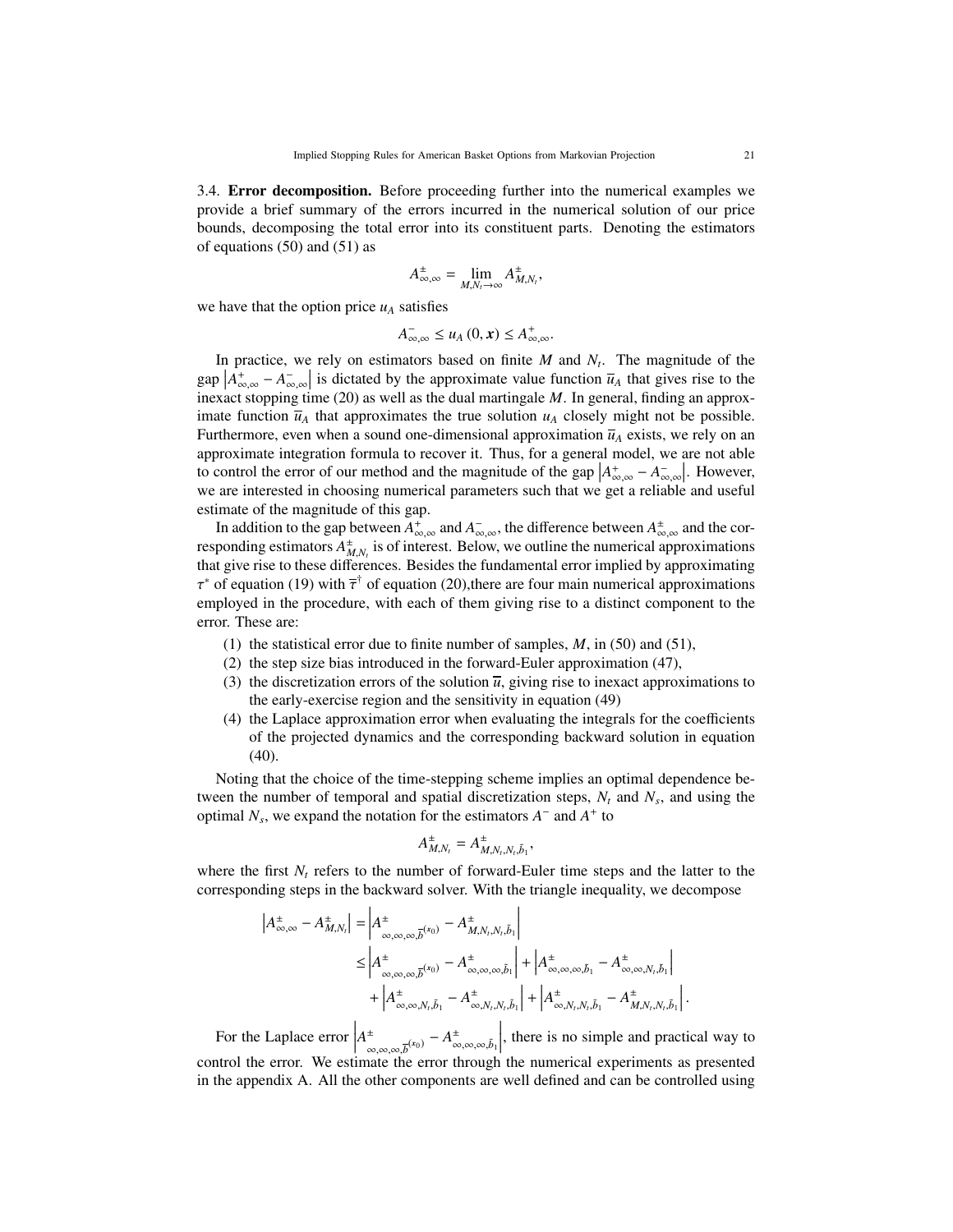3.4. Error decomposition. Before proceeding further into the numerical examples we provide a brief summary of the errors incurred in the numerical solution of our price bounds, decomposing the total error into its constituent parts. Denoting the estimators of equations (50) and (51) as

$$
A_{\infty,\infty}^{\pm} = \lim_{M,N_t \to \infty} A_{M,N_t}^{\pm},
$$

we have that the option price  $u_A$  satisfies

$$
A_{\infty,\infty}^{-} \leq u_A(0,\mathbf{x}) \leq A_{\infty,\infty}^{+}.
$$

In practice, we rely on estimators based on finite *M* and *N<sup>t</sup>* . The magnitude of the  $\lim_{A \to \infty} |A_{\infty,\infty}^+| = A_{\infty,\infty}^-|$  is dictated by the approximate value function  $\overline{u}_A$  that gives rise to the inexact stopping time (20) as well as the dual mattingale *M*. In general finding an approx inexact stopping time (20) as well as the dual martingale *M*. In general, finding an approximate function  $\bar{u}_A$  that approximates the true solution  $u_A$  closely might not be possible. Furthermore, even when a sound one-dimensional approximation  $\bar{u}_A$  exists, we rely on an approximate integration formula to recover it. Thus, for a general model, we are not able to control the error of our method and the magnitude of the gap  $|A_{\infty,\infty}^+ - A_{\infty,\infty}^-|$ . However, we are interested in choosing numerical parameters such that we get a reliable and useful<br>we are interested in choosing numerical parameters such that we get a reliable and useful estimate of the magnitude of this gap.

In addition to the gap between  $A^{\pm}_{\infty,\infty}$  and  $A^{-}_{\infty,\infty}$ , the difference between  $A^{\pm}_{\infty,\infty}$  and the cor-<br>ponding estimators  $A^{\pm}$  is of interest. Below, we outline the numerical approximations responding estimators  $A^{\pm}_{MN}$  is of interest. Below, we outline the numerical approximations  $\mu_{M,N_t}$  and  $M_{M,N_t}$  is of interest. Below, we off the fundamental error implied by approximations that give rise to these differences. Besides the fundamental error implied by approximating employed in the procedure, with each of them giving rise to a distinct component to the \* of equation (19) with  $\overline{\tau}^{\dagger}$  of equation (20), there are four main numerical approximations mployed in the procedure, with each of them giving rise to a distinct component to the error. These are:

- (1) the statistical error due to finite number of samples, *M*, in (50) and (51),
- (2) the step size bias introduced in the forward-Euler approximation (47),
- (3) the discretization errors of the solution  $\overline{u}$ , giving rise to inexact approximations to the early-exercise region and the sensitivity in equation (49)
- (4) the Laplace approximation error when evaluating the integrals for the coefficients of the projected dynamics and the corresponding backward solution in equation  $(40)$ .

Noting that the choice of the time-stepping scheme implies an optimal dependence between the number of temporal and spatial discretization steps, *N<sup>t</sup>* and *N<sup>s</sup>* , and using the optimal  $N_s$ , we expand the notation for the estimators  $A^-$  and  $A^+$  to

$$
A_{M,N_t}^{\pm}=A_{M,N_t,N_t,\tilde{b}_1}^{\pm},
$$

where the first  $N_t$  refers to the number of forward-Euler time steps and the latter to the corresponding steps in the backward solver. With the triangle inequality, we decompose

$$
\begin{split} \left|A_{\infty,\infty}^{\pm}-A_{M,N_{t}}^{\pm}\right|=&\left|A_{\infty,\infty,\infty,\overline{b}}^{\pm}(x_{0})-A_{M,N_{t},N_{t},\tilde{b}_{1}}^{\pm}\right|\\ \leq&\left|A_{\infty,\infty,\infty,\overline{b}}^{\pm}(x_{0})-A_{\infty,\infty,\infty,\tilde{b}_{1}}^{\pm}\right|+\left|A_{\infty,\infty,\infty,\tilde{b}_{1}}^{\pm}-A_{\infty,\infty,N_{t},\tilde{b}_{1}}^{\pm}\right|\\ &+\left|A_{\infty,\infty,N_{t},\tilde{b}_{1}}^{\pm}-A_{\infty,N_{t},N_{t},\tilde{b}_{1}}^{\pm}\right|+\left|A_{\infty,N_{t},N_{t},\tilde{b}_{1}}^{\pm}-A_{M,N_{t},N_{t},\tilde{b}_{1}}^{\pm}\right|. \end{split}
$$

For the Laplace error  $\left| \begin{array}{c} 1 \end{array} \right|$  $A^{\pm}$  $\frac{1}{\infty,\infty,\infty,\overline{b}}(x_0) - A^{\pm}_{\infty,\infty,\infty,\tilde{b}_1}$ <br>where the error through  $\begin{array}{c} \n\end{array}$ , there is no simple and practical way to control the error. We estimate the error through the numerical experiments as presented in the appendix A. All the other components are well defined and can be controlled using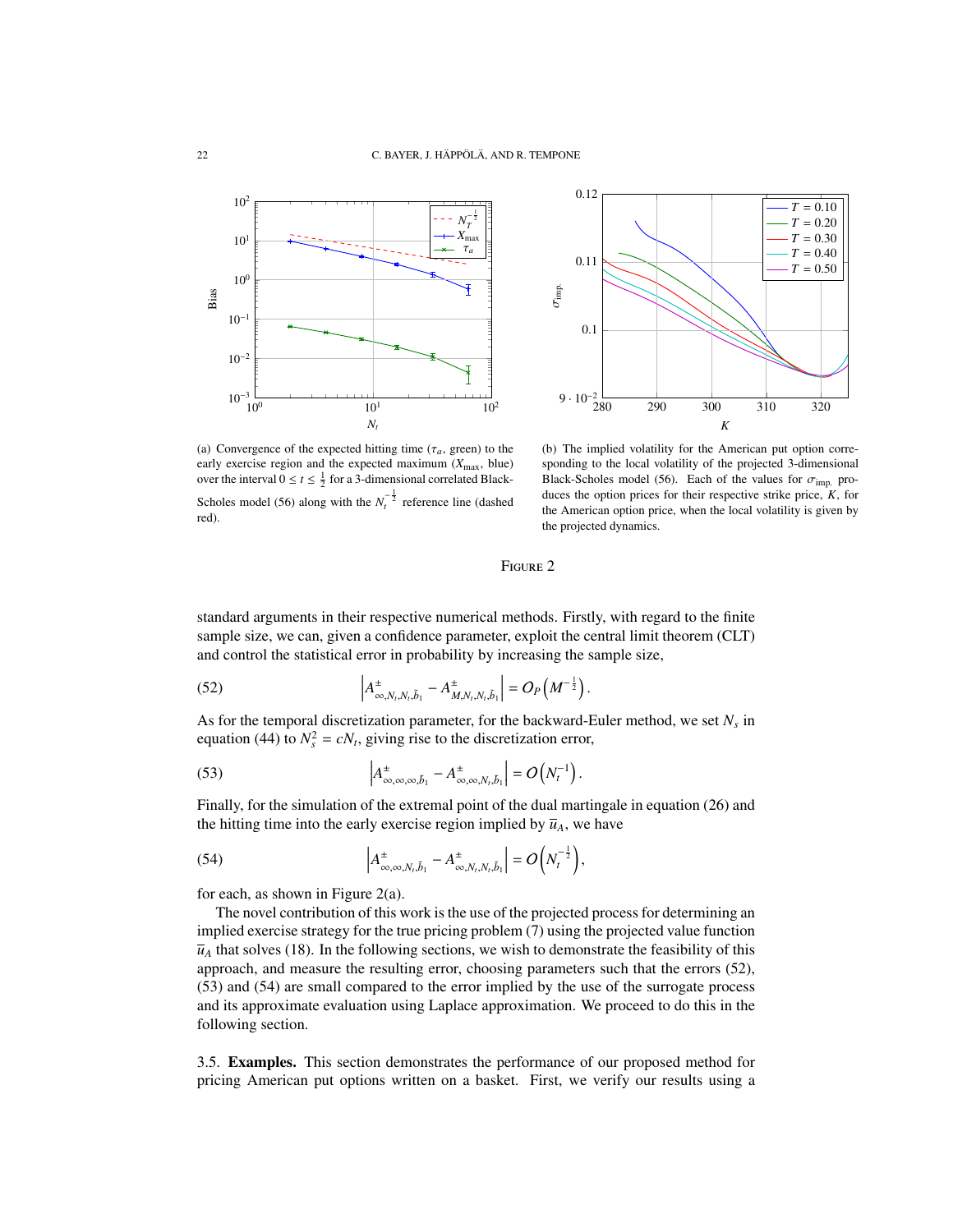



(a) Convergence of the expected hitting time  $(\tau_a, \text{green})$  to the early exercise region and the expected maximum  $(X_{\text{max}})$ , blue) over the interval  $0 \le t \le \frac{1}{2}$  for a 3-dimensional correlated Black-Scholes model (56) along with the  $N_t^{-\frac{1}{2}}$  reference line (dashed red).

(b) The implied volatility for the American put option corresponding to the local volatility of the projected 3-dimensional Black-Scholes model (56). Each of the values for  $\sigma_{\text{imp}}$  produces the option prices for their respective strike price, *K*, for the American option price, when the local volatility is given by the projected dynamics.

Figure 2

standard arguments in their respective numerical methods. Firstly, with regard to the finite sample size, we can, given a confidence parameter, exploit the central limit theorem (CLT) and control the statistical error in probability by increasing the sample size,

(52) 
$$
\left| A_{\infty, N_t, N_t, \tilde{b}_1}^{\pm} - A_{M, N_t, N_t, \tilde{b}_1}^{\pm} \right| = O_P\left(M^{-\frac{1}{2}}\right).
$$

As for the temporal discretization parameter, for the backward-Euler method, we set  $N_s$  in equation (44) to  $N_s^2 = cN_t$ , giving rise to the discretization error,

(53) 
$$
\left| A^{\pm}_{\infty,\infty,\infty,\tilde{b}_1} - A^{\pm}_{\infty,\infty,N_t,\tilde{b}_1} \right| = O(N_t^{-1}).
$$

Finally, for the simulation of the extremal point of the dual martingale in equation (26) and the hitting time into the early exercise region implied by  $\bar{u}_A$ , we have

(54) 
$$
\left| A^{\pm}_{\infty,\infty,N_t,\tilde{b}_1} - A^{\pm}_{\infty,N_t,N_t,\tilde{b}_1} \right| = O\left(N_t^{-\frac{1}{2}}\right),
$$

for each, as shown in Figure 2(a).

The novel contribution of this work is the use of the projected process for determining an implied exercise strategy for the true pricing problem (7) using the projected value function  $\bar{u}_A$  that solves (18). In the following sections, we wish to demonstrate the feasibility of this approach, and measure the resulting error, choosing parameters such that the errors (52), (53) and (54) are small compared to the error implied by the use of the surrogate process and its approximate evaluation using Laplace approximation. We proceed to do this in the following section.

3.5. Examples. This section demonstrates the performance of our proposed method for pricing American put options written on a basket. First, we verify our results using a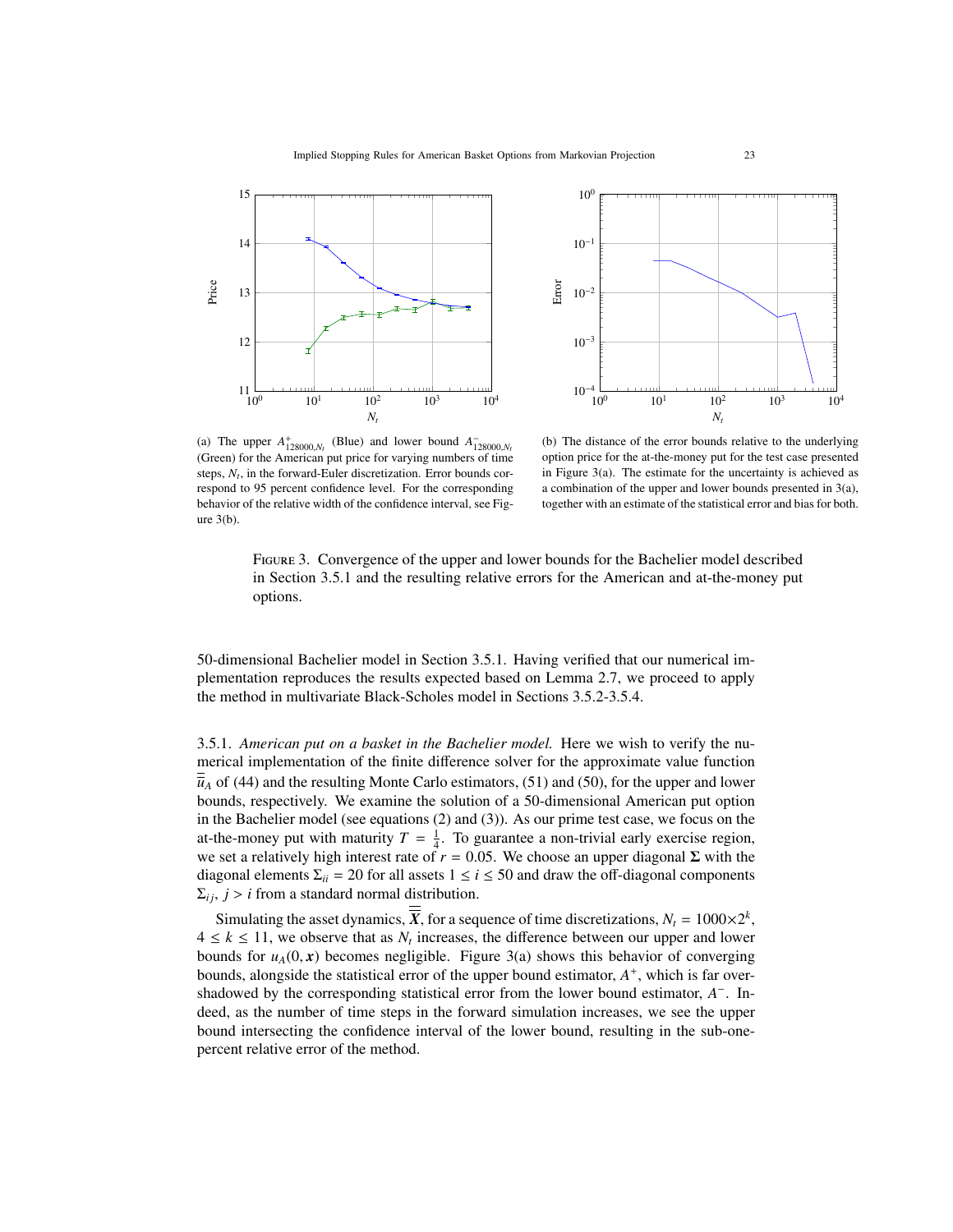



(a) The upper  $A_{128000,N_f}^+$  (Blue) and lower bound  $A_{128000,N_f}^-$ <br>(Green) for the American put price for varying numbers of time (Green) for the American put price for varying numbers of time steps, *N<sup>t</sup>* , in the forward-Euler discretization. Error bounds correspond to 95 percent confidence level. For the corresponding behavior of the relative width of the confidence interval, see Figure 3(b).

(b) The distance of the error bounds relative to the underlying option price for the at-the-money put for the test case presented in Figure 3(a). The estimate for the uncertainty is achieved as a combination of the upper and lower bounds presented in 3(a), together with an estimate of the statistical error and bias for both.

Figure 3. Convergence of the upper and lower bounds for the Bachelier model described in Section 3.5.1 and the resulting relative errors for the American and at-the-money put options.

50-dimensional Bachelier model in Section 3.5.1. Having verified that our numerical implementation reproduces the results expected based on Lemma 2.7, we proceed to apply the method in multivariate Black-Scholes model in Sections 3.5.2-3.5.4.

3.5.1. *American put on a basket in the Bachelier model.* Here we wish to verify the numerical implementation of the finite difference solver for the approximate value function  $\bar{u}_A$  of (44) and the resulting Monte Carlo estimators, (51) and (50), for the upper and lower bounds, respectively. We examine the solution of a 50-dimensional American put option in the Bachelier model (see equations (2) and (3)). As our prime test case, we focus on the at-the-money put with maturity  $T = \frac{1}{4}$ . To guarantee a non-trivial early exercise region, we set a relatively high interest rate of  $r = 0.05$ . We choose an upper diagonal  $\Sigma$  with the diagonal elements  $\Sigma_{ii} = 20$  for all assets  $1 \le i \le 50$  and draw the off-diagonal components  $\Sigma_{ij}$ ,  $j > i$  from a standard normal distribution.

Simulating the asset dynamics,  $\overline{X}$ , for a sequence of time discretizations,  $N_t = 1000 \times 2^k$ ,  $4 \leq k \leq 11$ , we observe that as  $N_t$  increases, the difference between our upper and lower bounds for  $u_A(0, x)$  becomes negligible. Figure 3(a) shows this behavior of converging bounds, alongside the statistical error of the upper bound estimator,  $A^+$ , which is far overshadowed by the corresponding statistical error from the lower bound estimator, *A*<sup>−</sup>. Indeed, as the number of time steps in the forward simulation increases, we see the upper bound intersecting the confidence interval of the lower bound, resulting in the sub-onepercent relative error of the method.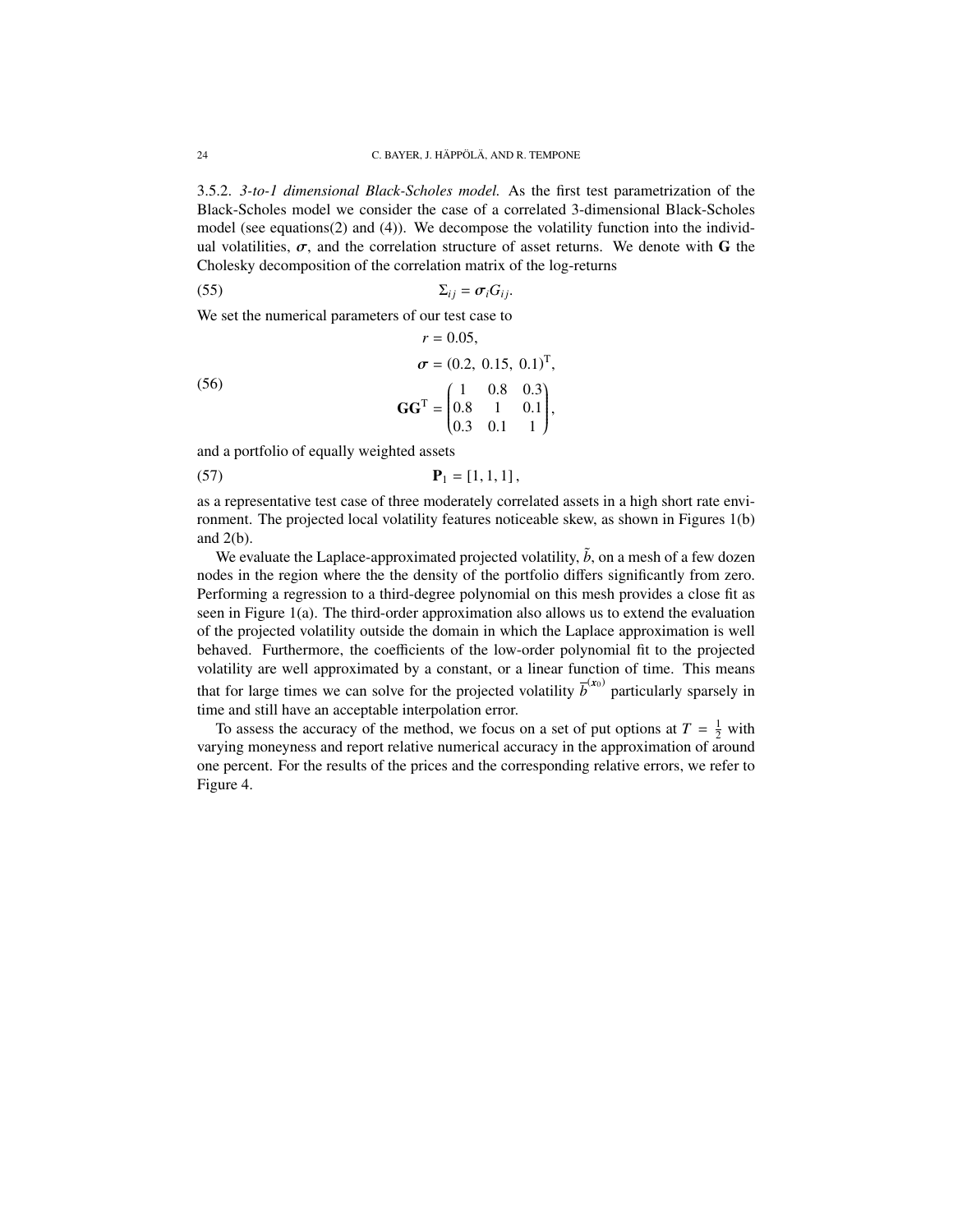3.5.2. *3-to-1 dimensional Black-Scholes model.* As the first test parametrization of the Black-Scholes model we consider the case of a correlated 3-dimensional Black-Scholes model (see equations(2) and (4)). We decompose the volatility function into the individual volatilities,  $\sigma$ , and the correlation structure of asset returns. We denote with G the Cholesky decomposition of the correlation matrix of the log-returns

(55) 
$$
\Sigma_{ij} = \sigma_i G_{ij}.
$$

We set the numerical parameters of our test case to

(56)  
\n
$$
\sigma = (0.2, 0.15, 0.1)^{\mathrm{T}},
$$
\n
$$
\mathbf{G}\mathbf{G}^{\mathrm{T}} = \begin{pmatrix} 1 & 0.8 & 0.3 \\ 0.8 & 1 & 0.1 \\ 0.3 & 0.1 & 1 \end{pmatrix},
$$

and a portfolio of equally weighted assets

(57) 
$$
\mathbf{P}_1 = [1, 1, 1],
$$

as a representative test case of three moderately correlated assets in a high short rate environment. The projected local volatility features noticeable skew, as shown in Figures 1(b) and 2(b).

We evaluate the Laplace-approximated projected volatility,  $\tilde{b}$ , on a mesh of a few dozen nodes in the region where the the density of the portfolio differs significantly from zero. Performing a regression to a third-degree polynomial on this mesh provides a close fit as seen in Figure 1(a). The third-order approximation also allows us to extend the evaluation of the projected volatility outside the domain in which the Laplace approximation is well behaved. Furthermore, the coefficients of the low-order polynomial fit to the projected volatility are well approximated by a constant, or a linear function of time. This means that for large times we can solve for the projected volatility  $\overline{b}^{(x_0)}$  particularly sparsely in time and still have an acceptable interpolation error.

To assess the accuracy of the method, we focus on a set of put options at  $T = \frac{1}{2}$  with varying moneyness and report relative numerical accuracy in the approximation of around one percent. For the results of the prices and the corresponding relative errors, we refer to Figure 4.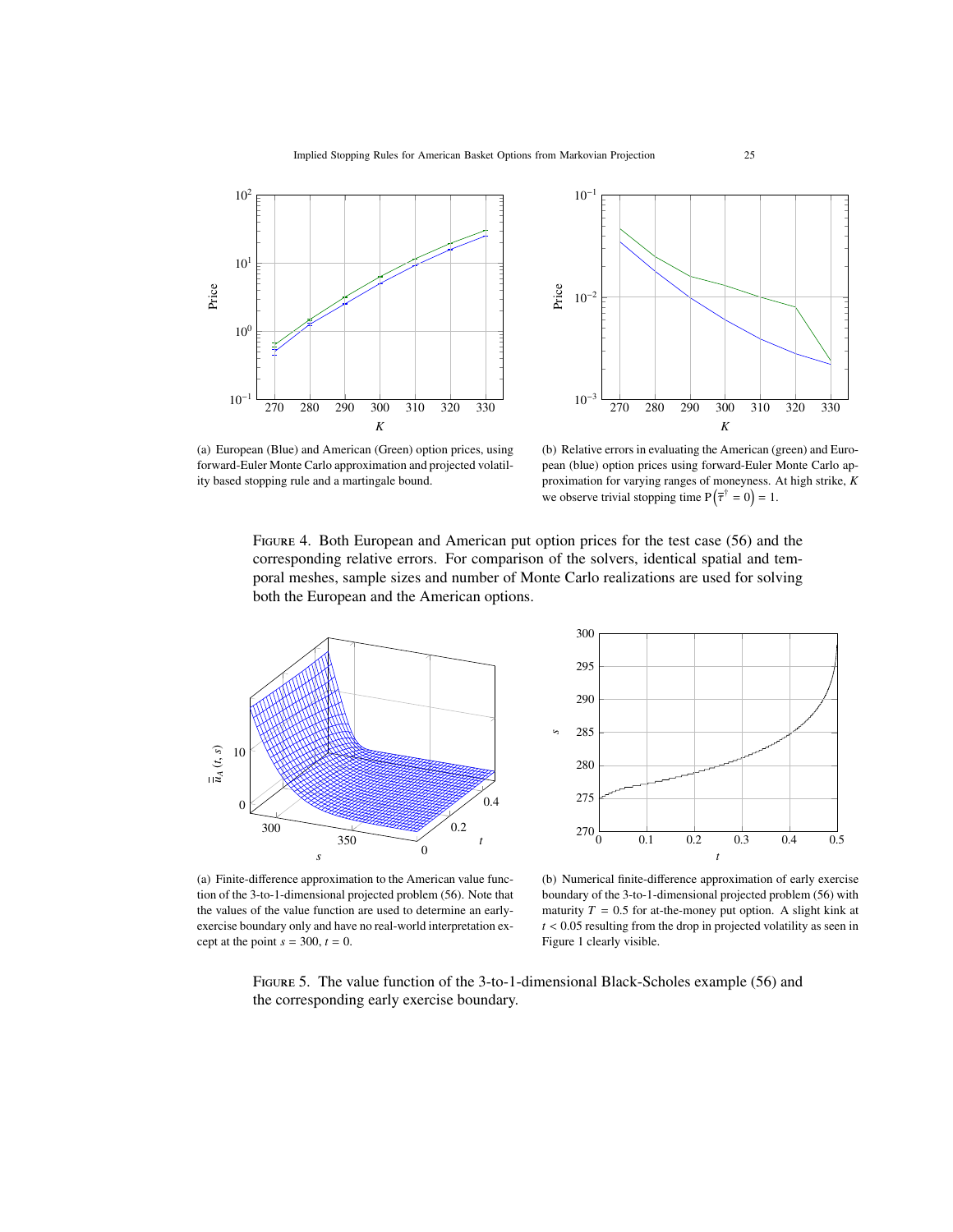



(a) European (Blue) and American (Green) option prices, using forward-Euler Monte Carlo approximation and projected volatility based stopping rule and a martingale bound.

(b) Relative errors in evaluating the American (green) and European (blue) option prices using forward-Euler Monte Carlo approximation for varying ranges of moneyness. At high strike, *K* we observe trivial stopping time  $P(\bar{\tau}^{\dagger} = 0) = 1$ .

Figure 4. Both European and American put option prices for the test case (56) and the corresponding relative errors. For comparison of the solvers, identical spatial and temporal meshes, sample sizes and number of Monte Carlo realizations are used for solving both the European and the American options.





(a) Finite-difference approximation to the American value function of the 3-to-1-dimensional projected problem (56). Note that the values of the value function are used to determine an earlyexercise boundary only and have no real-world interpretation except at the point  $s = 300$ ,  $t = 0$ .

(b) Numerical finite-difference approximation of early exercise boundary of the 3-to-1-dimensional projected problem (56) with maturity  $T = 0.5$  for at-the-money put option. A slight kink at *<sup>t</sup>* < <sup>0</sup>.05 resulting from the drop in projected volatility as seen in Figure 1 clearly visible.

Figure 5. The value function of the 3-to-1-dimensional Black-Scholes example (56) and the corresponding early exercise boundary.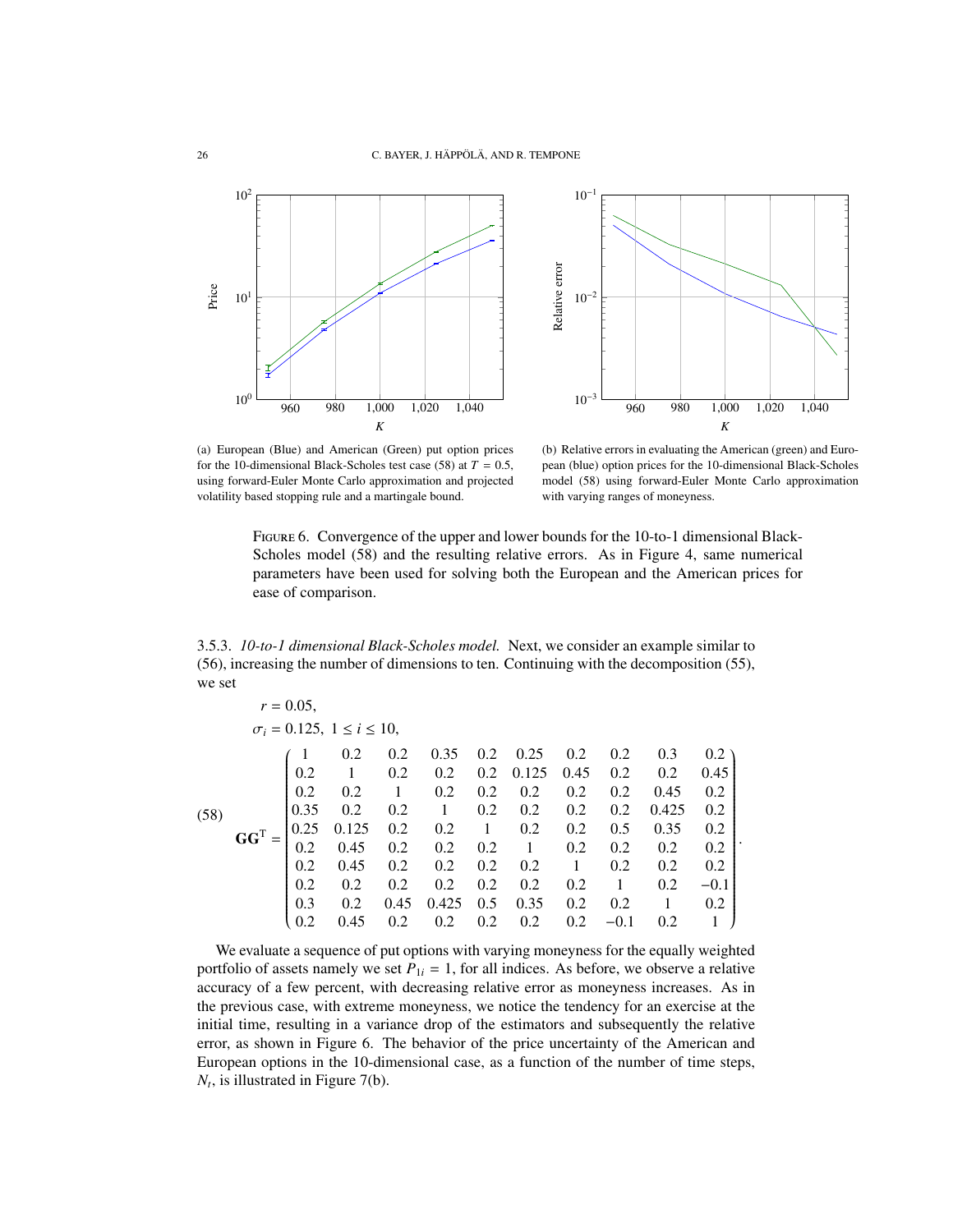



(a) European (Blue) and American (Green) put option prices for the 10-dimensional Black-Scholes test case (58) at  $T = 0.5$ , using forward-Euler Monte Carlo approximation and projected volatility based stopping rule and a martingale bound.

(b) Relative errors in evaluating the American (green) and European (blue) option prices for the 10-dimensional Black-Scholes model (58) using forward-Euler Monte Carlo approximation with varying ranges of moneyness.

FIGURE 6. Convergence of the upper and lower bounds for the 10-to-1 dimensional Black-Scholes model (58) and the resulting relative errors. As in Figure 4, same numerical parameters have been used for solving both the European and the American prices for ease of comparison.

3.5.3. *10-to-1 dimensional Black-Scholes model.* Next, we consider an example similar to (56), increasing the number of dimensions to ten. Continuing with the decomposition (55), we set

|      |                 | $r = 0.05$ , |                                         |                |       |     |                |      |        |       |        |
|------|-----------------|--------------|-----------------------------------------|----------------|-------|-----|----------------|------|--------|-------|--------|
|      |                 |              | $\sigma_i = 0.125, 1 \leq i \leq 10,$   |                |       |     |                |      |        |       |        |
| (58) | GG <sup>T</sup> |              | 0.2                                     | 0.2            | 0.35  | 0.2 | 0.25           | 0.2  | 0.2    | 0.3   | 0.2    |
|      |                 | 0.2          | $\begin{array}{c} 1 \\ 0.2 \end{array}$ | 0.2            | 0.2   | 0.2 | 0.125          | 0.45 | 0.2    | 0.2   | 0.45   |
|      |                 | 0.2          |                                         | $\overline{1}$ | 0.2   | 0.2 | 0.2            | 0.2  | 0.2    | 0.45  | 0.2    |
|      |                 | 0.35         | 0.2                                     | 0.2            | -1    | 0.2 | 0.2            | 0.2  | 0.2    | 0.425 | 0.2    |
|      |                 | 0.25         | 0.125                                   | 0.2            | 0.2   | -1  | 0.2            | 0.2  | 0.5    | 0.35  | 0.2    |
|      |                 | 0.2          | 0.45                                    | 0.2            | 0.2   | 0.2 | $\overline{1}$ | 0.2  | 0.2    | 0.2   | 0.2    |
|      |                 | 0.2          | 0.45                                    | 0.2            | 0.2   | 0.2 | 0.2            | 1    | 0.2    | 0.2   | 0.2    |
|      |                 | 0.2          | 0.2                                     | 0.2            | 0.2   | 0.2 | 0.2            | 0.2  | 1      | 0.2   | $-0.1$ |
|      |                 | 0.3          | 0.2                                     | 0.45           | 0.425 | 0.5 | 0.35           | 0.2  | 0.2    | -1    | 0.2    |
|      |                 |              | 0.45                                    | 0.2            | 0.2   | 0.2 | 0.2            | 0.2  | $-0.1$ | 0.2   |        |
|      |                 |              |                                         |                |       |     |                |      |        |       |        |

We evaluate a sequence of put options with varying moneyness for the equally weighted portfolio of assets namely we set  $P_{1i} = 1$ , for all indices. As before, we observe a relative accuracy of a few percent, with decreasing relative error as moneyness increases. As in the previous case, with extreme moneyness, we notice the tendency for an exercise at the initial time, resulting in a variance drop of the estimators and subsequently the relative error, as shown in Figure 6. The behavior of the price uncertainty of the American and European options in the 10-dimensional case, as a function of the number of time steps, *Nt* , is illustrated in Figure 7(b).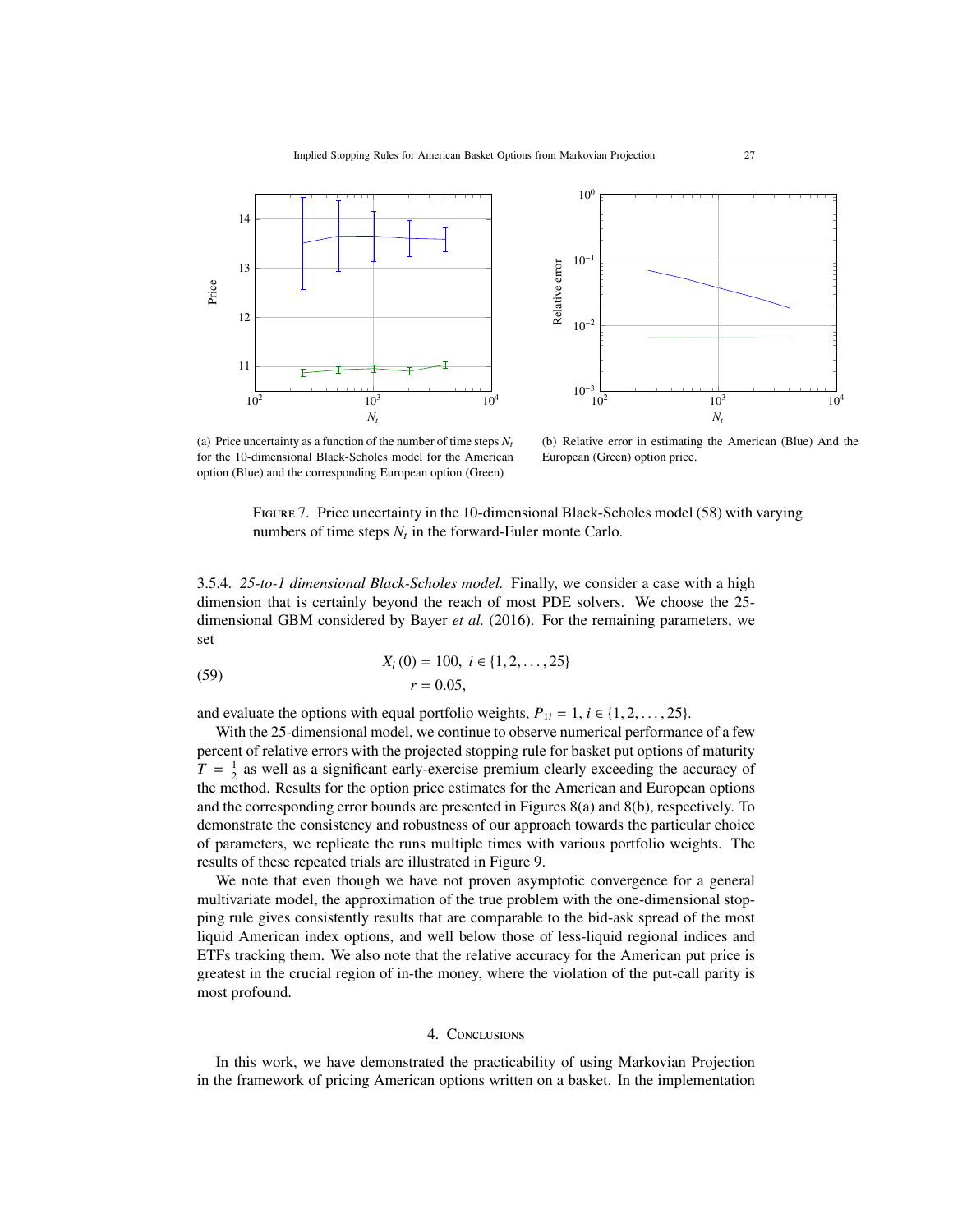

(a) Price uncertainty as a function of the number of time steps  $N_t$ for the 10-dimensional Black-Scholes model for the American option (Blue) and the corresponding European option (Green)

(b) Relative error in estimating the American (Blue) And the European (Green) option price.

Figure 7. Price uncertainty in the 10-dimensional Black-Scholes model (58) with varying numbers of time steps  $N_t$  in the forward-Euler monte Carlo.

3.5.4. *25-to-1 dimensional Black-Scholes model.* Finally, we consider a case with a high dimension that is certainly beyond the reach of most PDE solvers. We choose the 25 dimensional GBM considered by Bayer *et al.* (2016). For the remaining parameters, we set

(59) 
$$
X_i(0) = 100, i \in \{1, 2, ..., 25\}
$$

$$
r = 0.05,
$$

and evaluate the options with equal portfolio weights,  $P_{1i} = 1$ ,  $i \in \{1, 2, ..., 25\}$ .

With the 25-dimensional model, we continue to observe numerical performance of a few percent of relative errors with the projected stopping rule for basket put options of maturity  $T = \frac{1}{2}$  as well as a significant early-exercise premium clearly exceeding the accuracy of the method. Results for the option price estimates for the American and European options and the corresponding error bounds are presented in Figures 8(a) and 8(b), respectively. To demonstrate the consistency and robustness of our approach towards the particular choice of parameters, we replicate the runs multiple times with various portfolio weights. The results of these repeated trials are illustrated in Figure 9.

We note that even though we have not proven asymptotic convergence for a general multivariate model, the approximation of the true problem with the one-dimensional stopping rule gives consistently results that are comparable to the bid-ask spread of the most liquid American index options, and well below those of less-liquid regional indices and ETFs tracking them. We also note that the relative accuracy for the American put price is greatest in the crucial region of in-the money, where the violation of the put-call parity is most profound.

# 4. Conclusions

In this work, we have demonstrated the practicability of using Markovian Projection in the framework of pricing American options written on a basket. In the implementation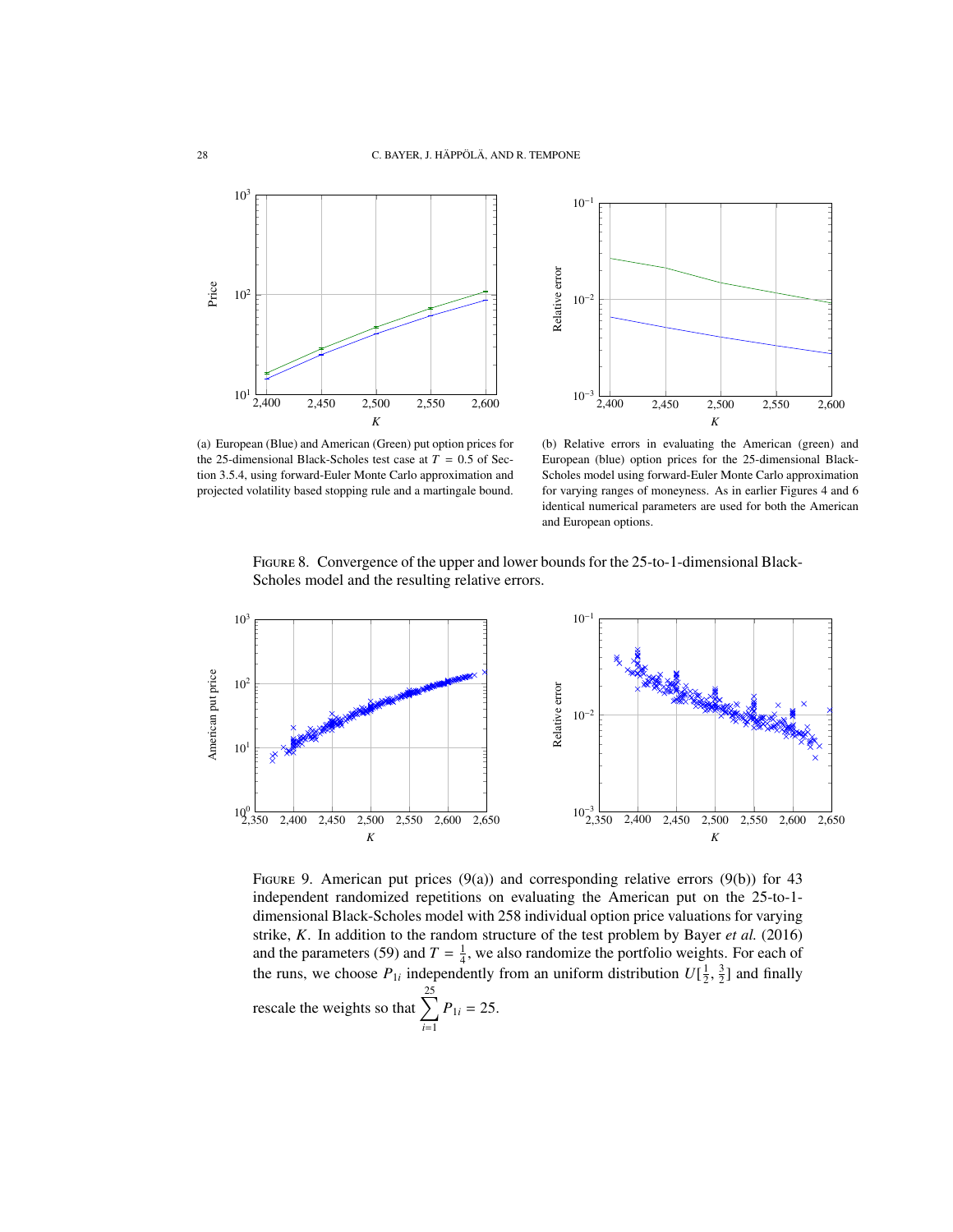



(a) European (Blue) and American (Green) put option prices for the 25-dimensional Black-Scholes test case at  $T = 0.5$  of Section 3.5.4, using forward-Euler Monte Carlo approximation and projected volatility based stopping rule and a martingale bound.

(b) Relative errors in evaluating the American (green) and European (blue) option prices for the 25-dimensional Black-Scholes model using forward-Euler Monte Carlo approximation for varying ranges of moneyness. As in earlier Figures 4 and 6 identical numerical parameters are used for both the American and European options.





FIGURE 9. American put prices  $(9(a))$  and corresponding relative errors  $(9(b))$  for 43 independent randomized repetitions on evaluating the American put on the 25-to-1 dimensional Black-Scholes model with 258 individual option price valuations for varying strike, *K*. In addition to the random structure of the test problem by Bayer *et al.* (2016) and the parameters (59) and  $T = \frac{1}{4}$ , we also randomize the portfolio weights. For each of the runs, we choose  $P_{1i}$  independently from an uniform distribution  $U[\frac{1}{2},$  $\frac{3}{2}$ ] and finally rescale the weights so that  $\sum_{n=1}^{25}$ *i*=1  $P_{1i} = 25.$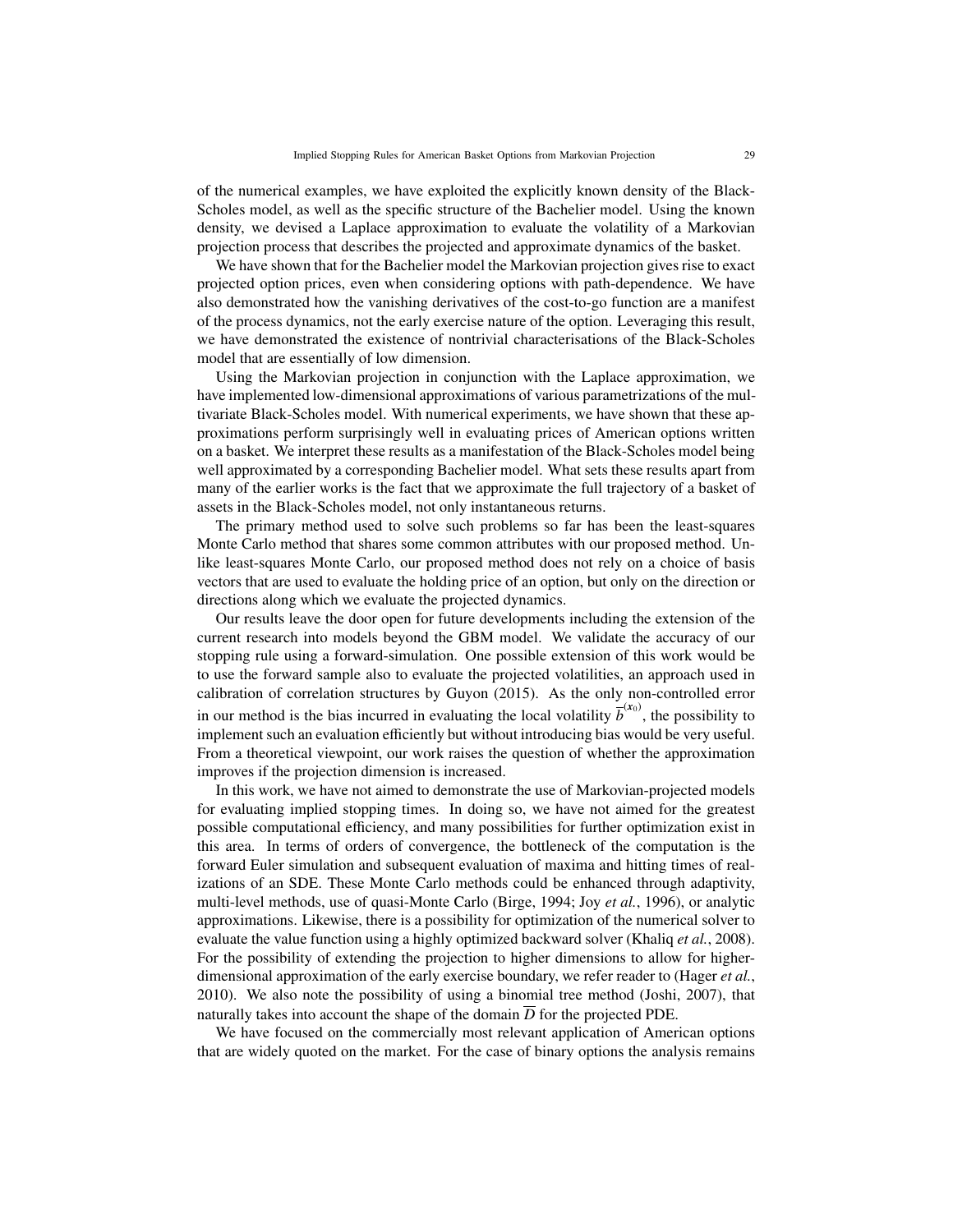of the numerical examples, we have exploited the explicitly known density of the Black-Scholes model, as well as the specific structure of the Bachelier model. Using the known density, we devised a Laplace approximation to evaluate the volatility of a Markovian projection process that describes the projected and approximate dynamics of the basket.

We have shown that for the Bachelier model the Markovian projection gives rise to exact projected option prices, even when considering options with path-dependence. We have also demonstrated how the vanishing derivatives of the cost-to-go function are a manifest of the process dynamics, not the early exercise nature of the option. Leveraging this result, we have demonstrated the existence of nontrivial characterisations of the Black-Scholes model that are essentially of low dimension.

Using the Markovian projection in conjunction with the Laplace approximation, we have implemented low-dimensional approximations of various parametrizations of the multivariate Black-Scholes model. With numerical experiments, we have shown that these approximations perform surprisingly well in evaluating prices of American options written on a basket. We interpret these results as a manifestation of the Black-Scholes model being well approximated by a corresponding Bachelier model. What sets these results apart from many of the earlier works is the fact that we approximate the full trajectory of a basket of assets in the Black-Scholes model, not only instantaneous returns.

The primary method used to solve such problems so far has been the least-squares Monte Carlo method that shares some common attributes with our proposed method. Unlike least-squares Monte Carlo, our proposed method does not rely on a choice of basis vectors that are used to evaluate the holding price of an option, but only on the direction or directions along which we evaluate the projected dynamics.

Our results leave the door open for future developments including the extension of the current research into models beyond the GBM model. We validate the accuracy of our stopping rule using a forward-simulation. One possible extension of this work would be to use the forward sample also to evaluate the projected volatilities, an approach used in calibration of correlation structures by Guyon (2015). As the only non-controlled error in our method is the bias incurred in evaluating the local volatility  $\overline{b}^{(x_0)}$ , the possibility to implement such an evaluation efficiently but without introducing bias would be very useful. From a theoretical viewpoint, our work raises the question of whether the approximation improves if the projection dimension is increased.

In this work, we have not aimed to demonstrate the use of Markovian-projected models for evaluating implied stopping times. In doing so, we have not aimed for the greatest possible computational efficiency, and many possibilities for further optimization exist in this area. In terms of orders of convergence, the bottleneck of the computation is the forward Euler simulation and subsequent evaluation of maxima and hitting times of realizations of an SDE. These Monte Carlo methods could be enhanced through adaptivity, multi-level methods, use of quasi-Monte Carlo (Birge, 1994; Joy *et al.*, 1996), or analytic approximations. Likewise, there is a possibility for optimization of the numerical solver to evaluate the value function using a highly optimized backward solver (Khaliq *et al.*, 2008). For the possibility of extending the projection to higher dimensions to allow for higherdimensional approximation of the early exercise boundary, we refer reader to (Hager *et al.*, 2010). We also note the possibility of using a binomial tree method (Joshi, 2007), that naturally takes into account the shape of the domain *D* for the projected PDE.

We have focused on the commercially most relevant application of American options that are widely quoted on the market. For the case of binary options the analysis remains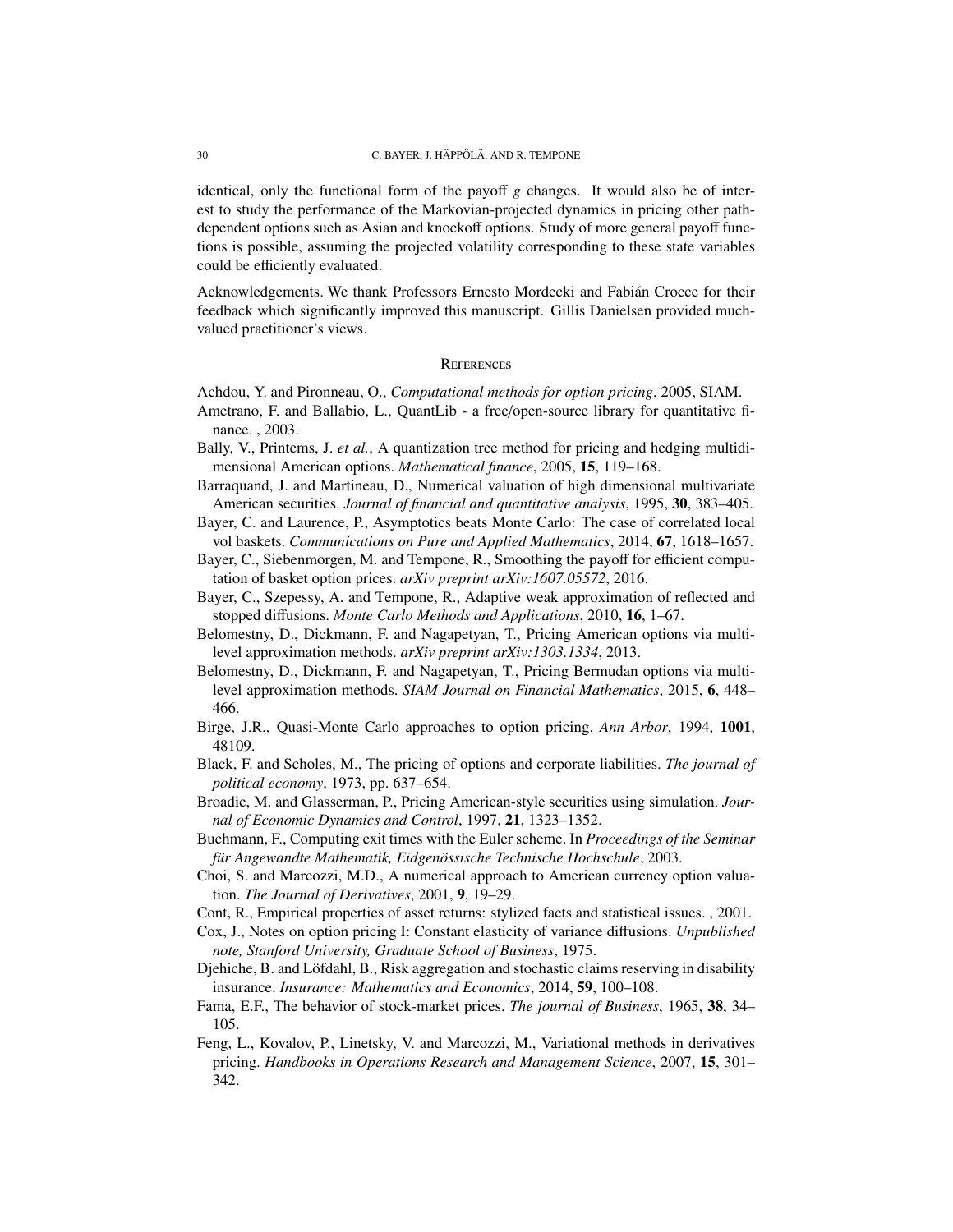identical, only the functional form of the payoff *g* changes. It would also be of interest to study the performance of the Markovian-projected dynamics in pricing other pathdependent options such as Asian and knockoff options. Study of more general payoff functions is possible, assuming the projected volatility corresponding to these state variables could be efficiently evaluated.

Acknowledgements. We thank Professors Ernesto Mordecki and Fabian Crocce for their ´ feedback which significantly improved this manuscript. Gillis Danielsen provided muchvalued practitioner's views.

## **REFERENCES**

Achdou, Y. and Pironneau, O., *Computational methods for option pricing*, 2005, SIAM.

- Ametrano, F. and Ballabio, L., QuantLib a free/open-source library for quantitative finance. , 2003.
- Bally, V., Printems, J. *et al.*, A quantization tree method for pricing and hedging multidimensional American options. *Mathematical finance*, 2005, 15, 119–168.
- Barraquand, J. and Martineau, D., Numerical valuation of high dimensional multivariate American securities. *Journal of financial and quantitative analysis*, 1995, 30, 383–405.
- Bayer, C. and Laurence, P., Asymptotics beats Monte Carlo: The case of correlated local vol baskets. *Communications on Pure and Applied Mathematics*, 2014, 67, 1618–1657.
- Bayer, C., Siebenmorgen, M. and Tempone, R., Smoothing the payoff for efficient computation of basket option prices. *arXiv preprint arXiv:1607.05572*, 2016.
- Bayer, C., Szepessy, A. and Tempone, R., Adaptive weak approximation of reflected and stopped diffusions. *Monte Carlo Methods and Applications*, 2010, 16, 1–67.
- Belomestny, D., Dickmann, F. and Nagapetyan, T., Pricing American options via multilevel approximation methods. *arXiv preprint arXiv:1303.1334*, 2013.
- Belomestny, D., Dickmann, F. and Nagapetyan, T., Pricing Bermudan options via multilevel approximation methods. *SIAM Journal on Financial Mathematics*, 2015, 6, 448– 466.
- Birge, J.R., Quasi-Monte Carlo approaches to option pricing. *Ann Arbor*, 1994, 1001, 48109.
- Black, F. and Scholes, M., The pricing of options and corporate liabilities. *The journal of political economy*, 1973, pp. 637–654.
- Broadie, M. and Glasserman, P., Pricing American-style securities using simulation. *Journal of Economic Dynamics and Control*, 1997, 21, 1323–1352.
- Buchmann, F., Computing exit times with the Euler scheme. In *Proceedings of the Seminar f¨ur Angewandte Mathematik, Eidgen ¨ossische Technische Hochschule*, 2003.
- Choi, S. and Marcozzi, M.D., A numerical approach to American currency option valuation. *The Journal of Derivatives*, 2001, 9, 19–29.
- Cont, R., Empirical properties of asset returns: stylized facts and statistical issues. , 2001.
- Cox, J., Notes on option pricing I: Constant elasticity of variance diffusions. *Unpublished note, Stanford University, Graduate School of Business*, 1975.
- Djehiche, B. and Löfdahl, B., Risk aggregation and stochastic claims reserving in disability insurance. *Insurance: Mathematics and Economics*, 2014, 59, 100–108.
- Fama, E.F., The behavior of stock-market prices. *The journal of Business*, 1965, 38, 34– 105.
- Feng, L., Kovalov, P., Linetsky, V. and Marcozzi, M., Variational methods in derivatives pricing. *Handbooks in Operations Research and Management Science*, 2007, 15, 301– 342.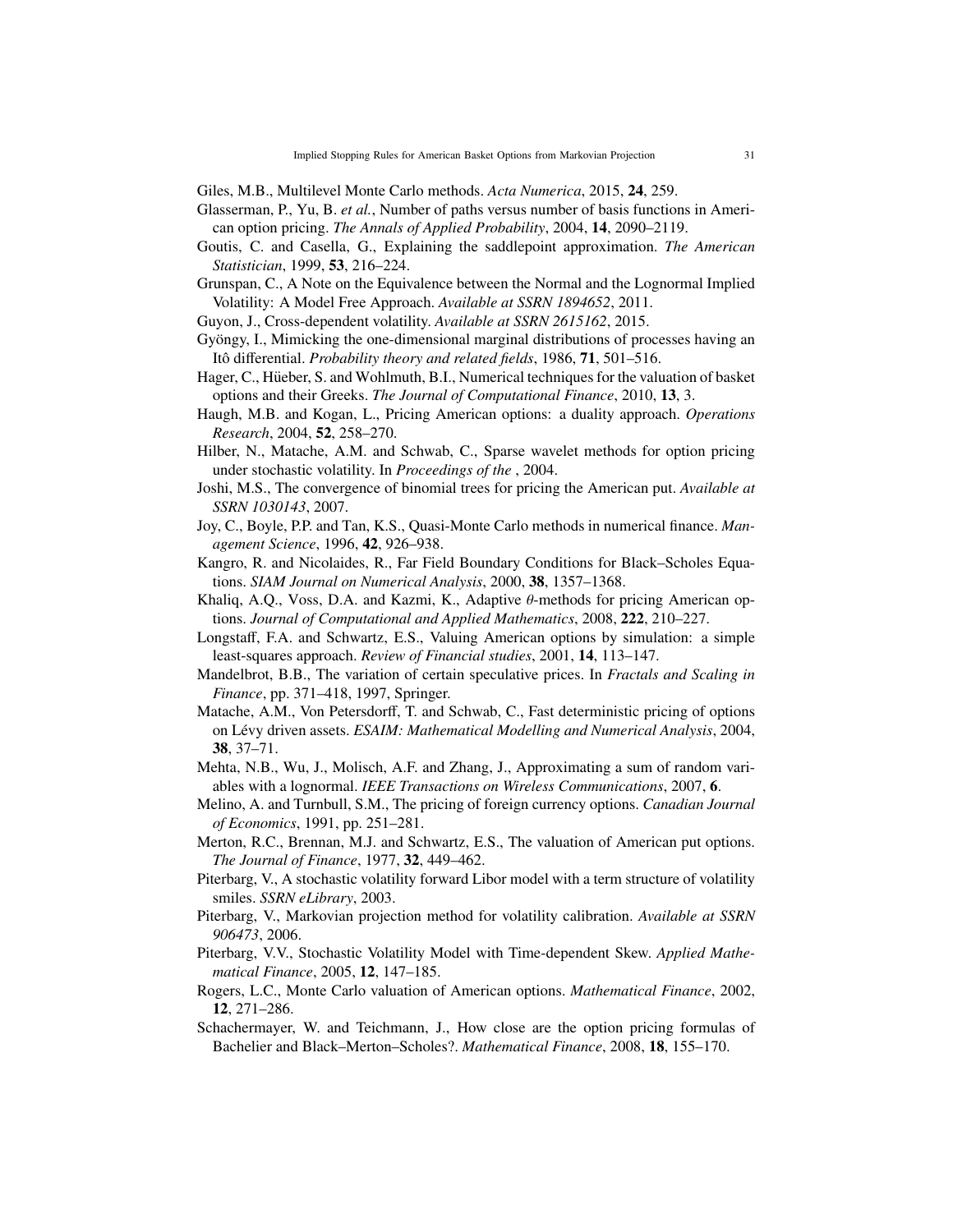Giles, M.B., Multilevel Monte Carlo methods. *Acta Numerica*, 2015, 24, 259.

- Glasserman, P., Yu, B. *et al.*, Number of paths versus number of basis functions in American option pricing. *The Annals of Applied Probability*, 2004, 14, 2090–2119.
- Goutis, C. and Casella, G., Explaining the saddlepoint approximation. *The American Statistician*, 1999, 53, 216–224.
- Grunspan, C., A Note on the Equivalence between the Normal and the Lognormal Implied Volatility: A Model Free Approach. *Available at SSRN 1894652*, 2011.
- Guyon, J., Cross-dependent volatility. *Available at SSRN 2615162*, 2015.
- Gyöngy, I., Mimicking the one-dimensional marginal distributions of processes having an Itô differential. *Probability theory and related fields*, 1986, 71, 501-516.
- Hager, C., Hüeber, S. and Wohlmuth, B.I., Numerical techniques for the valuation of basket options and their Greeks. *The Journal of Computational Finance*, 2010, 13, 3.
- Haugh, M.B. and Kogan, L., Pricing American options: a duality approach. *Operations Research*, 2004, 52, 258–270.
- Hilber, N., Matache, A.M. and Schwab, C., Sparse wavelet methods for option pricing under stochastic volatility. In *Proceedings of the* , 2004.
- Joshi, M.S., The convergence of binomial trees for pricing the American put. *Available at SSRN 1030143*, 2007.
- Joy, C., Boyle, P.P. and Tan, K.S., Quasi-Monte Carlo methods in numerical finance. *Management Science*, 1996, 42, 926–938.
- Kangro, R. and Nicolaides, R., Far Field Boundary Conditions for Black–Scholes Equations. *SIAM Journal on Numerical Analysis*, 2000, 38, 1357–1368.
- Khaliq, A.Q., Voss, D.A. and Kazmi, K., Adaptive  $\theta$ -methods for pricing American options. *Journal of Computational and Applied Mathematics*, 2008, 222, 210–227.
- Longstaff, F.A. and Schwartz, E.S., Valuing American options by simulation: a simple least-squares approach. *Review of Financial studies*, 2001, 14, 113–147.
- Mandelbrot, B.B., The variation of certain speculative prices. In *Fractals and Scaling in Finance*, pp. 371–418, 1997, Springer.
- Matache, A.M., Von Petersdorff, T. and Schwab, C., Fast deterministic pricing of options on Levy driven assets. ´ *ESAIM: Mathematical Modelling and Numerical Analysis*, 2004, 38, 37–71.
- Mehta, N.B., Wu, J., Molisch, A.F. and Zhang, J., Approximating a sum of random variables with a lognormal. *IEEE Transactions on Wireless Communications*, 2007, 6.
- Melino, A. and Turnbull, S.M., The pricing of foreign currency options. *Canadian Journal of Economics*, 1991, pp. 251–281.
- Merton, R.C., Brennan, M.J. and Schwartz, E.S., The valuation of American put options. *The Journal of Finance*, 1977, 32, 449–462.
- Piterbarg, V., A stochastic volatility forward Libor model with a term structure of volatility smiles. *SSRN eLibrary*, 2003.
- Piterbarg, V., Markovian projection method for volatility calibration. *Available at SSRN 906473*, 2006.
- Piterbarg, V.V., Stochastic Volatility Model with Time-dependent Skew. *Applied Mathematical Finance*, 2005, 12, 147–185.
- Rogers, L.C., Monte Carlo valuation of American options. *Mathematical Finance*, 2002, 12, 271–286.
- Schachermayer, W. and Teichmann, J., How close are the option pricing formulas of Bachelier and Black–Merton–Scholes?. *Mathematical Finance*, 2008, 18, 155–170.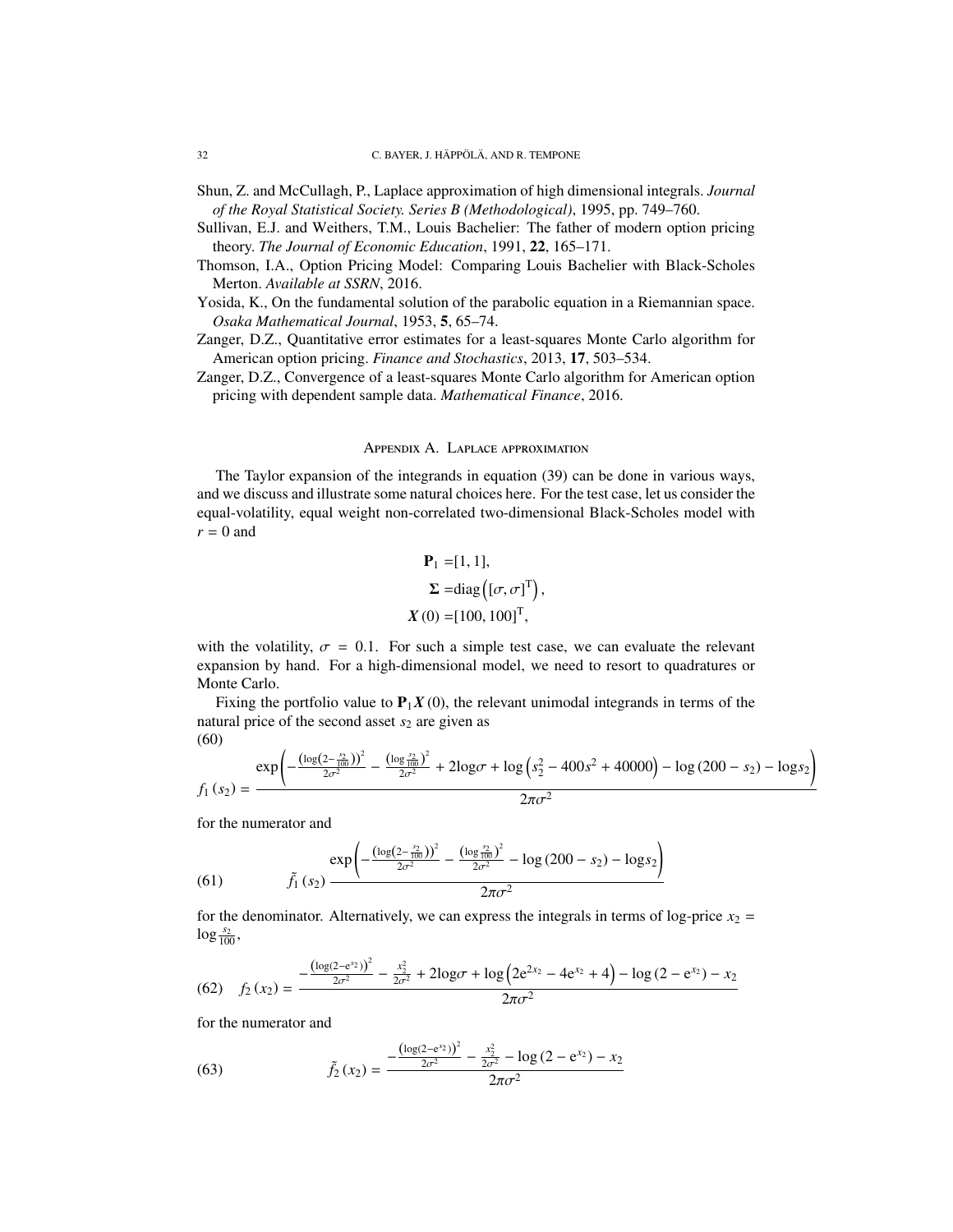- Shun, Z. and McCullagh, P., Laplace approximation of high dimensional integrals. *Journal of the Royal Statistical Society. Series B (Methodological)*, 1995, pp. 749–760.
- Sullivan, E.J. and Weithers, T.M., Louis Bachelier: The father of modern option pricing theory. *The Journal of Economic Education*, 1991, 22, 165–171.
- Thomson, I.A., Option Pricing Model: Comparing Louis Bachelier with Black-Scholes Merton. *Available at SSRN*, 2016.
- Yosida, K., On the fundamental solution of the parabolic equation in a Riemannian space. *Osaka Mathematical Journal*, 1953, 5, 65–74.
- Zanger, D.Z., Quantitative error estimates for a least-squares Monte Carlo algorithm for American option pricing. *Finance and Stochastics*, 2013, 17, 503–534.
- Zanger, D.Z., Convergence of a least-squares Monte Carlo algorithm for American option pricing with dependent sample data. *Mathematical Finance*, 2016.

## Appendix A. Laplace approximation

The Taylor expansion of the integrands in equation (39) can be done in various ways, and we discuss and illustrate some natural choices here. For the test case, let us consider the equal-volatility, equal weight non-correlated two-dimensional Black-Scholes model with *r* = 0 and

$$
\mathbf{P}_1 = [1, 1],
$$
  
\n
$$
\Sigma = \text{diag} \left( [\sigma, \sigma]^{\text{T}} \right),
$$
  
\n
$$
X(0) = [100, 100]^{\text{T}},
$$

with the volatility,  $\sigma = 0.1$ . For such a simple test case, we can evaluate the relevant expansion by hand. For a high-dimensional model, we need to resort to quadratures or Monte Carlo.

Fixing the portfolio value to  $P_1X(0)$ , the relevant unimodal integrands in terms of the natural price of the second asset  $s_2$  are given as (60)

$$
f_1(s_2) = \frac{\exp\left(-\frac{(\log(2-\frac{s_2}{100}))^2}{2\sigma^2} - \frac{(\log\frac{s_2}{100})^2}{2\sigma^2} + 2\log\sigma + \log\left(s_2^2 - 400s^2 + 40000\right) - \log(200 - s_2) - \log s_2\right)}{2\pi\sigma^2}
$$

for the numerator and

(61) 
$$
\frac{\exp\left(-\frac{(\log(2-\frac{s_2}{100}))^2}{2\sigma^2} - \frac{(\log\frac{s_2}{100})^2}{2\sigma^2} - \log(200-s_2) - \log s_2\right)}{2\pi\sigma^2}
$$

for the denominator. Alternatively, we can express the integrals in terms of log-price  $x_2 =$ log  $\frac{s_2}{100}$ ,

(62) 
$$
f_2(x_2) = \frac{-\frac{(\log(2-e^{x_2}))^2}{2\sigma^2} - \frac{x_2^2}{2\sigma^2} + 2\log\sigma + \log\left(2e^{2x_2} - 4e^{x_2} + 4\right) - \log(2 - e^{x_2}) - x_2}{2\pi\sigma^2}
$$

for the numerator and

(63) 
$$
\tilde{f}_2(x_2) = \frac{-\frac{(\log(2 - e^{x_2}))^2}{2\sigma^2} - \frac{x_2^2}{2\sigma^2} - \log(2 - e^{x_2}) - x_2}{2\pi\sigma^2}
$$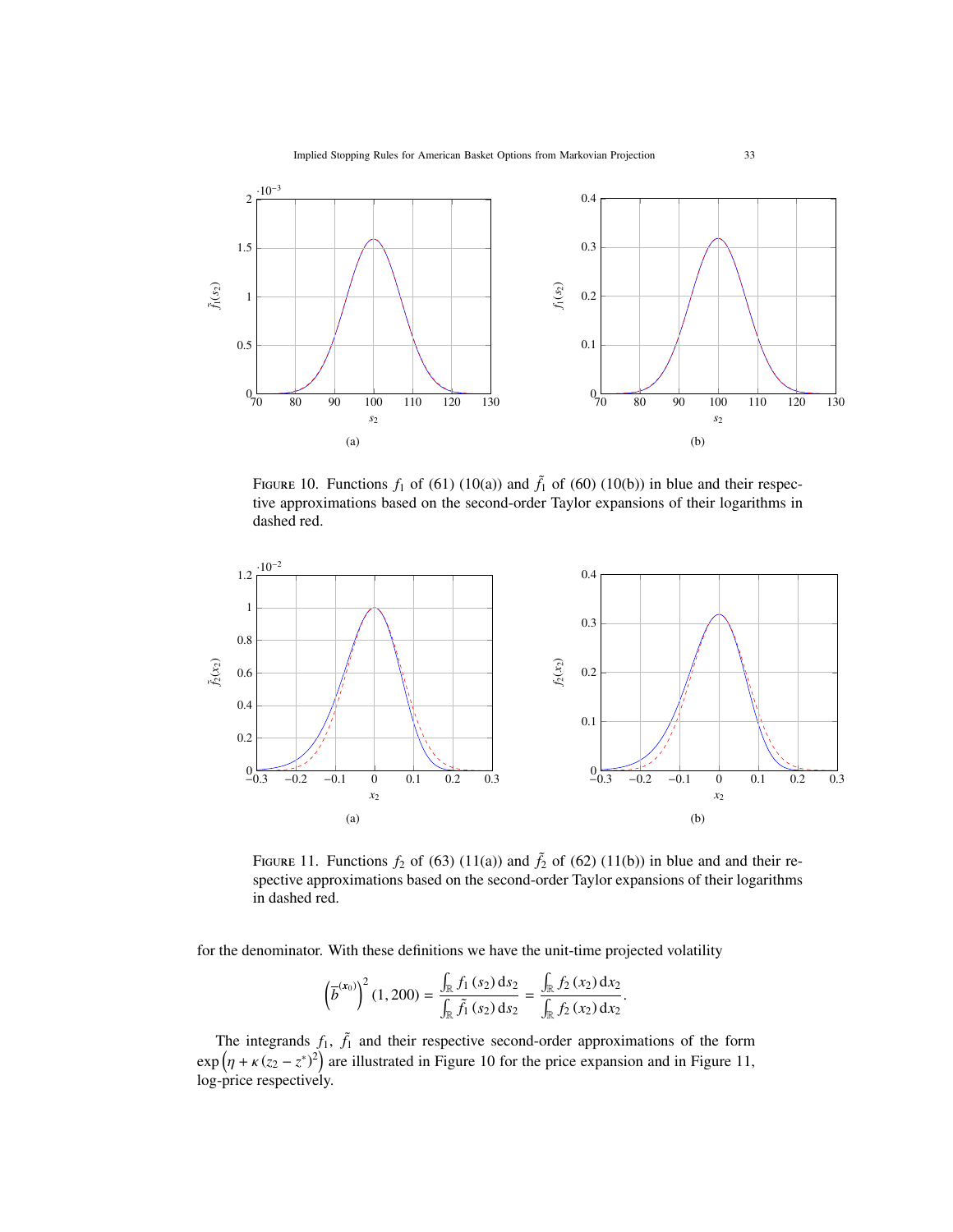Implied Stopping Rules for American Basket Options from Markovian Projection 33



FIGURE 10. Functions  $f_1$  of (61) (10(a)) and  $\tilde{f}_1$  of (60) (10(b)) in blue and their respective approximations based on the second-order Taylor expansions of their logarithms in dashed red.



FIGURE 11. Functions  $f_2$  of (63) (11(a)) and  $\tilde{f}_2$  of (62) (11(b)) in blue and and their respective approximations based on the second-order Taylor expansions of their logarithms in dashed red.

for the denominator. With these definitions we have the unit-time projected volatility

$$
\left(\overline{b}^{(x_0)}\right)^2(1,200) = \frac{\int_{\mathbb{R}} f_1(s_2) \, ds_2}{\int_{\mathbb{R}} \tilde{f}_1(s_2) \, ds_2} = \frac{\int_{\mathbb{R}} f_2(x_2) \, dx_2}{\int_{\mathbb{R}} f_2(x_2) \, dx_2}.
$$

The integrands  $f_1$ ,  $\tilde{f}_1$  and their respective second-order approximations of the form  $\exp((\eta + \kappa (z_2 - z^*))^2)$  are illustrated in Figure 10 for the price expansion and in Figure 11, log-price respectively.